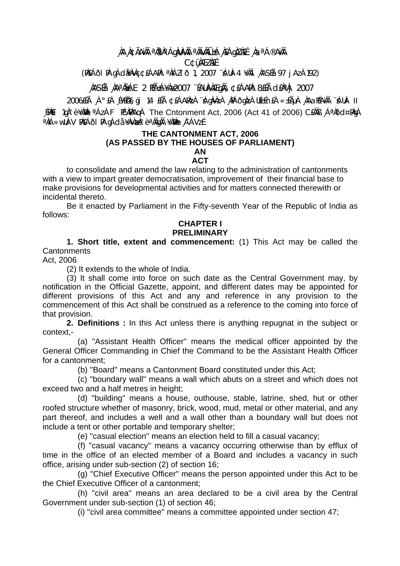## **¸ÀA¸À¢ÃAiÀÄ ªÀåªÀºÁgÀUÀ¼ÀÄ ªÀÄvÀÄÛ ±Á¸À£À gÀZÀ£É ¸ÀaªÁ®AiÀÄ C¢ü¸ÀÆZÀ£É**

(PÀ£ÁðlPÀ gÁdå¥ÀvÀç ¢£ÁAPÀ: ªÀiÁZïð 1, 2007 ¨sÁUÀ-4 ¥ÀÄl¸ÀASÉå: 97 jAzÀ 192)

## **¸ÀASÉå: ¸ÀAªÀå±ÁE 2 PÉñÁ¥Àæ 2007 ¨ÉAUÀ¼ÀÆgÀÄ, ¢£ÁAPÀ: 8£Éà d£ÀªÀj 2007**

2006£Éà ¸Á°£À ¸É¥ÉÖA§gï 14 £Éà ¢£ÁAPÀzÀ ¨sÁgÀvÀzÀ ¸ÀPÁðgÀzÀ UÉeÉn£À «±ÉõÀ ¸ÀAaPÉAiÀÄ ¨sÁUÀ- II

,ÉPÀËï 1gÀ°è¥ÀBÀl ªÁzÀ F PÉYÀPÀAgÀ The Cntonment Act, 2006 (Act 41 of 2006) CÈÀÄB ,ÁªÀðd¤PÀgÀ <sup>a</sup>ÀiÁ»wUÁV PÀ£ÁðI PÅ gÁdå ¥ÀvÀæÀ°è <sup>a</sup>ÀägàÄ ¥Àæn∩À<sup>s</sup>ÁVzÉ

#### **THE CANTONMENT ACT, 2006 (AS PASSED BY THE HOUSES OF PARLIAMENT) AN ACT**

to consolidate and amend the law relating to the administration of cantonments with a view to impart greater democratisation, improvement of their financial base to make provisions for developmental activities and for matters connected therewith or incidental thereto.

Be it enacted by Parliament in the Fifty-seventh Year of the Republic of India as follows:

#### **CHAPTER I PRELIMINARY**

**1. Short title, extent and commencement:** (1) This Act may be called the **Cantonments** 

Act, 2006

(2) It extends to the whole of India.

(3) It shall come into force on such date as the Central Government may, by notification in the Official Gazette, appoint, and different dates may be appointed for different provisions of this Act and any and reference in any provision to the commencement of this Act shall be construed as a reference to the coming into force of that provision.

**2. Definitions :** In this Act unless there is anything repugnat in the subject or context,-

(a) ''Assistant Health Officer'' means the medical officer appointed by the General Officer Commanding in Chief the Command to be the Assistant Health Officer for a cantonment;

(b) ''Board'' means a Cantonment Board constituted under this Act;

(c) ''boundary wall'' means a wall which abuts on a street and which does not exceed two and a half metres in height;

(d) ''building'' means a house, outhouse, stable, latrine, shed, hut or other roofed structure whether of masonry, brick, wood, mud, metal or other material, and any part thereof, and includes a well and a wall other than a boundary wall but does not include a tent or other portable and temporary shelter;

(e) ''casual election'' means an election held to fill a casual vacancy;

(f) ''casual vacancy'' means a vacancy occurring otherwise than by efflux of time in the office of an elected member of a Board and includes a vacancy in such office, arising under sub-section (2) of section 16;

(g) ''Chief Executive Officer'' means the person appointed under this Act to be the Chief Executive Officer of a cantonment;

(h) ''civil area'' means an area declared to be a civil area by the Central Government under sub-section (1) of section 46;

(i) ''civil area committee'' means a committee appointed under section 47;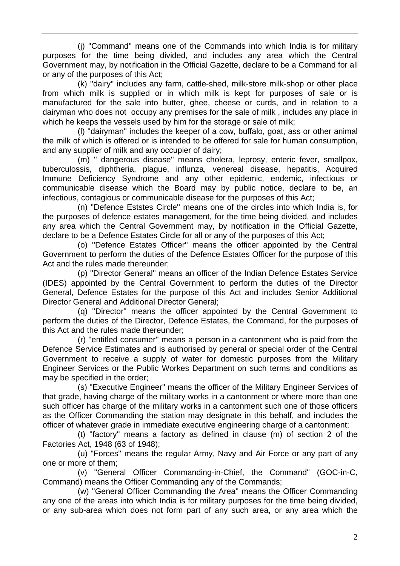(j) ''Command'' means one of the Commands into which India is for military purposes for the time being divided, and includes any area which the Central Government may, by notification in the Official Gazette, declare to be a Command for all or any of the purposes of this Act;

(k) ''dairy'' includes any farm, cattle-shed, milk-store milk-shop or other place from which milk is supplied or in which milk is kept for purposes of sale or is manufactured for the sale into butter, ghee, cheese or curds, and in relation to a dairyman who does not occupy any premises for the sale of milk , includes any place in which he keeps the vessels used by him for the storage or sale of milk;

(l) ''dairyman'' includes the keeper of a cow, buffalo, goat, ass or other animal the milk of which is offered or is intended to be offered for sale for human consumption, and any supplier of milk and any occupier of dairy;

(m) '' dangerous disease'' means cholera, leprosy, enteric fever, smallpox, tuberculossis, diphtheria, plague, influnza, venereal disease, hepatitis, Acquired Immune Deficiency Syndrome and any other epidemic, endemic, infectious or communicable disease which the Board may by public notice, declare to be, an infectious, contagious or communicable disease for the purposes of this Act;

(n) ''Defence Eststes Circle'' means one of the circles into which India is, for the purposes of defence estates management, for the time being divided, and includes any area which the Central Government may, by notification in the Official Gazette, declare to be a Defence Estates Circle for all or any of the purposes of this Act;

(o) ''Defence Estates Officer'' means the officer appointed by the Central Government to perform the duties of the Defence Estates Officer for the purpose of this Act and the rules made thereunder;

(p) ''Director General'' means an officer of the Indian Defence Estates Service (IDES) appointed by the Central Government to perform the duties of the Director General, Defence Estates for the purpose of this Act and includes Senior Additional Director General and Additional Director General;

(q) ''Director'' means the officer appointed by the Central Government to perform the duties of the Director, Defence Estates, the Command, for the purposes of this Act and the rules made thereunder;

(r) ''entitled consumer'' means a person in a cantonment who is paid from the Defence Service Estimates and is authorised by general or special order of the Central Government to receive a supply of water for domestic purposes from the Military Engineer Services or the Public Workes Department on such terms and conditions as may be specified in the order;

(s) ''Executive Engineer'' means the officer of the Military Engineer Services of that grade, having charge of the military works in a cantonment or where more than one such officer has charge of the military works in a cantonment such one of those officers as the Officer Commanding the station may designate in this behalf, and includes the officer of whatever grade in immediate executive engineering charge of a cantonment;

(t) ''factory'' means a factory as defined in clause (m) of section 2 of the Factories Act, 1948 (63 of 1948);

(u) ''Forces'' means the regular Army, Navy and Air Force or any part of any one or more of them;

(v) ''General Officer Commanding-in-Chief, the Command'' (GOC-in-C, Command) means the Officer Commanding any of the Commands;

(w) ''General Officer Commanding the Area'' means the Officer Commanding any one of the areas into which India is for military purposes for the time being divided, or any sub-area which does not form part of any such area, or any area which the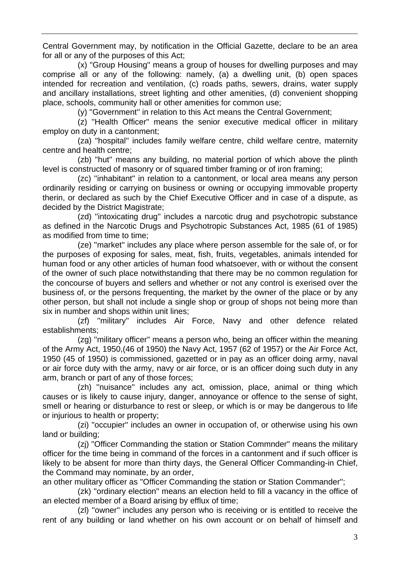Central Government may, by notification in the Official Gazette, declare to be an area for all or any of the purposes of this Act;

(x) ''Group Housing'' means a group of houses for dwelling purposes and may comprise all or any of the following: namely, (a) a dwelling unit, (b) open spaces intended for recreation and ventilation, (c) roads paths, sewers, drains, water supply and ancillary installations, street lighting and other amenities, (d) convenient shopping place, schools, community hall or other amenities for common use;

(y) ''Government'' in relation to this Act means the Central Government;

(z) ''Health Officer'' means the senior executive medical officer in military employ on duty in a cantonment;

(za) ''hospital'' includes family welfare centre, child welfare centre, maternity centre and health centre;

(zb) ''hut'' means any building, no material portion of which above the plinth level is constructed of masonry or of squared timber framing or of iron framing;

(zc) ''inhabitant'' in relation to a cantonment, or local area means any person ordinarily residing or carrying on business or owning or occupying immovable property therin, or declared as such by the Chief Executive Officer and in case of a dispute, as decided by the District Magistrate;

(zd) ''intoxicating drug'' includes a narcotic drug and psychotropic substance as defined in the Narcotic Drugs and Psychotropic Substances Act, 1985 (61 of 1985) as modified from time to time;

(ze) ''market'' includes any place where person assemble for the sale of, or for the purposes of exposing for sales, meat, fish, fruits, vegetables, animals intended for human food or any other articles of human food whatsoever, with or without the consent of the owner of such place notwithstanding that there may be no common regulation for the concourse of buyers and sellers and whether or not any control is exerised over the business of, or the persons frequenting, the market by the owner of the place or by any other person, but shall not include a single shop or group of shops not being more than six in number and shops within unit lines;

(zf) ''military'' includes Air Force, Navy and other defence related establishments;

(zg) ''military officer'' means a person who, being an officer within the meaning of the Army Act, 1950,(46 of 1950) the Navy Act, 1957 (62 of 1957) or the Air Force Act, 1950 (45 of 1950) is commissioned, gazetted or in pay as an officer doing army, naval or air force duty with the army, navy or air force, or is an officer doing such duty in any arm, branch or part of any of those forces;

(zh) ''nuisance'' includes any act, omission, place, animal or thing which causes or is likely to cause injury, danger, annoyance or offence to the sense of sight, smell or hearing or disturbance to rest or sleep, or which is or may be dangerous to life or injurious to health or property;

(zi) ''occupier'' includes an owner in occupation of, or otherwise using his own land or building;

(zj) ''Officer Commanding the station or Station Commnder'' means the military officer for the time being in command of the forces in a cantonment and if such officer is likely to be absent for more than thirty days, the General Officer Commanding-in Chief, the Command may nominate, by an order,

an other mulitary officer as ''Officer Commanding the station or Station Commander'';

(zk) ''ordinary election'' means an election held to fill a vacancy in the office of an elected member of a Board arising by efflux of time;

(zl) ''owner'' includes any person who is receiving or is entitled to receive the rent of any building or land whether on his own account or on behalf of himself and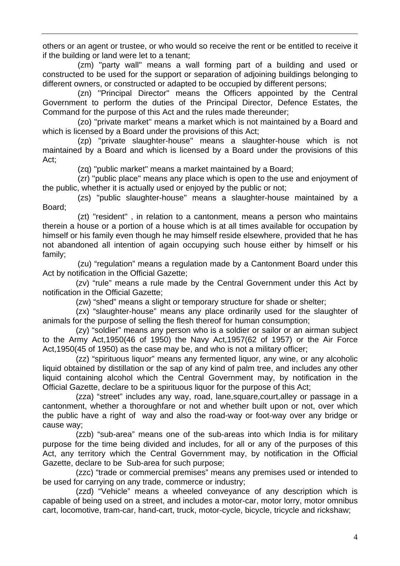others or an agent or trustee, or who would so receive the rent or be entitled to receive it if the building or land were let to a tenant;

(zm) ''party wall'' means a wall forming part of a building and used or constructed to be used for the support or separation of adjoining buildings belonging to different owners, or constructed or adapted to be occupied by different persons;

(zn) ''Principal Director'' means the Officers appointed by the Central Government to perform the duties of the Principal Director, Defence Estates, the Command for the purpose of this Act and the rules made thereunder;

(zo) ''private market'' means a market which is not maintained by a Board and which is licensed by a Board under the provisions of this Act;

(zp) ''private slaughter-house'' means a slaughter-house which is not maintained by a Board and which is licensed by a Board under the provisions of this Act;

(zq) ''public market'' means a market maintained by a Board;

(zr) ''public place'' means any place which is open to the use and enjoyment of the public, whether it is actually used or enjoyed by the public or not;

(zs) ''public slaughter-house'' means a slaughter-house maintained by a Board;

(zt) ''resident'' , in relation to a cantonment, means a person who maintains therein a house or a portion of a house which is at all times available for occupation by himself or his family even though he may himself reside elsewhere, provided that he has not abandoned all intention of again occupying such house either by himself or his family;

(zu) "regulation" means a regulation made by a Cantonment Board under this Act by notification in the Official Gazette;

 (zv) "rule" means a rule made by the Central Government under this Act by notification in the Official Gazette;

(zw) "shed" means a slight or temporary structure for shade or shelter;

 (zx) "slaughter-house" means any place ordinarily used for the slaughter of animals for the purpose of selling the flesh thereof for human consumption;

 (zy) "soldier" means any person who is a soldier or sailor or an airman subject to the Army Act,1950(46 of 1950) the Navy Act,1957(62 of 1957) or the Air Force Act,1950(45 of 1950) as the case may be, and who is not a military officer;

 (zz) "spirituous liquor" means any fermented liquor, any wine, or any alcoholic liquid obtained by distillation or the sap of any kind of palm tree, and includes any other liquid containing alcohol which the Central Government may, by notification in the Official Gazette, declare to be a spirituous liquor for the purpose of this Act;

 (zza) "street" includes any way, road, lane,square,court,alley or passage in a cantonment, whether a thoroughfare or not and whether built upon or not, over which the public have a right of way and also the road-way or foot-way over any bridge or cause way;

 (zzb) "sub-area" means one of the sub-areas into which India is for military purpose for the time being divided and includes, for all or any of the purposes of this Act, any territory which the Central Government may, by notification in the Official Gazette, declare to be Sub-area for such purpose;

 (zzc) "trade or commercial premises" means any premises used or intended to be used for carrying on any trade, commerce or industry;

 (zzd) "Vehicle" means a wheeled conveyance of any description which is capable of being used on a street, and includes a motor-car, motor lorry, motor omnibus cart, locomotive, tram-car, hand-cart, truck, motor-cycle, bicycle, tricycle and rickshaw;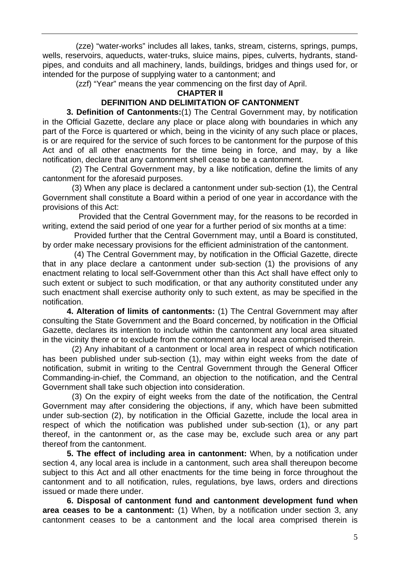(zze) "water-works" includes all lakes, tanks, stream, cisterns, springs, pumps, wells, reservoirs, aqueducts, water-truks, sluice mains, pipes, culverts, hydrants, standpipes, and conduits and all machinery, lands, buildings, bridges and things used for, or intended for the purpose of supplying water to a cantonment; and

(zzf) "Year" means the year commencing on the first day of April.

**CHAPTER II** 

# **DEFINITION AND DELIMITATION OF CANTONMENT**

**3. Definition of Cantonments:**(1) The Central Government may, by notification in the Official Gazette, declare any place or place along with boundaries in which any part of the Force is quartered or which, being in the vicinity of any such place or places, is or are required for the service of such forces to be cantonment for the purpose of this Act and of all other enactments for the time being in force, and may, by a like notification, declare that any cantonment shell cease to be a cantonment.

 (2) The Central Government may, by a like notification, define the limits of any cantonment for the aforesaid purposes.

 (3) When any place is declared a cantonment under sub-section (1), the Central Government shall constitute a Board within a period of one year in accordance with the provisions of this Act:

 Provided that the Central Government may, for the reasons to be recorded in writing, extend the said period of one year for a further period of six months at a time:

 Provided further that the Central Government may, until a Board is constituted, by order make necessary provisions for the efficient administration of the cantonment.

 (4) The Central Government may, by notification in the Official Gazette, directe that in any place declare a cantonment under sub-section (1) the provisions of any enactment relating to local self-Government other than this Act shall have effect only to such extent or subject to such modification, or that any authority constituted under any such enactment shall exercise authority only to such extent, as may be specified in the notification.

**4. Alteration of limits of cantonments:** (1) The Central Government may after consulting the State Government and the Board concerned, by notification in the Official Gazette, declares its intention to include within the cantonment any local area situated in the vicinity there or to exclude from the contonment any local area comprised therein.

 (2) Any inhabitant of a cantonment or local area in respect of which notification has been published under sub-section (1), may within eight weeks from the date of notification, submit in writing to the Central Government through the General Officer Commanding-in-chief, the Command, an objection to the notification, and the Central Government shall take such objection into consideration.

 (3) On the expiry of eight weeks from the date of the notification, the Central Government may after considering the objections, if any, which have been submitted under sub-section (2), by notification in the Official Gazette, include the local area in respect of which the notification was published under sub-section (1), or any part thereof, in the cantonment or, as the case may be, exclude such area or any part thereof from the cantonment.

**5. The effect of including area in cantonment:** When, by a notification under section 4, any local area is include in a cantonment, such area shall thereupon become subject to this Act and all other enactments for the time being in force throughout the cantonment and to all notification, rules, regulations, bye laws, orders and directions issued or made there under.

**6. Disposal of cantonment fund and cantonment development fund when area ceases to be a cantonment:** (1) When, by a notification under section 3, any cantonment ceases to be a cantonment and the local area comprised therein is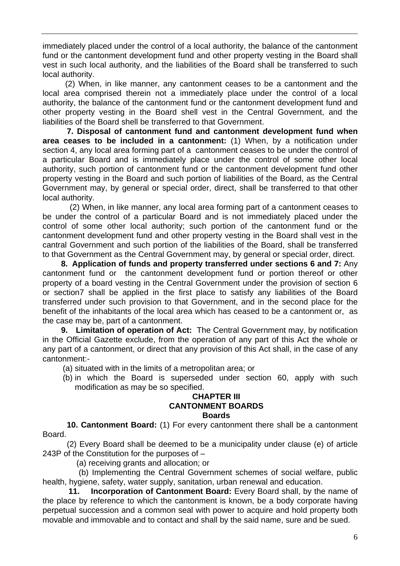immediately placed under the control of a local authority, the balance of the cantonment fund or the cantonment development fund and other property vesting in the Board shall vest in such local authority, and the liabilities of the Board shall be transferred to such local authority.

 (2) When, in like manner, any cantonment ceases to be a cantonment and the local area comprised therein not a immediately place under the control of a local authority, the balance of the cantonment fund or the cantonment development fund and other property vesting in the Board shell vest in the Central Government, and the liabilities of the Board shell be transferred to that Government.

**7. Disposal of cantonment fund and cantonment development fund when area ceases to be included in a cantonment:** (1) When, by a notification under section 4, any local area forming part of a cantonment ceases to be under the control of a particular Board and is immediately place under the control of some other local authority, such portion of cantonment fund or the cantonment development fund other property vesting in the Board and such portion of liabilities of the Board, as the Central Government may, by general or special order, direct, shall be transferred to that other local authority.

 (2) When, in like manner, any local area forming part of a cantonment ceases to be under the control of a particular Board and is not immediately placed under the control of some other local authority; such portion of the cantonment fund or the cantonment development fund and other property vesting in the Board shall vest in the cantral Government and such portion of the liabilities of the Board, shall be transferred to that Government as the Central Government may, by general or special order, direct.

**8. Application of funds and property transferred under sections 6 and 7:** Any cantonment fund or the cantonment development fund or portion thereof or other property of a board vesting in the Central Government under the provision of section 6 or section7 shall be applied in the first place to satisfy any liabilities of the Board transferred under such provision to that Government, and in the second place for the benefit of the inhabitants of the local area which has ceased to be a cantonment or, as the case may be, part of a cantonment.

**9. Limitation of operation of Act:** The Central Government may, by notification in the Official Gazette exclude, from the operation of any part of this Act the whole or any part of a cantonment, or direct that any provision of this Act shall, in the case of any cantonment:-

- (a) situated with in the limits of a metropolitan area; or
- (b) in which the Board is superseded under section 60, apply with such modification as may be so specified.

#### **CHAPTER III CANTONMENT BOARDS Boards**

**10. Cantonment Board:** (1) For every cantonment there shall be a cantonment Board.

(2) Every Board shall be deemed to be a municipality under clause (e) of article 243P of the Constitution for the purposes of –

(a) receiving grants and allocation; or

 (b) Implementing the Central Government schemes of social welfare, public health, hygiene, safety, water supply, sanitation, urban renewal and education.

**11. Incorporation of Cantonment Board:** Every Board shall, by the name of the place by reference to which the cantonment is known, be a body corporate having perpetual succession and a common seal with power to acquire and hold property both movable and immovable and to contact and shall by the said name, sure and be sued.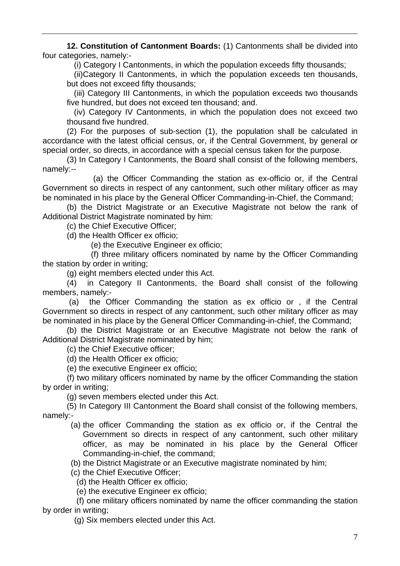**12. Constitution of Cantonment Boards:** (1) Cantonments shall be divided into four categories, namely:-

(i) Category I Cantonments, in which the population exceeds fifty thousands;

(ii)Category II Cantonments, in which the population exceeds ten thousands, but does not exceed fifty thousands;

(iii) Category III Cantonments, in which the population exceeds two thousands five hundred, but does not exceed ten thousand; and.

(iv) Category IV Cantonments, in which the population does not exceed two thousand five hundred.

(2) For the purposes of sub-section (1), the population shall be calculated in accordance with the latest official census, or, if the Central Government, by general or special order, so directs, in accordance with a special census taken for the purpose.

(3) In Category I Cantonments, the Board shall consist of the following members, namely:--

 (a) the Officer Commanding the station as ex-officio or, if the Central Government so directs in respect of any cantonment, such other military officer as may be nominated in his place by the General Officer Commanding-in-Chief, the Command;

 (b) the District Magistrate or an Executive Magistrate not below the rank of Additional District Magistrate nominated by him:

(c) the Chief Executive Officer;

(d) the Health Officer ex officio;

(e) the Executive Engineer ex officio;

 (f) three military officers nominated by name by the Officer Commanding the station by order in writing;

(g) eight members elected under this Act.

(4) in Category II Cantonments, the Board shall consist of the following members, namely:-

 (a) the Officer Commanding the station as ex officio or , if the Central Government so directs in respect of any cantonment, such other military officer as may be nominated in his place by the General Officer Commanding-in-chief, the Command;

(b) the District Magistrate or an Executive Magistrate not below the rank of Additional District Magistrate nominated by him;

(c) the Chief Executive officer;

(d) the Health Officer ex officio;

(e) the executive Engineer ex officio;

 (f) two military officers nominated by name by the officer Commanding the station by order in writing;

(g) seven members elected under this Act.

(5) In Category III Cantonment the Board shall consist of the following members, namely:-

(a) the officer Commanding the station as ex officio or, if the Central the Government so directs in respect of any cantonment, such other military officer, as may be nominated in his place by the General Officer Commanding-in-chief, the command;

(b) the District Magistrate or an Executive magistrate nominated by him;

(c) the Chief Executive Officer;

(d) the Health Officer ex officio;

(e) the executive Engineer ex officio;

 (f) one military officers nominated by name the officer commanding the station by order in writing;

(g) Six members elected under this Act.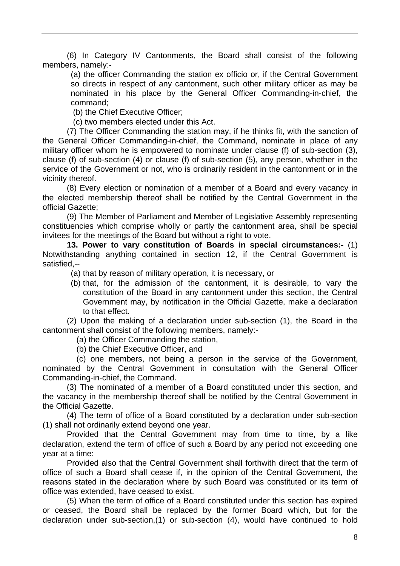(6) In Category IV Cantonments, the Board shall consist of the following members, namely:-

(a) the officer Commanding the station ex officio or, if the Central Government so directs in respect of any cantonment, such other military officer as may be nominated in his place by the General Officer Commanding-in-chief, the command;

(b) the Chief Executive Officer;

(c) two members elected under this Act.

(7) The Officer Commanding the station may, if he thinks fit, with the sanction of the General Officer Commanding-in-chief, the Command, nominate in place of any military officer whom he is empowered to nominate under clause (f) of sub-section (3), clause (f) of sub-section (4) or clause (f) of sub-section (5), any person, whether in the service of the Government or not, who is ordinarily resident in the cantonment or in the vicinity thereof.

(8) Every election or nomination of a member of a Board and every vacancy in the elected membership thereof shall be notified by the Central Government in the official Gazette;

(9) The Member of Parliament and Member of Legislative Assembly representing constituencies which comprise wholly or partly the cantonment area, shall be special invitees for the meetings of the Board but without a right to vote.

**13. Power to vary constitution of Boards in special circumstances:-** (1) Notwithstanding anything contained in section 12, if the Central Government is satisfied,--

(a) that by reason of military operation, it is necessary, or

(b) that, for the admission of the cantonment, it is desirable, to vary the constitution of the Board in any cantonment under this section, the Central Government may, by notification in the Official Gazette, make a declaration to that effect.

(2) Upon the making of a declaration under sub-section (1), the Board in the cantonment shall consist of the following members, namely:-

(a) the Officer Commanding the station,

(b) the Chief Executive Officer, and

 (c) one members, not being a person in the service of the Government, nominated by the Central Government in consultation with the General Officer Commanding-in-chief, the Command.

(3) The nominated of a member of a Board constituted under this section, and the vacancy in the membership thereof shall be notified by the Central Government in the Official Gazette.

(4) The term of office of a Board constituted by a declaration under sub-section (1) shall not ordinarily extend beyond one year.

Provided that the Central Government may from time to time, by a like declaration, extend the term of office of such a Board by any period not exceeding one year at a time:

Provided also that the Central Government shall forthwith direct that the term of office of such a Board shall cease if, in the opinion of the Central Government, the reasons stated in the declaration where by such Board was constituted or its term of office was extended, have ceased to exist.

(5) When the term of office of a Board constituted under this section has expired or ceased, the Board shall be replaced by the former Board which, but for the declaration under sub-section,(1) or sub-section (4), would have continued to hold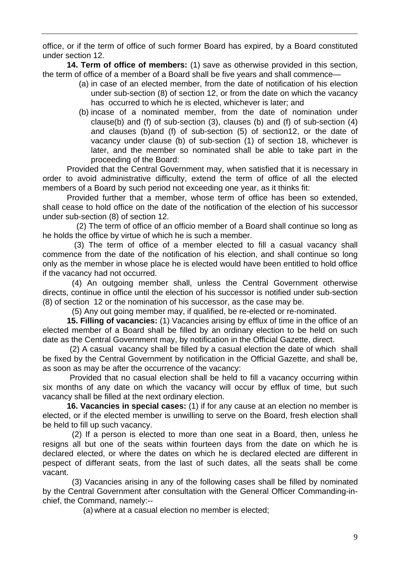office, or if the term of office of such former Board has expired, by a Board constituted under section 12.

**14. Term of office of members:** (1) save as otherwise provided in this section, the term of office of a member of a Board shall be five years and shall commence—

- (a) in case of an elected member, from the date of notification of his election under sub-section (8) of section 12, or from the date on which the vacancy has occurred to which he is elected, whichever is later; and
- (b) incase of a nominated member, from the date of nomination under clause(b) and (f) of sub-section (3), clauses (b) and (f) of sub-section (4) and clauses (b)and (f) of sub-section (5) of section12, or the date of vacancy under clause (b) of sub-section (1) of section 18, whichever is later, and the member so nominated shall be able to take part in the proceeding of the Board:

Provided that the Central Government may, when satisfied that it is necessary in order to avoid administrative difficulty, extend the term of office of all the elected members of a Board by such period not exceeding one year, as it thinks fit:

Provided further that a member, whose term of office has been so extended, shall cease to hold office on the date of the notification of the election of his successor under sub-section (8) of section 12.

 (2) The term of office of an officio member of a Board shall continue so long as he holds the office by virtue of which he is such a member.

 (3) The term of office of a member elected to fill a casual vacancy shall commence from the date of the notification of his election, and shall continue so long only as the member in whose place he is elected would have been entitled to hold office if the vacancy had not occurred.

 (4) An outgoing member shall, unless the Central Government otherwise directs, continue in office until the election of his successor is notified under sub-section (8) of section 12 or the nomination of his successor, as the case may be.

(5) Any out going member may, if qualified, be re-elected or re-nominated.

**15. Filling of vacancies:** (1) Vacancies arising by efflux of time in the office of an elected member of a Board shall be filled by an ordinary election to be held on such date as the Central Government may, by notification in the Official Gazette, direct.

 (2) A casual vacancy shall be filled by a casual election the date of which shall be fixed by the Central Government by notification in the Official Gazette, and shall be, as soon as may be after the occurrence of the vacancy:

 Provided that no casual election shall be held to fill a vacancy occurring within six months of any date on which the vacancy will occur by efflux of time, but such vacancy shall be filled at the next ordinary election.

**16. Vacancies in special cases:** (1) if for any cause at an election no member is elected, or if the elected member is unwilling to serve on the Board, fresh election shall be held to fill up such vacancy.

 (2) If a person is elected to more than one seat in a Board, then, unless he resigns all but one of the seats within fourteen days from the date on which he is declared elected, or where the dates on which he is declared elected are different in pespect of differant seats, from the last of such dates, all the seats shall be come vacant.

 (3) Vacancies arising in any of the following cases shall be filled by nominated by the Central Government after consultation with the General Officer Commanding-inchief, the Command, namely:--

(a) where at a casual election no member is elected;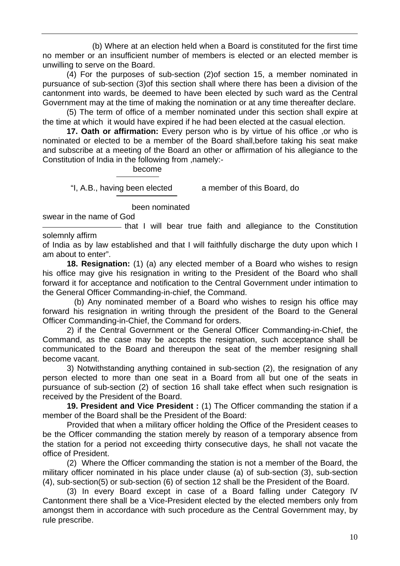(b) Where at an election held when a Board is constituted for the first time no member or an insufficient number of members is elected or an elected member is unwilling to serve on the Board.

(4) For the purposes of sub-section (2)of section 15, a member nominated in pursuance of sub-section (3)of this section shall where there has been a division of the cantonment into wards, be deemed to have been elected by such ward as the Central Government may at the time of making the nomination or at any time thereafter declare.

(5) The term of office of a member nominated under this section shall expire at the time at which it would have expired if he had been elected at the casual election.

**17. Oath or affirmation:** Every person who is by virtue of his office ,or who is nominated or elected to be a member of the Board shall,before taking his seat make and subscribe at a meeting of the Board an other or affirmation of his allegiance to the Constitution of India in the following from ,namely:-

become

"I, A.B., having been elected a member of this Board, do

been nominated

swear in the name of God

- that I will bear true faith and allegiance to the Constitution solemnly affirm

of India as by law established and that I will faithfully discharge the duty upon which I am about to enter".

 **18. Resignation:** (1) (a) any elected member of a Board who wishes to resign his office may give his resignation in writing to the President of the Board who shall forward it for acceptance and notification to the Central Government under intimation to the General Officer Commanding-in-chief, the Command.

 (b) Any nominated member of a Board who wishes to resign his office may forward his resignation in writing through the president of the Board to the General Officer Commanding-in-Chief, the Command for orders.

 2) if the Central Government or the General Officer Commanding-in-Chief, the Command, as the case may be accepts the resignation, such acceptance shall be communicated to the Board and thereupon the seat of the member resigning shall become vacant.

3) Notwithstanding anything contained in sub-section (2), the resignation of any person elected to more than one seat in a Board from all but one of the seats in pursuance of sub-section (2) of section 16 shall take effect when such resignation is received by the President of the Board.

**19. President and Vice President :** (1) The Officer commanding the station if a member of the Board shall be the President of the Board:

Provided that when a military officer holding the Office of the President ceases to be the Officer commanding the station merely by reason of a temporary absence from the station for a period not exceeding thirty consecutive days, he shall not vacate the office of President.

(2) Where the Officer commanding the station is not a member of the Board, the military officer nominated in his place under clause (a) of sub-section (3), sub-section (4), sub-section(5) or sub-section (6) of section 12 shall be the President of the Board.

(3) In every Board except in case of a Board falling under Category IV Cantonment there shall be a Vice-President elected by the elected members only from amongst them in accordance with such procedure as the Central Government may, by rule prescribe.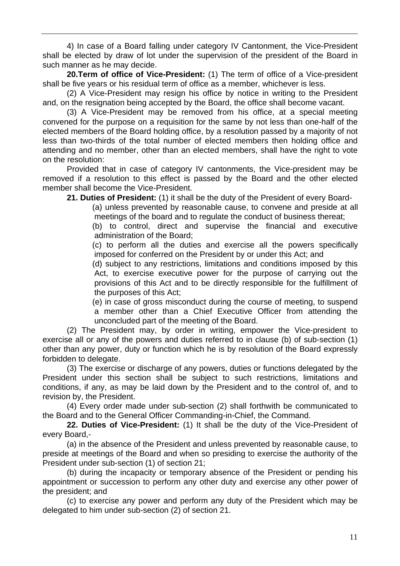4) In case of a Board falling under category IV Cantonment, the Vice-President shall be elected by draw of lot under the supervision of the president of the Board in such manner as he may decide.

**20.Term of office of Vice-President:** (1) The term of office of a Vice-president shall be five years or his residual term of office as a member, whichever is less.

(2) A Vice-President may resign his office by notice in writing to the President and, on the resignation being accepted by the Board, the office shall become vacant.

(3) A Vice-President may be removed from his office, at a special meeting convened for the purpose on a requisition for the same by not less than one-half of the elected members of the Board holding office, by a resolution passed by a majority of not less than two-thirds of the total number of elected members then holding office and attending and no member, other than an elected members, shall have the right to vote on the resolution:

Provided that in case of category IV cantonments, the Vice-president may be removed if a resolution to this effect is passed by the Board and the other elected member shall become the Vice-President.

**21. Duties of President:** (1) it shall be the duty of the President of every Board-

 (a) unless prevented by reasonable cause, to convene and preside at all meetings of the board and to regulate the conduct of business thereat;

 (b) to control, direct and supervise the financial and executive administration of the Board;

 (c) to perform all the duties and exercise all the powers specifically imposed for conferred on the President by or under this Act; and

 (d) subject to any restrictions, limitations and conditions imposed by this Act, to exercise executive power for the purpose of carrying out the provisions of this Act and to be directly responsible for the fulfillment of the purposes of this Act;

 (e) in case of gross misconduct during the course of meeting, to suspend a member other than a Chief Executive Officer from attending the unconcluded part of the meeting of the Board.

(2) The President may, by order in writing, empower the Vice-president to exercise all or any of the powers and duties referred to in clause (b) of sub-section (1) other than any power, duty or function which he is by resolution of the Board expressly forbidden to delegate.

(3) The exercise or discharge of any powers, duties or functions delegated by the President under this section shall be subject to such restrictions, limitations and conditions, if any, as may be laid down by the President and to the control of, and to revision by, the President.

(4) Every order made under sub-section (2) shall forthwith be communicated to the Board and to the General Officer Commanding-in-Chief, the Command.

**22. Duties of Vice-President:** (1) It shall be the duty of the Vice-President of every Board,-

(a) in the absence of the President and unless prevented by reasonable cause, to preside at meetings of the Board and when so presiding to exercise the authority of the President under sub-section (1) of section 21;

(b) during the incapacity or temporary absence of the President or pending his appointment or succession to perform any other duty and exercise any other power of the president; and

(c) to exercise any power and perform any duty of the President which may be delegated to him under sub-section (2) of section 21.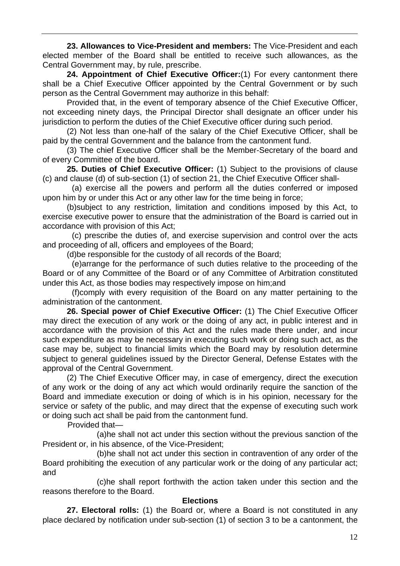**23. Allowances to Vice-President and members:** The Vice-President and each elected member of the Board shall be entitled to receive such allowances, as the Central Government may, by rule, prescribe.

**24. Appointment of Chief Executive Officer:**(1) For every cantonment there shall be a Chief Executive Officer appointed by the Central Government or by such person as the Central Government may authorize in this behalf:

Provided that, in the event of temporary absence of the Chief Executive Officer, not exceeding ninety days, the Principal Director shall designate an officer under his jurisdiction to perform the duties of the Chief Executive officer during such period.

(2) Not less than one-half of the salary of the Chief Executive Officer, shall be paid by the central Government and the balance from the cantonment fund.

(3) The chief Executive Officer shall be the Member-Secretary of the board and of every Committee of the board.

**25. Duties of Chief Executive Officer:** (1) Subject to the provisions of clause (c) and clause (d) of sub-section (1) of section 21, the Chief Executive Officer shall-

 (a) exercise all the powers and perform all the duties conferred or imposed upon him by or under this Act or any other law for the time being in force;

(b)subject to any restriction, limitation and conditions imposed by this Act, to exercise executive power to ensure that the administration of the Board is carried out in accordance with provision of this Act;

 (c) prescribe the duties of, and exercise supervision and control over the acts and proceeding of all, officers and employees of the Board;

(d)be responsible for the custody of all records of the Board;

 (e)arrange for the performance of such duties relative to the proceeding of the Board or of any Committee of the Board or of any Committee of Arbitration constituted under this Act, as those bodies may respectively impose on him;and

 (f)comply with every requisition of the Board on any matter pertaining to the administration of the cantonment.

**26. Special power of Chief Executive Officer:** (1) The Chief Executive Officer may direct the execution of any work or the doing of any act, in public interest and in accordance with the provision of this Act and the rules made there under, and incur such expenditure as may be necessary in executing such work or doing such act, as the case may be, subject to financial limits which the Board may by resolution determine subject to general guidelines issued by the Director General, Defense Estates with the approval of the Central Government.

(2) The Chief Executive Officer may, in case of emergency, direct the execution of any work or the doing of any act which would ordinarily require the sanction of the Board and immediate execution or doing of which is in his opinion, necessary for the service or safety of the public, and may direct that the expense of executing such work or doing such act shall be paid from the cantonment fund.

Provided that—

 (a)he shall not act under this section without the previous sanction of the President or, in his absence, of the Vice-President;

 (b)he shall not act under this section in contravention of any order of the Board prohibiting the execution of any particular work or the doing of any particular act; and

 (c)he shall report forthwith the action taken under this section and the reasons therefore to the Board.

#### **Elections**

**27. Electoral rolls:** (1) the Board or, where a Board is not constituted in any place declared by notification under sub-section (1) of section 3 to be a cantonment, the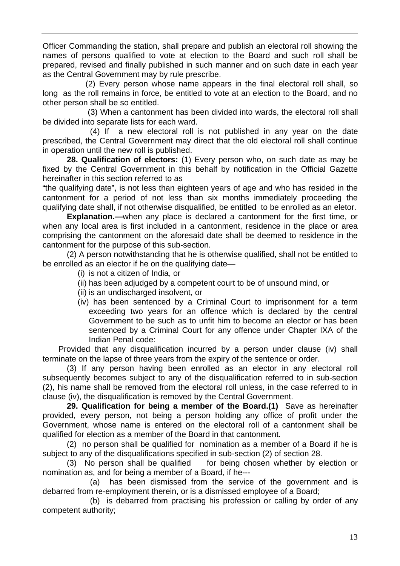Officer Commanding the station, shall prepare and publish an electoral roll showing the names of persons qualified to vote at election to the Board and such roll shall be prepared, revised and finally published in such manner and on such date in each year as the Central Government may by rule prescribe.

 (2) Every person whose name appears in the final electoral roll shall, so long as the roll remains in force, be entitled to vote at an election to the Board, and no other person shall be so entitled.

 (3) When a cantonment has been divided into wards, the electoral roll shall be divided into separate lists for each ward.

 (4) If a new electoral roll is not published in any year on the date prescribed, the Central Government may direct that the old electoral roll shall continue in operation until the new roll is published.

**28. Qualification of electors:** (1) Every person who, on such date as may be fixed by the Central Government in this behalf by notification in the Official Gazette hereinafter in this section referred to as

"the qualifying date", is not less than eighteen years of age and who has resided in the cantonment for a period of not less than six months immediately proceeding the qualifying date shall, if not otherwise disqualified, be entitled to be enrolled as an eletor.

**Explanation.—**when any place is declared a cantonment for the first time, or when any local area is first included in a cantonment, residence in the place or area comprising the cantonment on the aforesaid date shall be deemed to residence in the cantonment for the purpose of this sub-section.

(2) A person notwithstanding that he is otherwise qualified, shall not be entitled to be enrolled as an elector if he on the qualifying date—

- (i) is not a citizen of India, or
- (ii) has been adjudged by a competent court to be of unsound mind, or
- (ii) is an undischarged insolvent, or
- (iv) has been sentenced by a Criminal Court to imprisonment for a term exceeding two years for an offence which is declared by the central Government to be such as to unfit him to become an elector or has been sentenced by a Criminal Court for any offence under Chapter IXA of the Indian Penal code:

 Provided that any disqualification incurred by a person under clause (iv) shall terminate on the lapse of three years from the expiry of the sentence or order.

(3) If any person having been enrolled as an elector in any electoral roll subsequently becomes subject to any of the disqualification referred to in sub-section (2), his name shall be removed from the electoral roll unless, in the case referred to in clause (iv), the disqualification is removed by the Central Government.

**29. Qualification for being a member of the Board.(1)** Save as hereinafter provided, every person, not being a person holding any office of profit under the Government, whose name is entered on the electoral roll of a cantonment shall be qualified for election as a member of the Board in that cantonment.

(2) no person shall be qualified for nomination as a member of a Board if he is subject to any of the disqualifications specified in sub-section (2) of section 28.

(3) No person shall be qualified for being chosen whether by election or nomination as, and for being a member of a Board, if he---

 (a) has been dismissed from the service of the government and is debarred from re-employment therein, or is a dismissed employee of a Board;

 (b) is debarred from practising his profession or calling by order of any competent authority;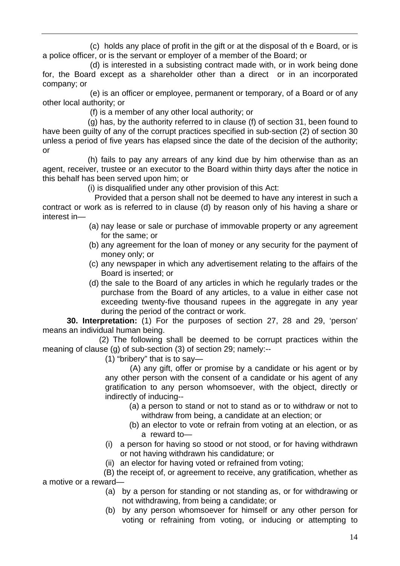(c) holds any place of profit in the gift or at the disposal of th e Board, or is a police officer, or is the servant or employer of a member of the Board; or

 (d) is interested in a subsisting contract made with, or in work being done for, the Board except as a shareholder other than a direct or in an incorporated company; or

 (e) is an officer or employee, permanent or temporary, of a Board or of any other local authority; or

(f) is a member of any other local authority; or

 (g) has, by the authority referred to in clause (f) of section 31, been found to have been guilty of any of the corrupt practices specified in sub-section (2) of section 30 unless a period of five years has elapsed since the date of the decision of the authority; or

 (h) fails to pay any arrears of any kind due by him otherwise than as an agent, receiver, trustee or an executor to the Board within thirty days after the notice in this behalf has been served upon him; or

(i) is disqualified under any other provision of this Act:

 Provided that a person shall not be deemed to have any interest in such a contract or work as is referred to in clause (d) by reason only of his having a share or interest in—

- (a) nay lease or sale or purchase of immovable property or any agreement for the same; or
- (b) any agreement for the loan of money or any security for the payment of money only; or
- (c) any newspaper in which any advertisement relating to the affairs of the Board is inserted; or
- (d) the sale to the Board of any articles in which he regularly trades or the purchase from the Board of any articles, to a value in either case not exceeding twenty-five thousand rupees in the aggregate in any year during the period of the contract or work.

 **30. Interpretation:** (1) For the purposes of section 27, 28 and 29, 'person' means an individual human being.

 (2) The following shall be deemed to be corrupt practices within the meaning of clause (g) of sub-section (3) of section 29; namely:--

(1) "bribery" that is to say—

 (A) any gift, offer or promise by a candidate or his agent or by any other person with the consent of a candidate or his agent of any gratification to any person whomsoever, with the object, directly or indirectly of inducing--

- (a) a person to stand or not to stand as or to withdraw or not to withdraw from being, a candidate at an election; or
- (b) an elector to vote or refrain from voting at an election, or as a reward to—
- (i) a person for having so stood or not stood, or for having withdrawn or not having withdrawn his candidature; or
- (ii) an elector for having voted or refrained from voting;

 (B) the receipt of, or agreement to receive, any gratification, whether as a motive or a reward—

- (a) by a person for standing or not standing as, or for withdrawing or not withdrawing, from being a candidate; or
- (b) by any person whomsoever for himself or any other person for voting or refraining from voting, or inducing or attempting to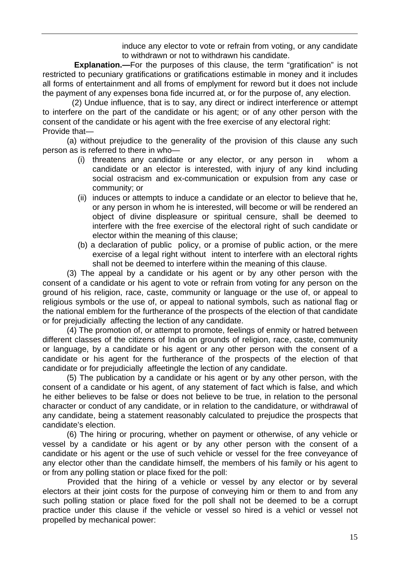induce any elector to vote or refrain from voting, or any candidate to withdrawn or not to withdrawn his candidate.

 **Explanation.—**For the purposes of this clause, the term "gratification" is not restricted to pecuniary gratifications or gratifications estimable in money and it includes all forms of entertainment and all froms of emplyment for reword but it does not include the payment of any expenses bona fide incurred at, or for the purpose of, any election.

 (2) Undue influence, that is to say, any direct or indirect interference or attempt to interfere on the part of the candidate or his agent; or of any other person with the consent of the candidate or his agent with the free exercise of any electoral right: Provide that—

(a) without prejudice to the generality of the provision of this clause any such person as is referred to there in who—

- (i) threatens any candidate or any elector, or any person in whom a candidate or an elector is interested, with injury of any kind including social ostracism and ex-communication or expulsion from any case or community; or
- (ii) induces or attempts to induce a candidate or an elector to believe that he, or any person in whom he is interested, will become or will be rendered an object of divine displeasure or spiritual censure, shall be deemed to interfere with the free exercise of the electoral right of such candidate or elector within the meaning of this clause;
- (b) a declaration of public policy, or a promise of public action, or the mere exercise of a legal right without intent to interfere with an electoral rights shall not be deemed to interfere within the meaning of this clause.

(3) The appeal by a candidate or his agent or by any other person with the consent of a candidate or his agent to vote or refrain from voting for any person on the ground of his religion, race, caste, community or language or the use of, or appeal to religious symbols or the use of, or appeal to national symbols, such as national flag or the national emblem for the furtherance of the prospects of the election of that candidate or for prejudicially affecting the lection of any candidate.

(4) The promotion of, or attempt to promote, feelings of enmity or hatred between different classes of the citizens of India on grounds of religion, race, caste, community or language, by a candidate or his agent or any other person with the consent of a candidate or his agent for the furtherance of the prospects of the election of that candidate or for prejudicially affeetingle the lection of any candidate.

(5) The publication by a candidate or his agent or by any other person, with the consent of a candidate or his agent, of any statement of fact which is false, and which he either believes to be false or does not believe to be true, in relation to the personal character or conduct of any candidate, or in relation to the candidature, or withdrawal of any candidate, being a statement reasonably calculated to prejudice the prospects that candidate's election.

(6) The hiring or procuring, whether on payment or otherwise, of any vehicle or vessel by a candidate or his agent or by any other person with the consent of a candidate or his agent or the use of such vehicle or vessel for the free conveyance of any elector other than the candidate himself, the members of his family or his agent to or from any polling station or place fixed for the poll:

 Provided that the hiring of a vehicle or vessel by any elector or by several electors at their joint costs for the purpose of conveying him or them to and from any such polling station or place fixed for the poll shall not be deemed to be a corrupt practice under this clause if the vehicle or vessel so hired is a vehicl or vessel not propelled by mechanical power: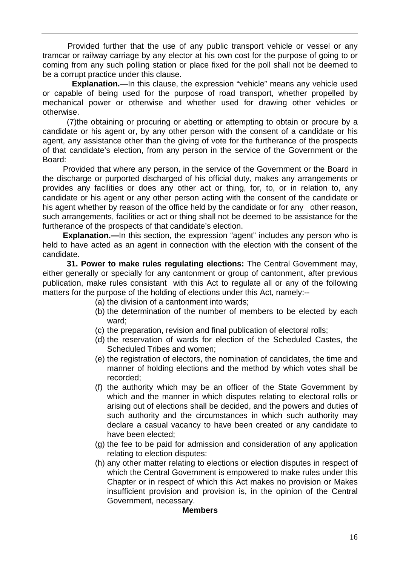Provided further that the use of any public transport vehicle or vessel or any tramcar or railway carriage by any elector at his own cost for the purpose of going to or coming from any such polling station or place fixed for the poll shall not be deemed to be a corrupt practice under this clause.

 **Explanation.—**In this clause, the expression "vehicle" means any vehicle used or capable of being used for the purpose of road transport, whether propelled by mechanical power or otherwise and whether used for drawing other vehicles or otherwise.

(7)the obtaining or procuring or abetting or attempting to obtain or procure by a candidate or his agent or, by any other person with the consent of a candidate or his agent, any assistance other than the giving of vote for the furtherance of the prospects of that candidate's election, from any person in the service of the Government or the Board:

 Provided that where any person, in the service of the Government or the Board in the discharge or purported discharged of his official duty, makes any arrangements or provides any facilities or does any other act or thing, for, to, or in relation to, any candidate or his agent or any other person acting with the consent of the candidate or his agent whether by reason of the office held by the candidate or for any other reason, such arrangements, facilities or act or thing shall not be deemed to be assistance for the furtherance of the prospects of that candidate's election.

**Explanation.—**In this section, the expression "agent" includes any person who is held to have acted as an agent in connection with the election with the consent of the candidate.

**31. Power to make rules regulating elections:** The Central Government may, either generally or specially for any cantonment or group of cantonment, after previous publication, make rules consistant with this Act to regulate all or any of the following matters for the purpose of the holding of elections under this Act, namely:--

- (a) the division of a cantonment into wards;
- (b) the determination of the number of members to be elected by each ward;
- (c) the preparation, revision and final publication of electoral rolls;
- (d) the reservation of wards for election of the Scheduled Castes, the Scheduled Tribes and women;
- (e) the registration of electors, the nomination of candidates, the time and manner of holding elections and the method by which votes shall be recorded;
- (f) the authority which may be an officer of the State Government by which and the manner in which disputes relating to electoral rolls or arising out of elections shall be decided, and the powers and duties of such authority and the circumstances in which such authority may declare a casual vacancy to have been created or any candidate to have been elected;
- (g) the fee to be paid for admission and consideration of any application relating to election disputes:
- (h) any other matter relating to elections or election disputes in respect of which the Central Government is empowered to make rules under this Chapter or in respect of which this Act makes no provision or Makes insufficient provision and provision is, in the opinion of the Central Government, necessary.

#### **Members**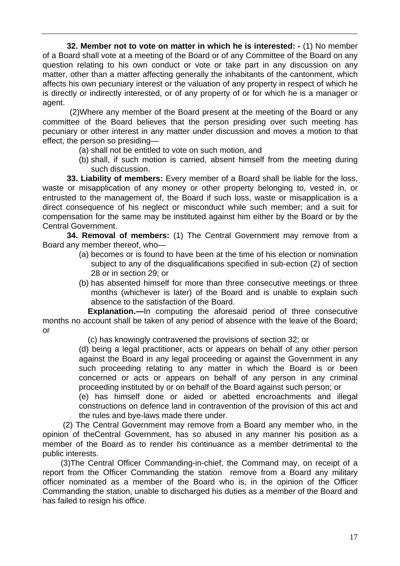**32. Member not to vote on matter in which he is interested: -** (1) No member of a Board shall vote at a meeting of the Board or of any Committee of the Board on any question relating to his own conduct or vote or take part in any discussion on any matter, other than a matter affecting generally the inhabitants of the cantonment, which affects his own pecuniary interest or the valuation of any property in respect of which he is directly or indirectly interested, or of any property of or for which he is a manager or agent.

 (2)Where any member of the Board present at the meeting of the Board or any committee of the Board believes that the person presiding over such meeting has pecuniary or other interest in any matter under discussion and moves a motion to that effect, the person so presiding—

- (a) shall not be entitled to vote on such motion, and
- (b) shall, if such motion is carried, absent himself from the meeting during such discussion.

**33. Liability of members:** Every member of a Board shall be liable for the loss, waste or misapplication of any money or other property belonging to, vested in, or entrusted to the management of, the Board if such loss, waste or misapplication is a direct consequence of his neglect or misconduct while such member; and a suit for compensation for the same may be instituted against him either by the Board or by the Central Government.

**34. Removal of members:** (1) The Central Government may remove from a Board any member thereof, who—

- (a) becomes or is found to have been at the time of his election or nomination subject to any of the disqualifications specified in sub-ection (2) of section 28 or in section 29; or
- (b) has absented himself for more than three consecutive meetings or three months (whichever is later) of the Board and is unable to explain such absence to the satisfaction of the Board.

 **Explanation.—**In computing the aforesaid period of three consecutive months no account shall be taken of any period of absence with the leave of the Board; or

(c) has knowingly contravened the provisions of section 32; or

(d) being a legal practitioner, acts or appears on behalf of any other person against the Board in any legal proceeding or against the Government in any such proceeding relating to any matter in which the Board is or been concerned or acts or appears on behalf of any person in any criminal proceeding instituted by or on behalf of the Board against such person; or

(e) has himself done or aided or abetted encroachments and illegal constructions on defence land in contravention of the provision of this act and the rules and bye-laws made there under.

 (2) The Central Government may remove from a Board any member who, in the opinion of theCentral Government, has so abused in any manner his position as a member of the Board as to render his continuance as a member detrimental to the public interests.

 (3)The Central Officer Commanding-in-chief, the Command may, on receipt of a report from the Officer Commanding the station remove from a Board any military officer nominated as a member of the Board who is, in the opinion of the Officer Commanding the station, unable to discharged his duties as a member of the Board and has failed to resign his office.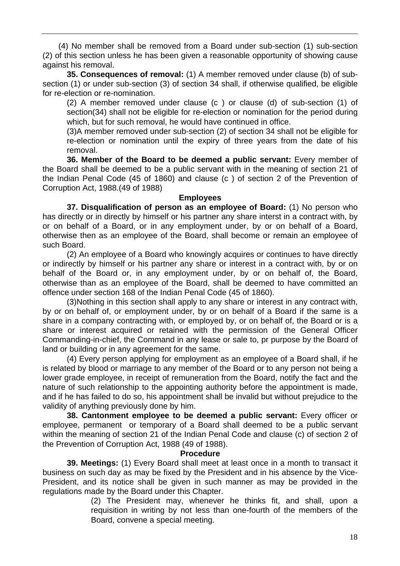(4) No member shall be removed from a Board under sub-section (1) sub-section (2) of this section unless he has been given a reasonable opportunity of showing cause against his removal.

**35. Consequences of removal:** (1) A member removed under clause (b) of subsection (1) or under sub-section (3) of section 34 shall, if otherwise qualified, be eligible for re-election or re-nomination.

(2) A member removed under clause (c ) or clause (d) of sub-section (1) of section(34) shall not be eligible for re-election or nomination for the period during which, but for such removal, he would have continued in office.

(3)A member removed under sub-section (2) of section 34 shall not be eligible for re-election or nomination until the expiry of three years from the date of his removal.

**36. Member of the Board to be deemed a public servant:** Every member of the Board shall be deemed to be a public servant with in the meaning of section 21 of the Indian Penal Code (45 of 1860) and clause (c ) of section 2 of the Prevention of Corruption Act, 1988.(49 of 1988)

#### **Employees**

**37. Disqualification of person as an employee of Board:** (1) No person who has directly or in directly by himself or his partner any share interst in a contract with, by or on behalf of a Board, or in any employment under, by or on behalf of a Board, otherwise then as an employee of the Board, shall become or remain an employee of such Board.

(2) An employee of a Board who knowingly acquires or continues to have directly or indirectly by himself or his partner any share or interest in a contract with, by or on behalf of the Board or, in any employment under, by or on behalf of, the Board, otherwise than as an employee of the Board, shall be deemed to have committed an offence under section 168 of the Indian Penal Code (45 of 1860).

(3)Nothing in this section shall apply to any share or interest in any contract with, by or on behalf of, or employment under, by or on behalf of a Board if the same is a share in a company contracting with, or employed by, or on behalf of, the Board or is a share or interest acquired or retained with the permission of the General Officer Commanding-in-chief, the Command in any lease or sale to, pr purpose by the Board of land or building or in any agreement for the same.

(4) Every person applying for employment as an employee of a Board shall, if he is related by blood or marriage to any member of the Board or to any person not being a lower grade employee, in receipt of remuneration from the Board, notify the fact and the nature of such relationship to the appointing authority before the appointment is made, and if he has failed to do so, his appointment shall be invalid but without prejudice to the validity of anything previously done by him.

**38. Cantonment employee to be deemed a public servant:** Every officer or employee, permanent or temporary of a Board shall deemed to be a public servant within the meaning of section 21 of the Indian Penal Code and clause (c) of section 2 of the Prevention of Corruption Act, 1988 (49 of 1988).

#### **Procedure**

 **39. Meetings:** (1) Every Board shall meet at least once in a month to transact it business on such day as may be fixed by the President and in his absence by the Vice-President, and its notice shall be given in such manner as may be provided in the regulations made by the Board under this Chapter.

(2) The President may, whenever he thinks fit, and shall, upon a requisition in writing by not less than one-fourth of the members of the Board, convene a special meeting.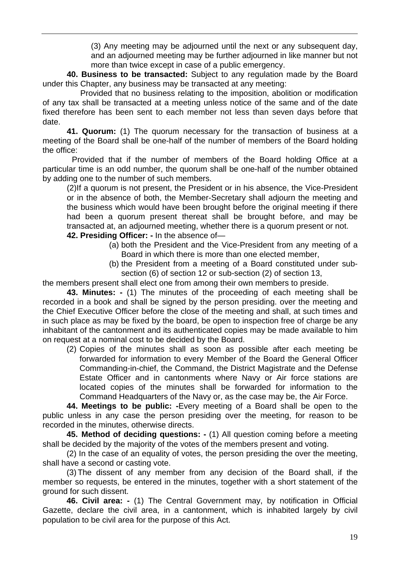(3) Any meeting may be adjourned until the next or any subsequent day, and an adjourned meeting may be further adjourned in like manner but not more than twice except in case of a public emergency.

**40. Business to be transacted:** Subject to any regulation made by the Board under this Chapter, any business may be transacted at any meeting:

 Provided that no business relating to the imposition, abolition or modification of any tax shall be transacted at a meeting unless notice of the same and of the date fixed therefore has been sent to each member not less than seven days before that date.

 **41. Quorum:** (1) The quorum necessary for the transaction of business at a meeting of the Board shall be one-half of the number of members of the Board holding the office:

 Provided that if the number of members of the Board holding Office at a particular time is an odd number, the quorum shall be one-half of the number obtained by adding one to the number of such members.

(2)If a quorum is not present, the President or in his absence, the Vice-President or in the absence of both, the Member-Secretary shall adjourn the meeting and the business which would have been brought before the original meeting if there had been a quorum present thereat shall be brought before, and may be transacted at, an adjourned meeting, whether there is a quorum present or not. **42. Presiding Officer: -** In the absence of—

- (a) both the President and the Vice-President from any meeting of a Board in which there is more than one elected member,
- (b) the President from a meeting of a Board constituted under subsection (6) of section 12 or sub-section (2) of section 13,

the members present shall elect one from among their own members to preside.

**43. Minutes: -** (1) The minutes of the proceeding of each meeting shall be recorded in a book and shall be signed by the person presiding. over the meeting and the Chief Executive Officer before the close of the meeting and shall, at such times and in such place as may be fixed by the board, be open to inspection free of charge be any inhabitant of the cantonment and its authenticated copies may be made available to him on request at a nominal cost to be decided by the Board.

(2) Copies of the minutes shall as soon as possible after each meeting be forwarded for information to every Member of the Board the General Officer Commanding-in-chief, the Command, the District Magistrate and the Defense Estate Officer and in cantonments where Navy or Air force stations are located copies of the minutes shall be forwarded for information to the Command Headquarters of the Navy or, as the case may be, the Air Force.

**44. Meetings to be public: -**Every meeting of a Board shall be open to the public unless in any case the person presiding over the meeting, for reason to be recorded in the minutes, otherwise directs.

**45. Method of deciding questions: -** (1) All question coming before a meeting shall be decided by the majority of the votes of the members present and voting.

(2) In the case of an equality of votes, the person presiding the over the meeting, shall have a second or casting vote.

(3) The dissent of any member from any decision of the Board shall, if the member so requests, be entered in the minutes, together with a short statement of the ground for such dissent.

**46. Civil area: -** (1) The Central Government may, by notification in Official Gazette, declare the civil area, in a cantonment, which is inhabited largely by civil population to be civil area for the purpose of this Act.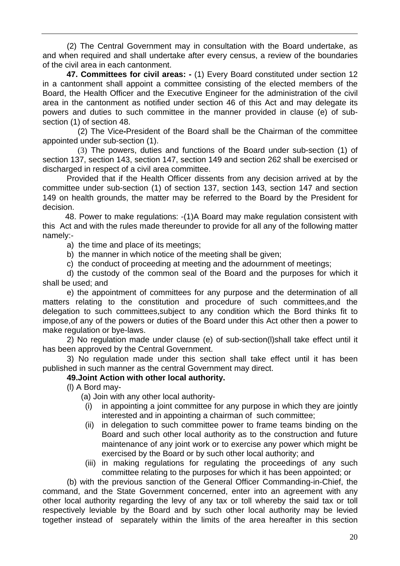(2) The Central Government may in consultation with the Board undertake, as and when required and shall undertake after every census, a review of the boundaries of the civil area in each cantonment.

**47. Committees for civil areas: -** (1) Every Board constituted under section 12 in a cantonment shall appoint a committee consisting of the elected members of the Board, the Health Officer and the Executive Engineer for the administration of the civil area in the cantonment as notified under section 46 of this Act and may delegate its powers and duties to such committee in the manner provided in clause (e) of subsection (1) of section 48.

(2) The Vice**-**President of the Board shall be the Chairman of the committee appointed under sub-section (1).

 (3) The powers, duties and functions of the Board under sub-section (1) of section 137, section 143, section 147, section 149 and section 262 shall be exercised or discharged in respect of a civil area committee.

Provided that if the Health Officer dissents from any decision arrived at by the committee under sub-section (1) of section 137, section 143, section 147 and section 149 on health grounds, the matter may be referred to the Board by the President for decision.

 48. Power to make regulations: -(1)A Board may make regulation consistent with this Act and with the rules made thereunder to provide for all any of the following matter namely:-

a) the time and place of its meetings;

- b) the manner in which notice of the meeting shall be given;
- c) the conduct of proceeding at meeting and the adournment of meetings;

d) the custody of the common seal of the Board and the purposes for which it shall be used; and

e) the appointment of committees for any purpose and the determination of all matters relating to the constitution and procedure of such committees,and the delegation to such committees,subject to any condition which the Bord thinks fit to impose,of any of the powers or duties of the Board under this Act other then a power to make regulation or bye-laws.

2) No regulation made under clause (e) of sub-section(l)shall take effect until it has been approved by the Central Government.

3) No regulation made under this section shall take effect until it has been published in such manner as the central Government may direct.

### **49.Joint Action with other local authority.**

(l) A Bord may-

(a) Join with any other local authority-

- (i) in appointing a joint committee for any purpose in which they are jointly interested and in appointing a chairman of such committee;
- (ii) in delegation to such committee power to frame teams binding on the Board and such other local authority as to the construction and future maintenance of any joint work or to exercise any power which might be exercised by the Board or by such other local authority; and
- (iii) in making regulations for regulating the proceedings of any such committee relating to the purposes for which it has been appointed; or

(b) with the previous sanction of the General Officer Commanding-in-Chief, the command, and the State Government concerned, enter into an agreement with any other local authority regarding the levy of any tax or toll whereby the said tax or toll respectively leviable by the Board and by such other local authority may be levied together instead of separately within the limits of the area hereafter in this section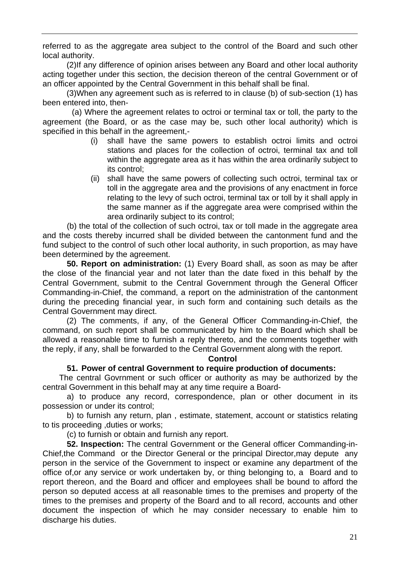referred to as the aggregate area subject to the control of the Board and such other local authority.

(2)If any difference of opinion arises between any Board and other local authority acting together under this section, the decision thereon of the central Government or of an officer appointed by the Central Government in this behalf shall be final.

(3)When any agreement such as is referred to in clause (b) of sub-section (1) has been entered into, then-

 (a) Where the agreement relates to octroi or terminal tax or toll, the party to the agreement (the Board, or as the case may be, such other local authority) which is specified in this behalf in the agreement,-

- (i) shall have the same powers to establish octroi limits and octroi stations and places for the collection of octroi, terminal tax and toll within the aggregate area as it has within the area ordinarily subject to its control;
- (ii) shall have the same powers of collecting such octroi, terminal tax or toll in the aggregate area and the provisions of any enactment in force relating to the levy of such octroi, terminal tax or toll by it shall apply in the same manner as if the aggregate area were comprised within the area ordinarily subject to its control;

(b) the total of the collection of such octroi, tax or toll made in the aggregate area and the costs thereby incurred shall be divided between the cantonment fund and the fund subject to the control of such other local authority, in such proportion, as may have been determined by the agreement.

**50. Report on administration:** (1) Every Board shall, as soon as may be after the close of the financial year and not later than the date fixed in this behalf by the Central Government, submit to the Central Government through the General Officer Commanding-in-Chief, the command, a report on the administration of the cantonment during the preceding financial year, in such form and containing such details as the Central Government may direct.

(2) The comments, if any, of the General Officer Commanding-in-Chief, the command, on such report shall be communicated by him to the Board which shall be allowed a reasonable time to furnish a reply thereto, and the comments together with the reply, if any, shall be forwarded to the Central Government along with the report.

**Control** 

### **51. Power of central Government to require production of documents:**

The central Govrnment or such officer or authority as may be authorized by the central Government in this behalf may at any time require a Board-

a) to produce any record, correspondence, plan or other document in its possession or under its control;

b) to furnish any return, plan , estimate, statement, account or statistics relating to tis proceeding ,duties or works;

(c) to furnish or obtain and furnish any report.

 **52. Inspection:** The central Government or the General officer Commanding-in-Chief,the Command or the Director General or the principal Director,may depute any person in the service of the Government to inspect or examine any department of the office of,or any service or work undertaken by, or thing belonging to, a Board and to report thereon, and the Board and officer and employees shall be bound to afford the person so deputed access at all reasonable times to the premises and property of the times to the premises and property of the Board and to all record, accounts and other document the inspection of which he may consider necessary to enable him to discharge his duties.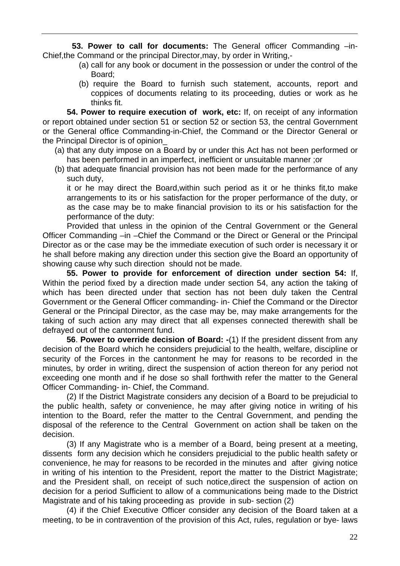**53. Power to call for documents:** The General officer Commanding –in-Chief,the Command or the principal Director,may, by order in Writing,-

- (a) call for any book or document in the possession or under the control of the Board;
- (b) require the Board to furnish such statement, accounts, report and coppices of documents relating to its proceeding, duties or work as he thinks fit.

**54. Power to require execution of work, etc:** If, on receipt of any information or report obtained under section 51 or section 52 or section 53, the central Government or the General office Commanding-in-Chief, the Command or the Director General or the Principal Director is of opinion\_

- (a) that any duty impose on a Board by or under this Act has not been performed or has been performed in an imperfect, inefficient or unsuitable manner ;or
- (b) that adequate financial provision has not been made for the performance of any such duty,

it or he may direct the Board,within such period as it or he thinks fit,to make arrangements to its or his satisfaction for the proper performance of the duty, or as the case may be to make financial provision to its or his satisfaction for the performance of the duty:

Provided that unless in the opinion of the Central Government or the General Officer Commanding –in –Chief the Command or the Direct or General or the Principal Director as or the case may be the immediate execution of such order is necessary it or he shall before making any direction under this section give the Board an opportunity of showing cause why such direction should not be made.

**55. Power to provide for enforcement of direction under section 54:** If, Within the period fixed by a direction made under section 54, any action the taking of which has been directed under that section has not been duly taken the Central Government or the General Officer commanding- in- Chief the Command or the Director General or the Principal Director, as the case may be, may make arrangements for the taking of such action any may direct that all expenses connected therewith shall be defrayed out of the cantonment fund.

 **56**. **Power to override decision of Board: -**(1) If the president dissent from any decision of the Board which he considers prejudicial to the health, welfare, discipline or security of the Forces in the cantonment he may for reasons to be recorded in the minutes, by order in writing, direct the suspension of action thereon for any period not exceeding one month and if he dose so shall forthwith refer the matter to the General Officer Commanding- in- Chief, the Command.

(2) If the District Magistrate considers any decision of a Board to be prejudicial to the public health, safety or convenience, he may after giving notice in writing of his intention to the Board, refer the matter to the Central Government, and pending the disposal of the reference to the Central Government on action shall be taken on the decision.

(3) If any Magistrate who is a member of a Board, being present at a meeting, dissents form any decision which he considers prejudicial to the public health safety or convenience, he may for reasons to be recorded in the minutes and after giving notice in writing of his intention to the President, report the matter to the District Magistrate; and the President shall, on receipt of such notice,direct the suspension of action on decision for a period Sufficient to allow of a communications being made to the District Magistrate and of his taking proceeding as provide in sub- section (2)

(4) if the Chief Executive Officer consider any decision of the Board taken at a meeting, to be in contravention of the provision of this Act, rules, regulation or bye- laws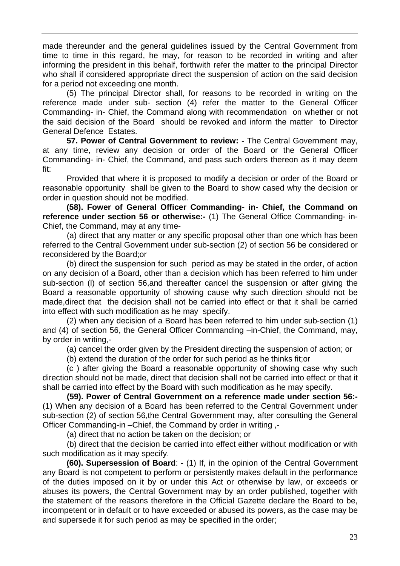made thereunder and the general guidelines issued by the Central Government from time to time in this regard, he may, for reason to be recorded in writing and after informing the president in this behalf, forthwith refer the matter to the principal Director who shall if considered appropriate direct the suspension of action on the said decision for a period not exceeding one month.

(5) The principal Director shall, for reasons to be recorded in writing on the reference made under sub- section (4) refer the matter to the General Officer Commanding- in- Chief, the Command along with recommendation on whether or not the said decision of the Board should be revoked and inform the matter to Director General Defence Estates.

**57. Power of Central Government to review: -** The Central Government may, at any time, review any decision or order of the Board or the General Officer Commanding- in- Chief, the Command, and pass such orders thereon as it may deem fit:

Provided that where it is proposed to modify a decision or order of the Board or reasonable opportunity shall be given to the Board to show cased why the decision or order in question should not be modified.

**(58). Fower of General Officer Commanding- in- Chief, the Command on reference under section 56 or otherwise:-** (1) The General Office Commanding- in-Chief, the Command, may at any time-

(a) direct that any matter or any specific proposal other than one which has been referred to the Central Government under sub-section (2) of section 56 be considered or reconsidered by the Board;or

(b) direct the suspension for such period as may be stated in the order, of action on any decision of a Board, other than a decision which has been referred to him under sub-section (l) of section 56,and thereafter cancel the suspension or after giving the Board a reasonable opportunity of showing cause why such direction should not be made,direct that the decision shall not be carried into effect or that it shall be carried into effect with such modification as he may specify.

(2) when any decision of a Board has been referred to him under sub-section (1) and (4) of section 56, the General Officer Commanding –in-Chief, the Command, may, by order in writing,-

(a) cancel the order given by the President directing the suspension of action; or

(b) extend the duration of the order for such period as he thinks fit;or

(c ) after giving the Board a reasonable opportunity of showing case why such direction should not be made, direct that decision shall not be carried into effect or that it shall be carried into effect by the Board with such modification as he may specify.

**(59). Power of Central Government on a reference made under section 56:-** (1) When any decision of a Board has been referred to the Central Government under sub-section (2) of section 56,the Central Government may, after consulting the General Officer Commanding-in –Chief, the Command by order in writing ,-

(a) direct that no action be taken on the decision; or

(b) direct that the decision be carried into effect either without modification or with such modification as it may specify.

 **(60). Supersession of Board**: - (1) If, in the opinion of the Central Government any Board is not competent to perform or persistently makes default in the performance of the duties imposed on it by or under this Act or otherwise by law, or exceeds or abuses its powers, the Central Government may by an order published, together with the statement of the reasons therefore in the Official Gazette declare the Board to be, incompetent or in default or to have exceeded or abused its powers, as the case may be and supersede it for such period as may be specified in the order;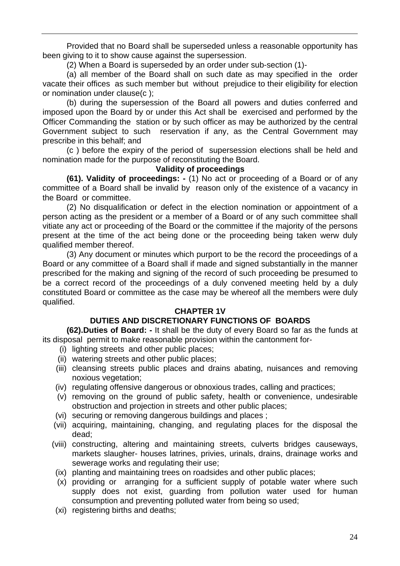Provided that no Board shall be superseded unless a reasonable opportunity has been giving to it to show cause against the supersession.

(2) When a Board is superseded by an order under sub-section (1)-

(a) all member of the Board shall on such date as may specified in the order vacate their offices as such member but without prejudice to their eligibility for election or nomination under clause(c );

(b) during the supersession of the Board all powers and duties conferred and imposed upon the Board by or under this Act shall be exercised and performed by the Officer Commanding the station or by such officer as may be authorized by the central Government subject to such reservation if any, as the Central Government may prescribe in this behalf; and

(c ) before the expiry of the period of supersession elections shall be held and nomination made for the purpose of reconstituting the Board.

### **Validity of proceedings**

**(61). Validity of proceedings: -** (1) No act or proceeding of a Board or of any committee of a Board shall be invalid by reason only of the existence of a vacancy in the Board or committee.

(2) No disqualification or defect in the election nomination or appointment of a person acting as the president or a member of a Board or of any such committee shall vitiate any act or proceeding of the Board or the committee if the majority of the persons present at the time of the act being done or the proceeding being taken werw duly qualified member thereof.

(3) Any document or minutes which purport to be the record the proceedings of a Board or any committee of a Board shall if made and signed substantially in the manner prescribed for the making and signing of the record of such proceeding be presumed to be a correct record of the proceedings of a duly convened meeting held by a duly constituted Board or committee as the case may be whereof all the members were duly qualified.

### **CHAPTER 1V**

## **DUTIES AND DISCRETIONARY FUNCTIONS OF BOARDS**

**(62).Duties of Board: -** It shall be the duty of every Board so far as the funds at its disposal permit to make reasonable provision within the cantonment for-

- (i) lighting streets and other public places;
- (ii) watering streets and other public places;
- (iii) cleansing streets public places and drains abating, nuisances and removing noxious vegetation;
- (iv) regulating offensive dangerous or obnoxious trades, calling and practices;
- (v) removing on the ground of public safety, health or convenience, undesirable obstruction and projection in streets and other public places;
- (vi) securing or removing dangerous buildings and places ;
- (vii) acquiring, maintaining, changing, and regulating places for the disposal the dead;
- (viii) constructing, altering and maintaining streets, culverts bridges causeways, markets slaugher- houses latrines, privies, urinals, drains, drainage works and sewerage works and regulating their use;
- (ix) planting and maintaining trees on roadsides and other public places;
- (x) providing or arranging for a sufficient supply of potable water where such supply does not exist, guarding from pollution water used for human consumption and preventing polluted water from being so used;
- (xi) registering births and deaths;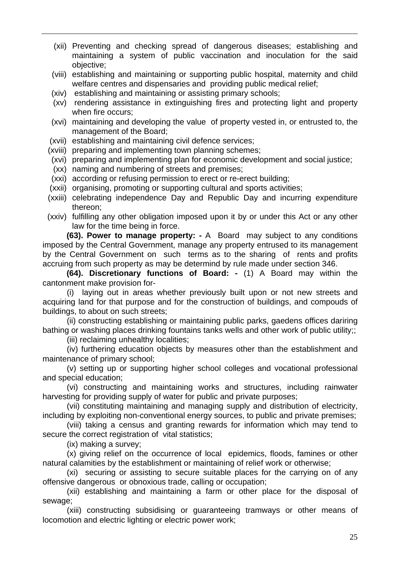- (xii) Preventing and checking spread of dangerous diseases; establishing and maintaining a system of public vaccination and inoculation for the said objective;
- (viii) establishing and maintaining or supporting public hospital, maternity and child welfare centres and dispensaries and providing public medical relief;
- (xiv) establishing and maintaining or assisting primary schools;
- (xv) rendering assistance in extinguishing fires and protecting light and property when fire occurs;
- (xvi) maintaining and developing the value of property vested in, or entrusted to, the management of the Board;
- (xvii) establishing and maintaining civil defence services;
- (xviii) preparing and implementing town planning schemes;
- (xvi) preparing and implementing plan for economic development and social justice;
- (xx) naming and numbering of streets and premises;
- (xxi) according or refusing permission to erect or re-erect building;
- (xxii) organising, promoting or supporting cultural and sports activities;
- (xxiii) celebrating independence Day and Republic Day and incurring expenditure thereon;
- (xxiv) fulfilling any other obligation imposed upon it by or under this Act or any other law for the time being in force.

**(63). Power to manage property: -** A Board may subject to any conditions imposed by the Central Government, manage any property entrused to its management by the Central Government on such terms as to the sharing of rents and profits accruing from such property as may be determind by rule made under section 346.

**(64). Discretionary functions of Board: -** (1) A Board may within the cantonment make provision for-

(i) laying out in areas whether previously built upon or not new streets and acquiring land for that purpose and for the construction of buildings, and compouds of buildings, to about on such streets;

(ii) constructing establishing or maintaining public parks, gaedens offices dariring bathing or washing places drinking fountains tanks wells and other work of public utility;

(iii) reclaiming unhealthy localities;

(iv) furthering education objects by measures other than the establishment and maintenance of primary school;

(v) setting up or supporting higher school colleges and vocational professional and special education;

(vi) constructing and maintaining works and structures, including rainwater harvesting for providing supply of water for public and private purposes;

(vii) constituting maintaining and managing supply and distribution of electricity, including by exploiting non-conventional energy sources, to public and private premises;

(viii) taking a census and granting rewards for information which may tend to secure the correct registration of vital statistics;

(ix) making a survey;

(x) giving relief on the occurrence of local epidemics, floods, famines or other natural calamities by the establishment or maintaining of relief work or otherwise;

(xi) securing or assisting to secure suitable places for the carrying on of any offensive dangerous or obnoxious trade, calling or occupation;

(xii) establishing and maintaining a farm or other place for the disposal of sewage;

(xiii) constructing subsidising or guaranteeing tramways or other means of locomotion and electric lighting or electric power work;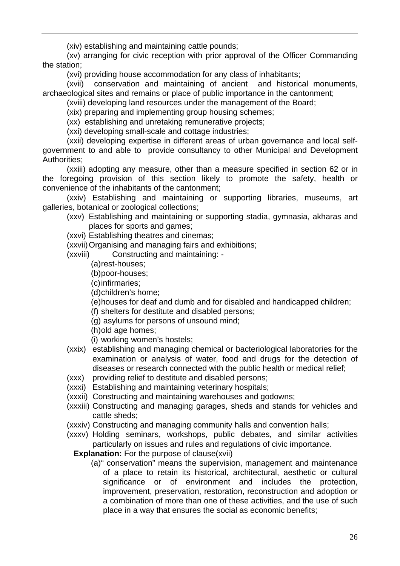(xiv) establishing and maintaining cattle pounds;

(xv) arranging for civic reception with prior approval of the Officer Commanding the station;

(xvi) providing house accommodation for any class of inhabitants;

(xvii) conservation and maintaining of ancient and historical monuments, archaeological sites and remains or place of public importance in the cantonment;

(xviii) developing land resources under the management of the Board;

(xix) preparing and implementing group housing schemes;

(xx) establishing and unretaking remunerative projects;

(xxi) developing small-scale and cottage industries;

(xxii) developing expertise in different areas of urban governance and local selfgovernment to and able to provide consultancy to other Municipal and Development Authorities;

(xxiii) adopting any measure, other than a measure specified in section 62 or in the foregoing provision of this section likely to promote the safety, health or convenience of the inhabitants of the cantonment;

(xxiv) Establishing and maintaining or supporting libraries, museums, art galleries, botanical or zoological collections;

(xxv) Establishing and maintaining or supporting stadia, gymnasia, akharas and places for sports and games;

(xxvi) Establishing theatres and cinemas;

(xxvii)Organising and managing fairs and exhibitions;

(xxviii) Constructing and maintaining: -

- (a) rest-houses;
- (b) poor-houses;
- (c) infirmaries;
- (d) children's home;
- (e) houses for deaf and dumb and for disabled and handicapped children;
- (f) shelters for destitute and disabled persons;
- (g) asylums for persons of unsound mind;
- (h) old age homes;
- (i) working women's hostels;
- (xxix) establishing and managing chemical or bacteriological laboratories for the examination or analysis of water, food and drugs for the detection of diseases or research connected with the public health or medical relief;
- (xxx) providing relief to destitute and disabled persons;
- (xxxi) Establishing and maintaining veterinary hospitals;
- (xxxii) Constructing and maintaining warehouses and godowns;
- (xxxiii) Constructing and managing garages, sheds and stands for vehicles and cattle sheds;
- (xxxiv) Constructing and managing community halls and convention halls;
- (xxxv) Holding seminars, workshops, public debates, and similar activities particularly on issues and rules and regulations of civic importance.

**Explanation:** For the purpose of clause(xvii)

(a)" conservation" means the supervision, management and maintenance of a place to retain its historical, architectural, aesthetic or cultural significance or of environment and includes the protection, improvement, preservation, restoration, reconstruction and adoption or a combination of more than one of these activities, and the use of such place in a way that ensures the social as economic benefits;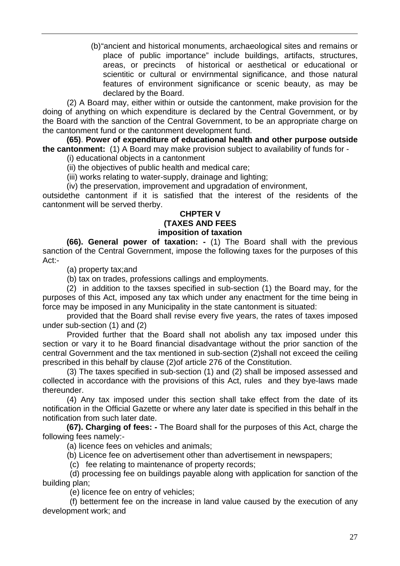(b) "ancient and historical monuments, archaeological sites and remains or place of public importance" include buildings, artifacts, structures, areas, or precincts of historical or aesthetical or educational or scientitic or cultural or envirnmental significance, and those natural features of environment significance or scenic beauty, as may be declared by the Board.

(2) A Board may, either within or outside the cantonment, make provision for the doing of anything on which expenditure is declared by the Central Government, or by the Board with the sanction of the Central Government, to be an appropriate charge on the cantonment fund or the cantonment development fund.

 **(65)**. **Power of expenditure of educational health and other purpose outside the cantonment:** (1) A Board may make provision subject to availability of funds for -

(i) educational objects in a cantonment

(ii) the objectives of public health and medical care;

(iii) works relating to water-supply, drainage and lighting;

(iv) the preservation, improvement and upgradation of environment,

outsidethe cantonment if it is satisfied that the interest of the residents of the cantonment will be served therby.

#### **CHPTER V (TAXES AND FEES imposition of taxation**

**(66). General power of taxation: -** (1) The Board shall with the previous sanction of the Central Government, impose the following taxes for the purposes of this Act:-

(a) property tax;and

(b) tax on trades, professions callings and employments.

(2) in addition to the taxses specified in sub-section (1) the Board may, for the purposes of this Act, imposed any tax which under any enactment for the time being in force may be imposed in any Municipality in the state cantonment is situated:

provided that the Board shall revise every five years, the rates of taxes imposed under sub-section (1) and (2)

Provided further that the Board shall not abolish any tax imposed under this section or vary it to he Board financial disadvantage without the prior sanction of the central Government and the tax mentioned in sub-section (2)shall not exceed the ceiling prescribed in this behalf by clause (2)of article 276 of the Constitution.

(3) The taxes specified in sub-section (1) and (2) shall be imposed assessed and collected in accordance with the provisions of this Act, rules and they bye-laws made thereunder.

(4) Any tax imposed under this section shall take effect from the date of its notification in the Official Gazette or where any later date is specified in this behalf in the notification from such later date.

**(67). Charging of fees: -** The Board shall for the purposes of this Act, charge the following fees namely:-

(a) licence fees on vehicles and animals;

(b) Licence fee on advertisement other than advertisement in newspapers;

(c) fee relating to maintenance of property records;

 (d) processing fee on buildings payable along with application for sanction of the building plan;

(e) licence fee on entry of vehicles;

 (f) betterment fee on the increase in land value caused by the execution of any development work; and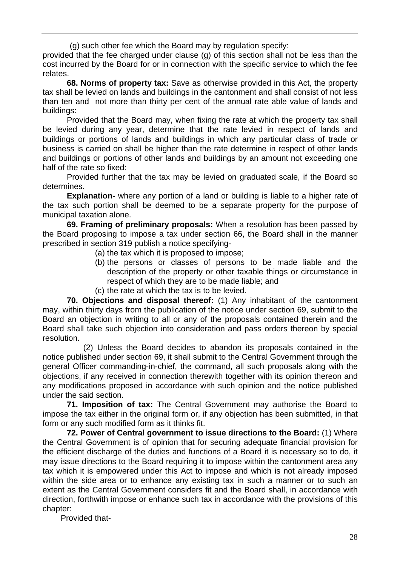(g) such other fee which the Board may by regulation specify:

provided that the fee charged under clause (g) of this section shall not be less than the cost incurred by the Board for or in connection with the specific service to which the fee relates.

**68. Norms of property tax:** Save as otherwise provided in this Act, the property tax shall be levied on lands and buildings in the cantonment and shall consist of not less than ten and not more than thirty per cent of the annual rate able value of lands and buildings:

Provided that the Board may, when fixing the rate at which the property tax shall be levied during any year, determine that the rate levied in respect of lands and buildings or portions of lands and buildings in which any particular class of trade or business is carried on shall be higher than the rate determine in respect of other lands and buildings or portions of other lands and buildings by an amount not exceeding one half of the rate so fixed:

Provided further that the tax may be levied on graduated scale, if the Board so determines.

**Explanation-** where any portion of a land or building is liable to a higher rate of the tax such portion shall be deemed to be a separate property for the purpose of municipal taxation alone.

**69. Framing of preliminary proposals:** When a resolution has been passed by the Board proposing to impose a tax under section 66, the Board shall in the manner prescribed in section 319 publish a notice specifying-

- (a) the tax which it is proposed to impose;
- (b) the persons or classes of persons to be made liable and the description of the property or other taxable things or circumstance in respect of which they are to be made liable; and
- (c) the rate at which the tax is to be levied.

**70. Objections and disposal thereof:** (1) Any inhabitant of the cantonment may, within thirty days from the publication of the notice under section 69, submit to the Board an objection in writing to all or any of the proposals contained therein and the Board shall take such objection into consideration and pass orders thereon by special resolution.

 (2) Unless the Board decides to abandon its proposals contained in the notice published under section 69, it shall submit to the Central Government through the general Officer commanding-in-chief, the command, all such proposals along with the objections, if any received in connection therewith together with its opinion thereon and any modifications proposed in accordance with such opinion and the notice published under the said section.

**71. Imposition of tax:** The Central Government may authorise the Board to impose the tax either in the original form or, if any objection has been submitted, in that form or any such modified form as it thinks fit.

**72. Power of Central government to issue directions to the Board:** (1) Where the Central Government is of opinion that for securing adequate financial provision for the efficient discharge of the duties and functions of a Board it is necessary so to do, it may issue directions to the Board requiring it to impose within the cantonment area any tax which it is empowered under this Act to impose and which is not already imposed within the side area or to enhance any existing tax in such a manner or to such an extent as the Central Government considers fit and the Board shall, in accordance with direction, forthwith impose or enhance such tax in accordance with the provisions of this chapter:

Provided that-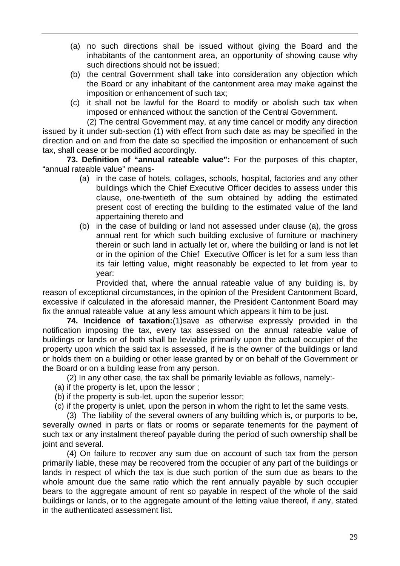- (a) no such directions shall be issued without giving the Board and the inhabitants of the cantonment area, an opportunity of showing cause why such directions should not be issued;
- (b) the central Government shall take into consideration any objection which the Board or any inhabitant of the cantonment area may make against the imposition or enhancement of such tax;
- (c) it shall not be lawful for the Board to modify or abolish such tax when imposed or enhanced without the sanction of the Central Government.

(2) The central Government may, at any time cancel or modify any direction issued by it under sub-section (1) with effect from such date as may be specified in the direction and on and from the date so specified the imposition or enhancement of such tax, shall cease or be modified accordingly.

**73. Definition of "annual rateable value":** For the purposes of this chapter, "annual rateable value" means-

- (a) in the case of hotels, collages, schools, hospital, factories and any other buildings which the Chief Executive Officer decides to assess under this clause, one-twentieth of the sum obtained by adding the estimated present cost of erecting the building to the estimated value of the land appertaining thereto and
- (b) in the case of building or land not assessed under clause (a), the gross annual rent for which such building exclusive of furniture or machinery therein or such land in actually let or, where the building or land is not let or in the opinion of the Chief Executive Officer is let for a sum less than its fair letting value, might reasonably be expected to let from year to year:

Provided that, where the annual rateable value of any building is, by reason of exceptional circumstances, in the opinion of the President Cantonment Board, excessive if calculated in the aforesaid manner, the President Cantonment Board may fix the annual rateable value at any less amount which appears it him to be just.

**74. Incidence of taxation:**(1)save as otherwise expressly provided in the notification imposing the tax, every tax assessed on the annual rateable value of buildings or lands or of both shall be leviable primarily upon the actual occupier of the property upon which the said tax is assessed, if he is the owner of the buildings or land or holds them on a building or other lease granted by or on behalf of the Government or the Board or on a building lease from any person.

(2) In any other case, the tax shall be primarily leviable as follows, namely:-

- (a) if the property is let, upon the lessor ;
- (b) if the property is sub-let, upon the superior lessor;
- (c) if the property is unlet, upon the person in whom the right to let the same vests.

(3) The liability of the several owners of any building which is, or purports to be, severally owned in parts or flats or rooms or separate tenements for the payment of such tax or any instalment thereof payable during the period of such ownership shall be joint and several.

(4) On failure to recover any sum due on account of such tax from the person primarily liable, these may be recovered from the occupier of any part of the buildings or lands in respect of which the tax is due such portion of the sum due as bears to the whole amount due the same ratio which the rent annually payable by such occupier bears to the aggregate amount of rent so payable in respect of the whole of the said buildings or lands, or to the aggregate amount of the letting value thereof, if any, stated in the authenticated assessment list.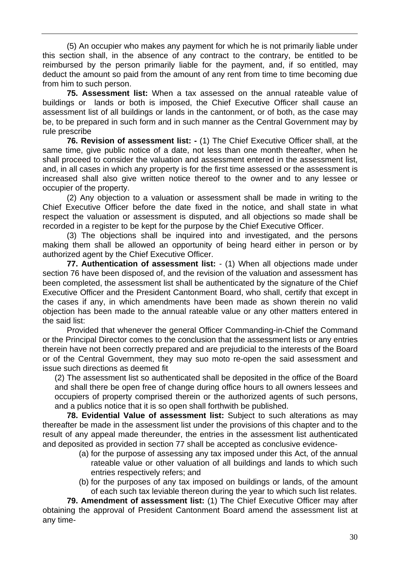(5) An occupier who makes any payment for which he is not primarily liable under this section shall, in the absence of any contract to the contrary, be entitled to be reimbursed by the person primarily liable for the payment, and, if so entitled, may deduct the amount so paid from the amount of any rent from time to time becoming due from him to such person.

 **75. Assessment list:** When a tax assessed on the annual rateable value of buildings or lands or both is imposed, the Chief Executive Officer shall cause an assessment list of all buildings or lands in the cantonment, or of both, as the case may be, to be prepared in such form and in such manner as the Central Government may by rule prescribe

**76. Revision of assessment list: -** (1) The Chief Executive Officer shall, at the same time, give public notice of a date, not less than one month thereafter, when he shall proceed to consider the valuation and assessment entered in the assessment list, and, in all cases in which any property is for the first time assessed or the assessment is increased shall also give written notice thereof to the owner and to any lessee or occupier of the property.

(2) Any objection to a valuation or assessment shall be made in writing to the Chief Executive Officer before the date fixed in the notice, and shall state in what respect the valuation or assessment is disputed, and all objections so made shall be recorded in a register to be kept for the purpose by the Chief Executive Officer.

(3) The objections shall be inquired into and investigated, and the persons making them shall be allowed an opportunity of being heard either in person or by authorized agent by the Chief Executive Officer.

**77. Authentication of assessment list:** - (1) When all objections made under section 76 have been disposed of, and the revision of the valuation and assessment has been completed, the assessment list shall be authenticated by the signature of the Chief Executive Officer and the President Cantonment Board, who shall, certify that except in the cases if any, in which amendments have been made as shown therein no valid objection has been made to the annual rateable value or any other matters entered in the said list:

Provided that whenever the general Officer Commanding-in-Chief the Command or the Principal Director comes to the conclusion that the assessment lists or any entries therein have not been correctly prepared and are prejudicial to the interests of the Board or of the Central Government, they may suo moto re-open the said assessment and issue such directions as deemed fit

(2) The assessment list so authenticated shall be deposited in the office of the Board and shall there be open free of change during office hours to all owners lessees and occupiers of property comprised therein or the authorized agents of such persons, and a publics notice that it is so open shall forthwith be published.

**78. Evidential Value of assessment list:** Subject to such alterations as may thereafter be made in the assessment list under the provisions of this chapter and to the result of any appeal made thereunder, the entries in the assessment list authenticated and deposited as provided in section 77 shall be accepted as conclusive evidence-

- (a) for the purpose of assessing any tax imposed under this Act, of the annual rateable value or other valuation of all buildings and lands to which such entries respectively refers; and
- (b) for the purposes of any tax imposed on buildings or lands, of the amount of each such tax leviable thereon during the year to which such list relates.

**79. Amendment of assessment list:** (1) The Chief Executive Officer may after obtaining the approval of President Cantonment Board amend the assessment list at any time-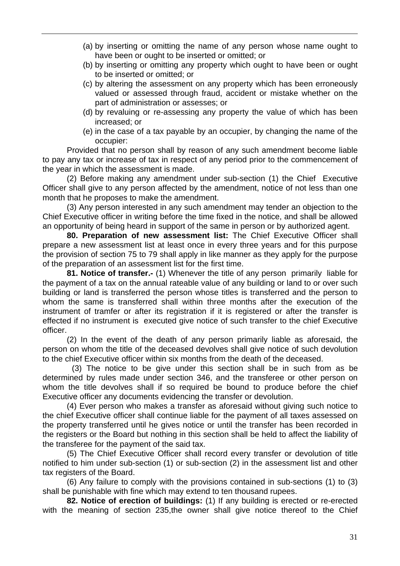- (a) by inserting or omitting the name of any person whose name ought to have been or ought to be inserted or omitted; or
- (b) by inserting or omitting any property which ought to have been or ought to be inserted or omitted; or
- (c) by altering the assessment on any property which has been erroneously valued or assessed through fraud, accident or mistake whether on the part of administration or assesses; or
- (d) by revaluing or re-assessing any property the value of which has been increased; or
- (e) in the case of a tax payable by an occupier, by changing the name of the occupier:

Provided that no person shall by reason of any such amendment become liable to pay any tax or increase of tax in respect of any period prior to the commencement of the year in which the assessment is made.

(2) Before making any amendment under sub-section (1) the Chief Executive Officer shall give to any person affected by the amendment, notice of not less than one month that he proposes to make the amendment.

(3) Any person interested in any such amendment may tender an objection to the Chief Executive officer in writing before the time fixed in the notice, and shall be allowed an opportunity of being heard in support of the same in person or by authorized agent.

**80. Preparation of new assessment list:** The Chief Executive Officer shall prepare a new assessment list at least once in every three years and for this purpose the provision of section 75 to 79 shall apply in like manner as they apply for the purpose of the preparation of an assessment list for the first time.

**81. Notice of transfer.-** (1) Whenever the title of any person primarily liable for the payment of a tax on the annual rateable value of any building or land to or over such building or land is transferred the person whose titles is transferred and the person to whom the same is transferred shall within three months after the execution of the instrument of tramfer or after its registration if it is registered or after the transfer is effected if no instrument is executed give notice of such transfer to the chief Executive officer.

(2) In the event of the death of any person primarily liable as aforesaid, the person on whom the title of the deceased devolves shall give notice of such devolution to the chief Executive officer within six months from the death of the deceased.

(3) The notice to be give under this section shall be in such from as be determined by rules made under section 346, and the transferee or other person on whom the title devolves shall if so required be bound to produce before the chief Executive officer any documents evidencing the transfer or devolution.

(4) Ever person who makes a transfer as aforesaid without giving such notice to the chief Executive officer shall continue liable for the payment of all taxes assessed on the property transferred until he gives notice or until the transfer has been recorded in the registers or the Board but nothing in this section shall be held to affect the liability of the transferee for the payment of the said tax.

(5) The Chief Executive Officer shall record every transfer or devolution of title notified to him under sub-section (1) or sub-section (2) in the assessment list and other tax registers of the Board.

(6) Any failure to comply with the provisions contained in sub-sections (1) to (3) shall be punishable with fine which may extend to ten thousand rupees.

 **82. Notice of erection of buildings:** (1) If any building is erected or re-erected with the meaning of section 235,the owner shall give notice thereof to the Chief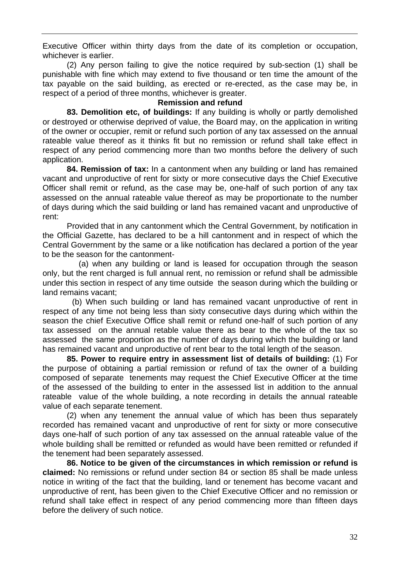Executive Officer within thirty days from the date of its completion or occupation, whichever is earlier.

(2) Any person failing to give the notice required by sub-section (1) shall be punishable with fine which may extend to five thousand or ten time the amount of the tax payable on the said building, as erected or re-erected, as the case may be, in respect of a period of three months, whichever is greater.

### **Remission and refund**

 **83. Demolition etc, of buildings:** If any building is wholly or partly demolished or destroyed or otherwise deprived of value, the Board may, on the application in writing of the owner or occupier, remit or refund such portion of any tax assessed on the annual rateable value thereof as it thinks fit but no remission or refund shall take effect in respect of any period commencing more than two months before the delivery of such application.

**84. Remission of tax:** In a cantonment when any building or land has remained vacant and unproductive of rent for sixty or more consecutive days the Chief Executive Officer shall remit or refund, as the case may be, one-half of such portion of any tax assessed on the annual rateable value thereof as may be proportionate to the number of days during which the said building or land has remained vacant and unproductive of rent:

Provided that in any cantonment which the Central Government, by notification in the Official Gazette, has declared to be a hill cantonment and in respect of which the Central Government by the same or a like notification has declared a portion of the year to be the season for the cantonment-

 (a) when any building or land is leased for occupation through the season only, but the rent charged is full annual rent, no remission or refund shall be admissible under this section in respect of any time outside the season during which the building or land remains vacant;

(b) When such building or land has remained vacant unproductive of rent in respect of any time not being less than sixty consecutive days during which within the season the chief Executive Office shall remit or refund one-half of such portion of any tax assessed on the annual retable value there as bear to the whole of the tax so assessed the same proportion as the number of days during which the building or land has remained vacant and unproductive of rent bear to the total length of the season.

**85. Power to require entry in assessment list of details of building:** (1) For the purpose of obtaining a partial remission or refund of tax the owner of a building composed of separate tenements may request the Chief Executive Officer at the time of the assessed of the building to enter in the assessed list in addition to the annual rateable value of the whole building, a note recording in details the annual rateable value of each separate tenement.

(2) when any tenement the annual value of which has been thus separately recorded has remained vacant and unproductive of rent for sixty or more consecutive days one-half of such portion of any tax assessed on the annual rateable value of the whole building shall be remitted or refunded as would have been remitted or refunded if the tenement had been separately assessed.

**86. Notice to be given of the circumstances in which remission or refund is claimed:** No remissions or refund under section 84 or section 85 shall be made unless notice in writing of the fact that the building, land or tenement has become vacant and unproductive of rent, has been given to the Chief Executive Officer and no remission or refund shall take effect in respect of any period commencing more than fifteen days before the delivery of such notice.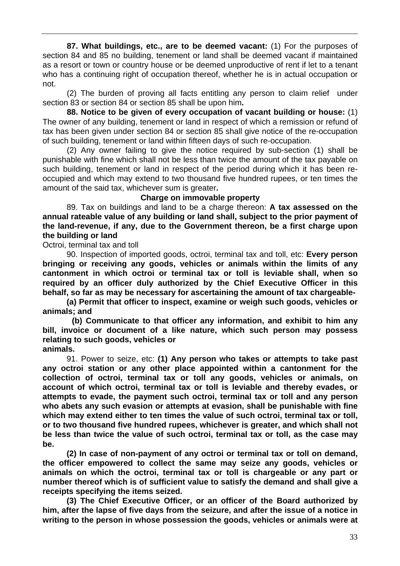**87. What buildings, etc., are to be deemed vacant:** (1) For the purposes of section 84 and 85 no building, tenement or land shall be deemed vacant if maintained as a resort or town or country house or be deemed unproductive of rent if let to a tenant who has a continuing right of occupation thereof, whether he is in actual occupation or not.

(2) The burden of proving all facts entitling any person to claim relief under section 83 or section 84 or section 85 shall be upon him**.** 

**88. Notice to be given of every occupation of vacant building or house:** (1) The owner of any building, tenement or land in respect of which a remission or refund of tax has been given under section 84 or section 85 shall give notice of the re-occupation of such building, tenement or land within fifteen days of such re-occupation.

(2) Any owner failing to give the notice required by sub-section (1) shall be punishable with fine which shall not be less than twice the amount of the tax payable on such building, tenement or land in respect of the period during which it has been reoccupied and which may extend to two thousand five hundred rupees, or ten times the amount of the said tax, whichever sum is greater**.** 

### **Charge on immovable property**

89. Tax on buildings and land to be a charge thereon: **A tax assessed on the annual rateable value of any building or land shall, subject to the prior payment of the land-revenue, if any, due to the Government thereon, be a first charge upon the building or land**

Octroi, terminal tax and toll

90. Inspection of imported goods, octroi, terminal tax and toll, etc: **Every person bringing or receiving any goods, vehicles or animals within the limits of any cantonment in which octroi or terminal tax or toll is leviable shall, when so required by an officer duly authorized by the Chief Executive Officer in this behalf, so far as may be necessary for ascertaining the amount of tax chargeable-**

**(a) Permit that officer to inspect, examine or weigh such goods, vehicles or animals; and**

 **(b) Communicate to that officer any information, and exhibit to him any bill, invoice or document of a like nature, which such person may possess relating to such goods, vehicles or** 

**animals.**

91. Power to seize, etc: **(1) Any person who takes or attempts to take past any octroi station or any other place appointed within a cantonment for the collection of octroi, terminal tax or toll any goods, vehicles or animals, on account of which octroi, terminal tax or toll is leviable and thereby evades, or attempts to evade, the payment such octroi, terminal tax or toll and any person who abets any such evasion or attempts at evasion, shall be punishable with fine which may extend either to ten times the value of such octroi, terminal tax or toll, or to two thousand five hundred rupees, whichever is greater, and which shall not be less than twice the value of such octroi, terminal tax or toll, as the case may be.**

**(2) In case of non-payment of any octroi or terminal tax or toll on demand, the officer empowered to collect the same may seize any goods, vehicles or animals on which the octroi, terminal tax or toll is chargeable or any part or number thereof which is of sufficient value to satisfy the demand and shall give a receipts specifying the items seized.**

**(3) The Chief Executive Officer, or an officer of the Board authorized by him, after the lapse of five days from the seizure, and after the issue of a notice in writing to the person in whose possession the goods, vehicles or animals were at**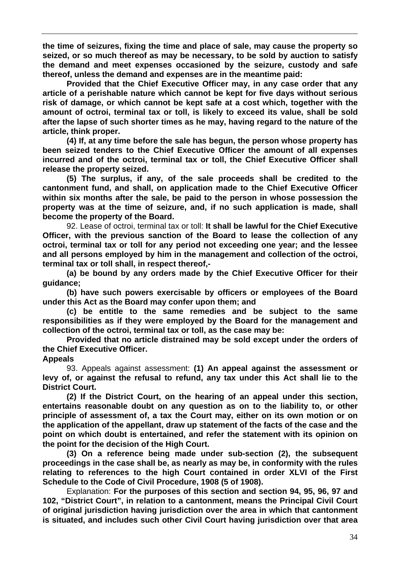**the time of seizures, fixing the time and place of sale, may cause the property so seized, or so much thereof as may be necessary, to be sold by auction to satisfy the demand and meet expenses occasioned by the seizure, custody and safe thereof, unless the demand and expenses are in the meantime paid:**

**Provided that the Chief Executive Officer may, in any case order that any article of a perishable nature which cannot be kept for five days without serious risk of damage, or which cannot be kept safe at a cost which, together with the amount of octroi, terminal tax or toll, is likely to exceed its value, shall be sold after the lapse of such shorter times as he may, having regard to the nature of the article, think proper.**

**(4) If, at any time before the sale has begun, the person whose property has been seized tenders to the Chief Executive Officer the amount of all expenses incurred and of the octroi, terminal tax or toll, the Chief Executive Officer shall release the property seized.**

**(5) The surplus, if any, of the sale proceeds shall be credited to the cantonment fund, and shall, on application made to the Chief Executive Officer within six months after the sale, be paid to the person in whose possession the property was at the time of seizure, and, if no such application is made, shall become the property of the Board.**

92. Lease of octroi, terminal tax or toll: **It shall be lawful for the Chief Executive Officer, with the previous sanction of the Board to lease the collection of any octroi, terminal tax or toll for any period not exceeding one year; and the lessee and all persons employed by him in the management and collection of the octroi, terminal tax or toll shall, in respect thereof,-**

**(a) be bound by any orders made by the Chief Executive Officer for their guidance;** 

**(b) have such powers exercisable by officers or employees of the Board under this Act as the Board may confer upon them; and**

**(c) be entitle to the same remedies and be subject to the same responsibilities as if they were employed by the Board for the management and collection of the octroi, terminal tax or toll, as the case may be:**

**Provided that no article distrained may be sold except under the orders of the Chief Executive Officer.**

**Appeals**

93. Appeals against assessment: **(1) An appeal against the assessment or levy of, or against the refusal to refund, any tax under this Act shall lie to the District Court.**

**(2) If the District Court, on the hearing of an appeal under this section, entertains reasonable doubt on any question as on to the liability to, or other principle of assessment of, a tax the Court may, either on its own motion or on the application of the appellant, draw up statement of the facts of the case and the point on which doubt is entertained, and refer the statement with its opinion on the point for the decision of the High Court.**

**(3) On a reference being made under sub-section (2), the subsequent proceedings in the case shall be, as nearly as may be, in conformity with the rules relating to references to the high Court contained in order XLVI of the First Schedule to the Code of Civil Procedure, 1908 (5 of 1908).**

Explanation: **For the purposes of this section and section 94, 95, 96, 97 and 102, "District Court", in relation to a cantonment, means the Principal Civil Court of original jurisdiction having jurisdiction over the area in which that cantonment is situated, and includes such other Civil Court having jurisdiction over that area**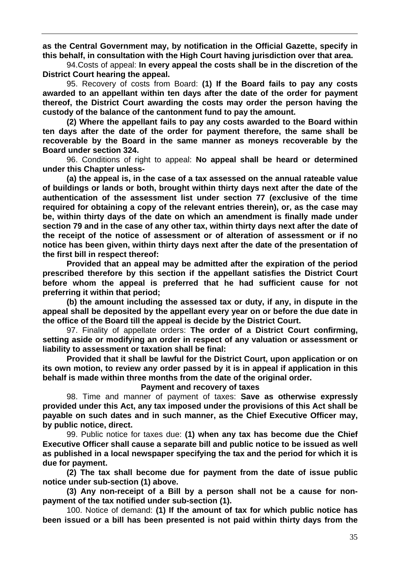**as the Central Government may, by notification in the Official Gazette, specify in this behalf, in consultation with the High Court having jurisdiction over that area.**

94.Costs of appeal: **In every appeal the costs shall be in the discretion of the District Court hearing the appeal.**

95. Recovery of costs from Board: **(1) If the Board fails to pay any costs awarded to an appellant within ten days after the date of the order for payment thereof, the District Court awarding the costs may order the person having the custody of the balance of the cantonment fund to pay the amount.**

**(2) Where the appellant fails to pay any costs awarded to the Board within ten days after the date of the order for payment therefore, the same shall be recoverable by the Board in the same manner as moneys recoverable by the Board under section 324.** 

96. Conditions of right to appeal: **No appeal shall be heard or determined under this Chapter unless-**

**(a) the appeal is, in the case of a tax assessed on the annual rateable value of buildings or lands or both, brought within thirty days next after the date of the authentication of the assessment list under section 77 (exclusive of the time required for obtaining a copy of the relevant entries therein), or, as the case may be, within thirty days of the date on which an amendment is finally made under section 79 and in the case of any other tax, within thirty days next after the date of the receipt of the notice of assessment or of alteration of assessment or if no notice has been given, within thirty days next after the date of the presentation of the first bill in respect thereof:**

**Provided that an appeal may be admitted after the expiration of the period prescribed therefore by this section if the appellant satisfies the District Court before whom the appeal is preferred that he had sufficient cause for not preferring it within that period;**

**(b) the amount including the assessed tax or duty, if any, in dispute in the appeal shall be deposited by the appellant every year on or before the due date in the office of the Board till the appeal is decide by the District Court.**

97. Finality of appellate orders: **The order of a District Court confirming, setting aside or modifying an order in respect of any valuation or assessment or liability to assessment or taxation shall be final:**

**Provided that it shall be lawful for the District Court, upon application or on its own motion, to review any order passed by it is in appeal if application in this behalf is made within three months from the date of the original order.**

### **Payment and recovery of taxes**

98. Time and manner of payment of taxes: **Save as otherwise expressly provided under this Act, any tax imposed under the provisions of this Act shall be payable on such dates and in such manner, as the Chief Executive Officer may, by public notice, direct.**

99. Public notice for taxes due: **(1) when any tax has become due the Chief Executive Officer shall cause a separate bill and public notice to be issued as well as published in a local newspaper specifying the tax and the period for which it is due for payment.**

**(2) The tax shall become due for payment from the date of issue public notice under sub-section (1) above.**

**(3) Any non-receipt of a Bill by a person shall not be a cause for nonpayment of the tax notified under sub-section (1).**

100. Notice of demand: **(1) If the amount of tax for which public notice has been issued or a bill has been presented is not paid within thirty days from the**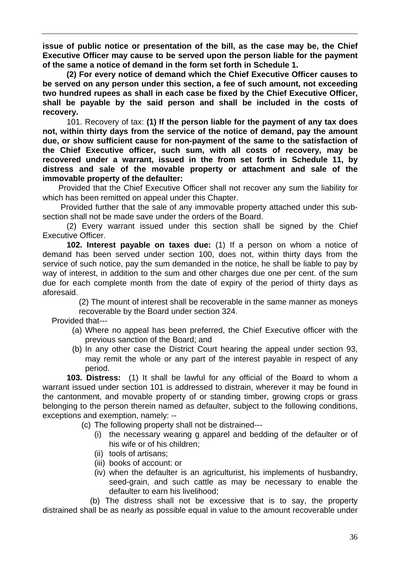**issue of public notice or presentation of the bill, as the case may be, the Chief Executive Officer may cause to be served upon the person liable for the payment of the same a notice of demand in the form set forth in Schedule 1.**

**(2) For every notice of demand which the Chief Executive Officer causes to be served on any person under this section, a fee of such amount, not exceeding two hundred rupees as shall in each case be fixed by the Chief Executive Officer, shall be payable by the said person and shall be included in the costs of recovery.**

101. Recovery of tax: **(1) If the person liable for the payment of any tax does not, within thirty days from the service of the notice of demand, pay the amount due, or show sufficient cause for non-payment of the same to the satisfaction of the Chief Executive officer, such sum, with all costs of recovery, may be recovered under a warrant, issued in the from set forth in Schedule 11, by distress and sale of the movable property or attachment and sale of the immovable property of the defaulter:** 

 Provided that the Chief Executive Officer shall not recover any sum the liability for which has been remitted on appeal under this Chapter.

 Provided further that the sale of any immovable property attached under this subsection shall not be made save under the orders of the Board.

(2) Every warrant issued under this section shall be signed by the Chief Executive Officer.

**102. Interest payable on taxes due:** (1) If a person on whom a notice of demand has been served under section 100, does not, within thirty days from the service of such notice, pay the sum demanded in the notice, he shall be liable to pay by way of interest, in addition to the sum and other charges due one per cent. of the sum due for each complete month from the date of expiry of the period of thirty days as aforesaid.

> (2) The mount of interest shall be recoverable in the same manner as moneys recoverable by the Board under section 324.

Provided that---

- (a) Where no appeal has been preferred, the Chief Executive officer with the previous sanction of the Board; and
- (b) In any other case the District Court hearing the appeal under section 93, may remit the whole or any part of the interest payable in respect of any period.

**103. Distress:** (1) It shall be lawful for any official of the Board to whom a warrant issued under section 101 is addressed to distrain, wherever it may be found in the cantonment, and movable property of or standing timber, growing crops or grass belonging to the person therein named as defaulter, subject to the following conditions, exceptions and exemption, namely: --

(c) The following property shall not be distrained---

- (i) the necessary wearing g apparel and bedding of the defaulter or of his wife or of his children;
- (ii) tools of artisans;
- (iii) books of account: or
- (iv) when the defaulter is an agriculturist, his implements of husbandry, seed-grain, and such cattle as may be necessary to enable the defaulter to earn his livelihood;

 (b) The distress shall not be excessive that is to say, the property distrained shall be as nearly as possible equal in value to the amount recoverable under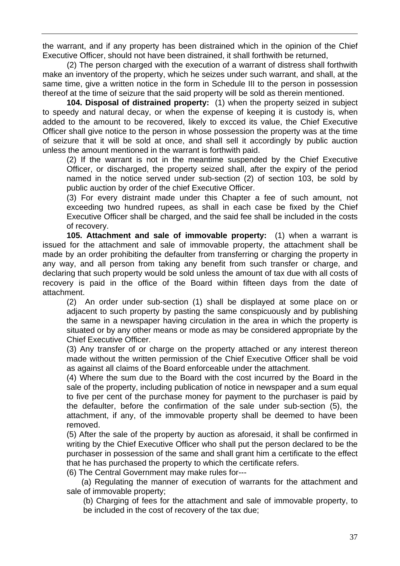the warrant, and if any property has been distrained which in the opinion of the Chief Executive Officer, should not have been distrained, it shall forthwith be returned,

(2) The person charged with the execution of a warrant of distress shall forthwith make an inventory of the property, which he seizes under such warrant, and shall, at the same time, give a written notice in the form in Schedule III to the person in possession thereof at the time of seizure that the said property will be sold as therein mentioned.

**104. Disposal of distrained property:** (1) when the property seized in subject to speedy and natural decay, or when the expense of keeping it is custody is, when added to the amount to be recovered, likely to excced its value, the Chief Executive Officer shall give notice to the person in whose possession the property was at the time of seizure that it will be sold at once, and shall sell it accordingly by public auction unless the amount mentioned in the warrant is forthwith paid.

(2) If the warrant is not in the meantime suspended by the Chief Executive Officer, or discharged, the property seized shall, after the expiry of the period named in the notice served under sub-section (2) of section 103, be sold by public auction by order of the chief Executive Officer.

(3) For every distraint made under this Chapter a fee of such amount, not exceeding two hundred rupees, as shall in each case be fixed by the Chief Executive Officer shall be charged, and the said fee shall be included in the costs of recovery.

**105. Attachment and sale of immovable property:** (1) when a warrant is issued for the attachment and sale of immovable property, the attachment shall be made by an order prohibiting the defaulter from transferring or charging the property in any way, and all person from taking any benefit from such transfer or charge, and declaring that such property would be sold unless the amount of tax due with all costs of recovery is paid in the office of the Board within fifteen days from the date of attachment.

(2) An order under sub-section (1) shall be displayed at some place on or adjacent to such property by pasting the same conspicuously and by publishing the same in a newspaper having circulation in the area in which the property is situated or by any other means or mode as may be considered appropriate by the Chief Executive Officer.

(3) Any transfer of or charge on the property attached or any interest thereon made without the written permission of the Chief Executive Officer shall be void as against all claims of the Board enforceable under the attachment.

(4) Where the sum due to the Board with the cost incurred by the Board in the sale of the property, including publication of notice in newspaper and a sum equal to five per cent of the purchase money for payment to the purchaser is paid by the defaulter, before the confirmation of the sale under sub-section (5), the attachment, if any, of the immovable property shall be deemed to have been removed.

(5) After the sale of the property by auction as aforesaid, it shall be confirmed in writing by the Chief Executive Officer who shall put the person declared to be the purchaser in possession of the same and shall grant him a certificate to the effect that he has purchased the property to which the certificate refers.

(6) The Central Government may make rules for---

(a) Regulating the manner of execution of warrants for the attachment and sale of immovable property;

(b) Charging of fees for the attachment and sale of immovable property, to be included in the cost of recovery of the tax due;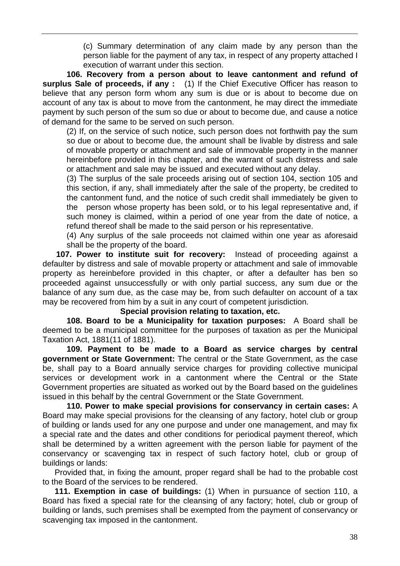(c) Summary determination of any claim made by any person than the person liable for the payment of any tax, in respect of any property attached I execution of warrant under this section.

**106. Recovery from a person about to leave cantonment and refund of surplus Sale of proceeds, if any :** (1) If the Chief Executive Officer has reason to believe that any person form whom any sum is due or is about to become due on account of any tax is about to move from the cantonment, he may direct the immediate payment by such person of the sum so due or about to become due, and cause a notice of demand for the same to be served on such person.

(2) If, on the service of such notice, such person does not forthwith pay the sum so due or about to become due, the amount shall be livable by distress and sale of movable property or attachment and sale of immovable property in the manner hereinbefore provided in this chapter, and the warrant of such distress and sale or attachment and sale may be issued and executed without any delay.

(3) The surplus of the sale proceeds arising out of section 104, section 105 and this section, if any, shall immediately after the sale of the property, be credited to the cantonment fund, and the notice of such credit shall immediately be given to the person whose property has been sold, or to his legal representative and, if such money is claimed, within a period of one year from the date of notice, a refund thereof shall be made to the said person or his representative.

(4) Any surplus of the sale proceeds not claimed within one year as aforesaid shall be the property of the board.

 **107. Power to institute suit for recovery:** Instead of proceeding against a defaulter by distress and sale of movable property or attachment and sale of immovable property as hereinbefore provided in this chapter, or after a defaulter has ben so proceeded against unsuccessfully or with only partial success, any sum due or the balance of any sum due, as the case may be, from such defaulter on account of a tax may be recovered from him by a suit in any court of competent jurisdiction.

#### **Special provision relating to taxation, etc.**

**108. Board to be a Municipality for taxation purposes:** A Board shall be deemed to be a municipal committee for the purposes of taxation as per the Municipal Taxation Act, 1881(11 of 1881).

**109. Payment to be made to a Board as service charges by central government or State Government:** The central or the State Government, as the case be, shall pay to a Board annually service charges for providing collective municipal services or development work in a cantonment where the Central or the State Government properties are situated as worked out by the Board based on the guidelines issued in this behalf by the central Government or the State Government.

**110. Power to make special provisions for conservancy in certain cases:** A Board may make special provisions for the cleansing of any factory, hotel club or group of building or lands used for any one purpose and under one management, and may fix a special rate and the dates and other conditions for periodical payment thereof, which shall be determined by a written agreement with the person liable for payment of the conservancy or scavenging tax in respect of such factory hotel, club or group of buildings or lands:

Provided that, in fixing the amount, proper regard shall be had to the probable cost to the Board of the services to be rendered.

**111. Exemption in case of buildings:** (1) When in pursuance of section 110, a Board has fixed a special rate for the cleansing of any factory; hotel, club or group of building or lands, such premises shall be exempted from the payment of conservancy or scavenging tax imposed in the cantonment.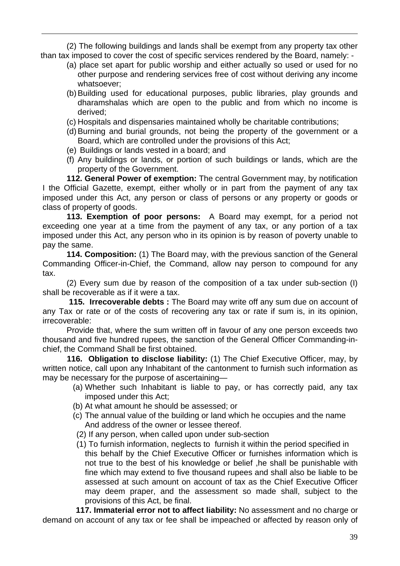(2) The following buildings and lands shall be exempt from any property tax other than tax imposed to cover the cost of specific services rendered by the Board, namely: -

- (a) place set apart for public worship and either actually so used or used for no other purpose and rendering services free of cost without deriving any income whatsoever;
- (b) Building used for educational purposes, public libraries, play grounds and dharamshalas which are open to the public and from which no income is derived;
- (c) Hospitals and dispensaries maintained wholly be charitable contributions;
- (d) Burning and burial grounds, not being the property of the government or a Board, which are controlled under the provisions of this Act;
- (e) Buildings or lands vested in a board; and
- (f) Any buildings or lands, or portion of such buildings or lands, which are the property of the Government.

**112. General Power of exemption:** The central Government may, by notification I the Official Gazette, exempt, either wholly or in part from the payment of any tax imposed under this Act, any person or class of persons or any property or goods or class of property of goods.

**113. Exemption of poor persons:** A Board may exempt, for a period not exceeding one year at a time from the payment of any tax, or any portion of a tax imposed under this Act, any person who in its opinion is by reason of poverty unable to pay the same.

**114. Composition:** (1) The Board may, with the previous sanction of the General Commanding Officer-in-Chief, the Command, allow nay person to compound for any tax.

(2) Every sum due by reason of the composition of a tax under sub-section (I) shall be recoverable as if it were a tax.

 **115. Irrecoverable debts :** The Board may write off any sum due on account of any Tax or rate or of the costs of recovering any tax or rate if sum is, in its opinion, irrecoverable:

Provide that, where the sum written off in favour of any one person exceeds two thousand and five hundred rupees, the sanction of the General Officer Commanding-inchief, the Command Shall be first obtained.

**116. Obligation to disclose liability:** (1) The Chief Executive Officer, may, by written notice, call upon any Inhabitant of the cantonment to furnish such information as may be necessary for the purpose of ascertaining—

- (a) Whether such Inhabitant is liable to pay, or has correctly paid, any tax imposed under this Act;
- (b) At what amount he should be assessed; or
- (c) The annual value of the building or land which he occupies and the name And address of the owner or lessee thereof.
- (2) If any person, when called upon under sub-section
- (1) To furnish information, neglects to furnish it within the period specified in this behalf by the Chief Executive Officer or furnishes information which is not true to the best of his knowledge or belief ,he shall be punishable with fine which may extend to five thousand rupees and shall also be liable to be assessed at such amount on account of tax as the Chief Executive Officer may deem praper, and the assessment so made shall, subject to the provisions of this Act, be final.

 **117. Immaterial error not to affect liability:** No assessment and no charge or demand on account of any tax or fee shall be impeached or affected by reason only of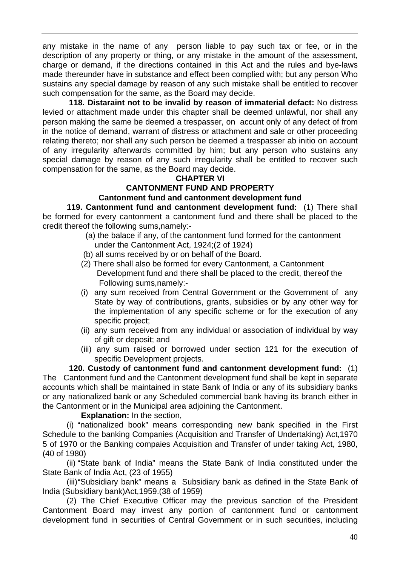any mistake in the name of any person liable to pay such tax or fee, or in the description of any property or thing, or any mistake in the amount of the assessment, charge or demand, if the directions contained in this Act and the rules and bye-laws made thereunder have in substance and effect been complied with; but any person Who sustains any special damage by reason of any such mistake shall be entitled to recover such compensation for the same, as the Board may decide.

 **118. Distaraint not to be invalid by reason of immaterial defact:** No distress levied or attachment made under this chapter shall be deemed unlawful, nor shall any person making the same be deemed a trespasser, on accunt only of any defect of from in the notice of demand, warrant of distress or attachment and sale or other proceeding relating thereto; nor shall any such person be deemed a trespasser ab initio on account of any irregularity afterwards committed by him; but any person who sustains any special damage by reason of any such irregularity shall be entitled to recover such compensation for the same, as the Board may decide.

#### **CHAPTER VI CANTONMENT FUND AND PROPERTY Cantonment fund and cantonment development fund**

 **119. Cantonment fund and cantonment development fund:** (1) There shall be formed for every cantonment a cantonment fund and there shall be placed to the

credit thereof the following sums,namely:- (a) the balace if any, of the cantonment fund formed for the cantonment

- under the Cantonment Act, 1924;(2 of 1924)
- (b) all sums received by or on behalf of the Board.
- (2) There shall also be formed for every Cantonment, a Cantonment Development fund and there shall be placed to the credit, thereof the Following sums,namely:-
- (i) any sum received from Central Government or the Government of any State by way of contributions, grants, subsidies or by any other way for the implementation of any specific scheme or for the execution of any specific project;
- (ii) any sum received from any individual or association of individual by way of gift or deposit; and
- (iii) any sum raised or borrowed under section 121 for the execution of specific Development projects.

 **120. Custody of cantonment fund and cantonment development fund:** (1) The Cantonment fund and the Cantonment development fund shall be kept in separate accounts which shall be maintained in state Bank of India or any of its subsidiary banks or any nationalized bank or any Scheduled commercial bank having its branch either in the Cantonment or in the Municipal area adjoining the Cantonment.

## **Explanation:** In the section,

(i) "nationalized book" means corresponding new bank specified in the First Schedule to the banking Companies (Acquisition and Transfer of Undertaking) Act,1970 5 of 1970 or the Banking compaies Acquisition and Transfer of under taking Act, 1980, (40 of 1980)

(ii) "State bank of India" means the State Bank of India constituted under the State Bank of India Act, (23 of 1955)

(iii)"Subsidiary bank" means a Subsidiary bank as defined in the State Bank of India (Subsidiary bank)Act,1959.(38 of 1959)

(2) The Chief Executive Officer may the previous sanction of the President Cantonment Board may invest any portion of cantonment fund or cantonment development fund in securities of Central Government or in such securities, including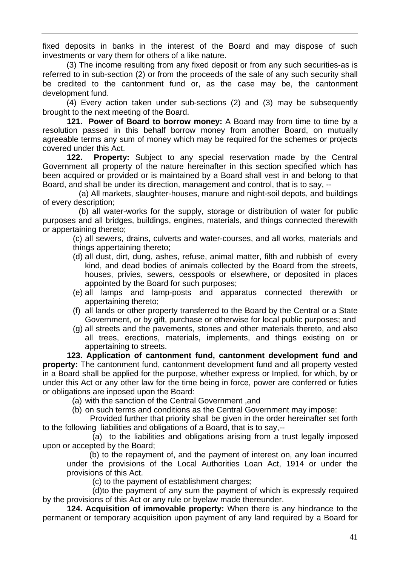fixed deposits in banks in the interest of the Board and may dispose of such investments or vary them for others of a like nature.

(3) The income resulting from any fixed deposit or from any such securities-as is referred to in sub-section (2) or from the proceeds of the sale of any such security shall be credited to the cantonment fund or, as the case may be, the cantonment development fund.

(4) Every action taken under sub-sections (2) and (3) may be subsequently brought to the next meeting of the Board.

 **121. Power of Board to borrow money:** A Board may from time to time by a resolution passed in this behalf borrow money from another Board, on mutually agreeable terms any sum of money which may be required for the schemes or projects covered under this Act.

 **122. Property:** Subject to any special reservation made by the Central Government all property of the nature hereinafter in this section specified which has been acquired or provided or is maintained by a Board shall vest in and belong to that Board, and shall be under its direction, management and control, that is to say, --

 (a) All markets, slaughter-houses, manure and night-soil depots, and buildings of every description;

 (b) all water-works for the supply, storage or distribution of water for public purposes and all bridges, buildings, engines, materials, and things connected therewith or appertaining thereto;

(c) all sewers, drains, culverts and water-courses, and all works, materials and things appertaining thereto;

- (d) all dust, dirt, dung, ashes, refuse, animal matter, filth and rubbish of every kind, and dead bodies of animals collected by the Board from the streets, houses, privies, sewers, cesspools or elsewhere, or deposited in places appointed by the Board for such purposes;
- (e) all lamps and lamp-posts and apparatus connected therewith or appertaining thereto;
- (f) all lands or other property transferred to the Board by the Central or a State Government, or by gift, purchase or otherwise for local public purposes; and
- (g) all streets and the pavements, stones and other materials thereto, and also all trees, erections, materials, implements, and things existing on or appertaining to streets.

 **123. Application of cantonment fund, cantonment development fund and property:** The cantonment fund, cantonment development fund and all property vested in a Board shall be applied for the purpose, whether express or Implied, for which, by or under this Act or any other law for the time being in force, power are conferred or futies or obligations are inposed upon the Board:

(a) with the sanction of the Central Government ,and

(b) on such terms and conditions as the Central Government may impose:

 Provided further that priority shall be given in the order hereinafter set forth to the following liabilities and obligations of a Board, that is to say,--

 (a) to the liabilities and obligations arising from a trust legally imposed upon or accepted by the Board;

 (b) to the repayment of, and the payment of interest on, any loan incurred under the provisions of the Local Authorities Loan Act, 1914 or under the provisions of this Act.

(c) to the payment of establishment charges;

 (d)to the payment of any sum the payment of which is expressly required by the provisions of this Act or any rule or byelaw made thereunder.

**124. Acquisition of immovable property:** When there is any hindrance to the permanent or temporary acquisition upon payment of any land required by a Board for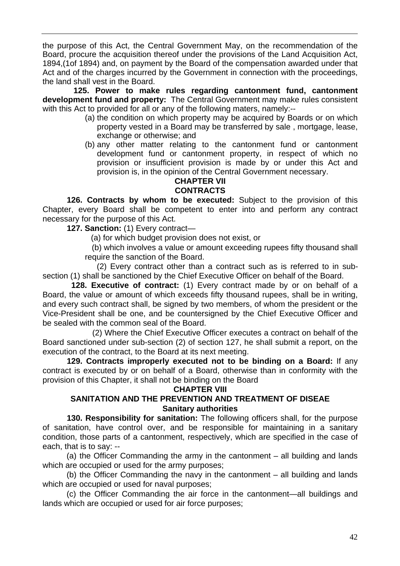the purpose of this Act, the Central Government May, on the recommendation of the Board, procure the acquisition thereof under the provisions of the Land Acquisition Act, 1894,(1of 1894) and, on payment by the Board of the compensation awarded under that Act and of the charges incurred by the Government in connection with the proceedings, the land shall vest in the Board.

**125. Power to make rules regarding cantonment fund, cantonment development fund and property:** The Central Government may make rules consistent with this Act to provided for all or any of the following maters, namely:--

- (a) the condition on which property may be acquired by Boards or on which property vested in a Board may be transferred by sale , mortgage, lease, exchange or otherwise; and
- (b) any other matter relating to the cantonment fund or cantonment development fund or cantonment property, in respect of which no provision or insufficient provision is made by or under this Act and provision is, in the opinion of the Central Government necessary.

## **CHAPTER VII CONTRACTS**

**126. Contracts by whom to be executed:** Subject to the provision of this Chapter, every Board shall be competent to enter into and perform any contract necessary for the purpose of this Act.

**127. Sanction:** (1) Every contract—

(a) for which budget provision does not exist, or

 (b) which involves a value or amount exceeding rupees fifty thousand shall require the sanction of the Board.

 (2) Every contract other than a contract such as is referred to in subsection (1) shall be sanctioned by the Chief Executive Officer on behalf of the Board.

**128. Executive of contract:** (1) Every contract made by or on behalf of a Board, the value or amount of which exceeds fifty thousand rupees, shall be in writing, and every such contract shall, be signed by two members, of whom the president or the Vice-President shall be one, and be countersigned by the Chief Executive Officer and be sealed with the common seal of the Board.

 (2) Where the Chief Executive Officer executes a contract on behalf of the Board sanctioned under sub-section (2) of section 127, he shall submit a report, on the execution of the contract, to the Board at its next meeting.

**129. Contracts improperly executed not to be binding on a Board:** If any contract is executed by or on behalf of a Board, otherwise than in conformity with the provision of this Chapter, it shall not be binding on the Board

### **CHAPTER VIII**

# **SANITATION AND THE PREVENTION AND TREATMENT OF DISEAE Sanitary authorities**

**130. Responsibility for sanitation:** The following officers shall, for the purpose of sanitation, have control over, and be responsible for maintaining in a sanitary condition, those parts of a cantonment, respectively, which are specified in the case of each, that is to say: --

(a) the Officer Commanding the army in the cantonment – all building and lands which are occupied or used for the army purposes;

(b) the Officer Commanding the navy in the cantonment – all building and lands which are occupied or used for naval purposes;

(c) the Officer Commanding the air force in the cantonment—all buildings and lands which are occupied or used for air force purposes;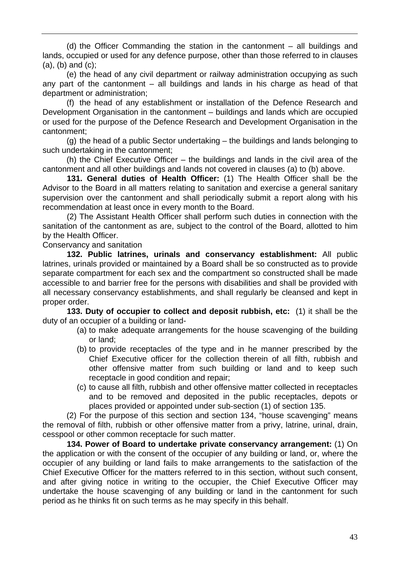(d) the Officer Commanding the station in the cantonment – all buildings and lands, occupied or used for any defence purpose, other than those referred to in clauses  $(a)$ ,  $(b)$  and  $(c)$ :

(e) the head of any civil department or railway administration occupying as such any part of the cantonment – all buildings and lands in his charge as head of that department or administration;

(f) the head of any establishment or installation of the Defence Research and Development Organisation in the cantonment – buildings and lands which are occupied or used for the purpose of the Defence Research and Development Organisation in the cantonment;

(g) the head of a public Sector undertaking – the buildings and lands belonging to such undertaking in the cantonment;

(h) the Chief Executive Officer – the buildings and lands in the civil area of the cantonment and all other buildings and lands not covered in clauses (a) to (b) above.

**131. General duties of Health Officer:** (1) The Health Officer shall be the Advisor to the Board in all matters relating to sanitation and exercise a general sanitary supervision over the cantonment and shall periodically submit a report along with his recommendation at least once in every month to the Board.

(2) The Assistant Health Officer shall perform such duties in connection with the sanitation of the cantonment as are, subject to the control of the Board, allotted to him by the Health Officer.

Conservancy and sanitation

**132. Public latrines, urinals and conservancy establishment:** All public latrines, urinals provided or maintained by a Board shall be so constructed as to provide separate compartment for each sex and the compartment so constructed shall be made accessible to and barrier free for the persons with disabilities and shall be provided with all necessary conservancy establishments, and shall regularly be cleansed and kept in proper order.

**133. Duty of occupier to collect and deposit rubbish, etc:** (1) it shall be the duty of an occupier of a building or land-

- (a) to make adequate arrangements for the house scavenging of the building or land;
- (b) to provide receptacles of the type and in he manner prescribed by the Chief Executive officer for the collection therein of all filth, rubbish and other offensive matter from such building or land and to keep such receptacle in good condition and repair;
- (c) to cause all filth, rubbish and other offensive matter collected in receptacles and to be removed and deposited in the public receptacles, depots or places provided or appointed under sub-section (1) of section 135.

(2) For the purpose of this section and section 134, "house scavenging" means the removal of filth, rubbish or other offensive matter from a privy, latrine, urinal, drain, cesspool or other common receptacle for such matter.

**134. Power of Board to undertake private conservancy arrangement:** (1) On the application or with the consent of the occupier of any building or land, or, where the occupier of any building or land fails to make arrangements to the satisfaction of the Chief Executive Officer for the matters referred to in this section, without such consent, and after giving notice in writing to the occupier, the Chief Executive Officer may undertake the house scavenging of any building or land in the cantonment for such period as he thinks fit on such terms as he may specify in this behalf.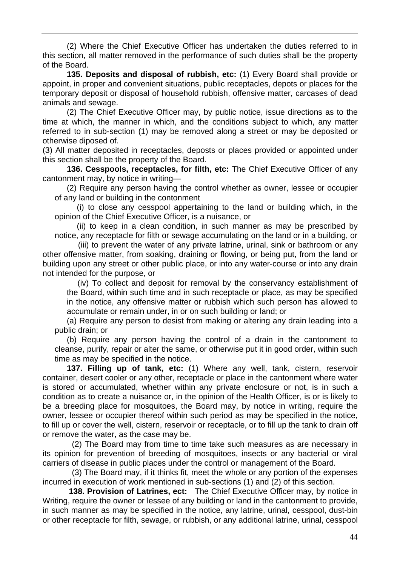(2) Where the Chief Executive Officer has undertaken the duties referred to in this section, all matter removed in the performance of such duties shall be the property of the Board.

**135. Deposits and disposal of rubbish, etc:** (1) Every Board shall provide or appoint, in proper and convenient situations, public receptacles, depots or places for the temporary deposit or disposal of household rubbish, offensive matter, carcases of dead animals and sewage.

(2) The Chief Executive Officer may, by public notice, issue directions as to the time at which, the manner in which, and the conditions subject to which, any matter referred to in sub-section (1) may be removed along a street or may be deposited or otherwise diposed of.

(3) All matter deposited in receptacles, deposts or places provided or appointed under this section shall be the property of the Board.

**136. Cesspools, receptacles, for filth, etc:** The Chief Executive Officer of any cantonment may, by notice in writing—

(2) Require any person having the control whether as owner, lessee or occupier of any land or building in the contonment

(i) to close any cesspool appertaining to the land or building which, in the opinion of the Chief Executive Officer, is a nuisance, or

(ii) to keep in a clean condition, in such manner as may be prescribed by notice, any receptacle for filth or sewage accumulating on the land or in a building, or

 (iii) to prevent the water of any private latrine, urinal, sink or bathroom or any other offensive matter, from soaking, draining or flowing, or being put, from the land or building upon any street or other public place, or into any water-course or into any drain not intended for the purpose, or

 (iv) To collect and deposit for removal by the conservancy establishment of the Board, within such time and in such receptacle or place, as may be specified in the notice, any offensive matter or rubbish which such person has allowed to accumulate or remain under, in or on such building or land; or

(a) Require any person to desist from making or altering any drain leading into a public drain; or

(b) Require any person having the control of a drain in the cantonment to cleanse, purify, repair or alter the same, or otherwise put it in good order, within such time as may be specified in the notice.

**137. Filling up of tank, etc:** (1) Where any well, tank, cistern, reservoir container, desert cooler or any other, receptacle or place in the cantonment where water is stored or accumulated, whether within any private enclosure or not, is in such a condition as to create a nuisance or, in the opinion of the Health Officer, is or is likely to be a breeding place for mosquitoes, the Board may, by notice in writing, require the owner, lessee or occupier thereof within such period as may be specified in the notice, to fill up or cover the well, cistern, reservoir or receptacle, or to fill up the tank to drain off or remove the water, as the case may be.

 (2) The Board may from time to time take such measures as are necessary in its opinion for prevention of breeding of mosquitoes, insects or any bacterial or viral carriers of disease in public places under the control or management of the Board.

 (3) The Board may, if it thinks fit, meet the whole or any portion of the expenses incurred in execution of work mentioned in sub-sections (1) and (2) of this section.

**138. Provision of Latrines, ect:** The Chief Executive Officer may, by notice in Writing, require the owner or lessee of any building or land in the cantonment to provide, in such manner as may be specified in the notice, any latrine, urinal, cesspool, dust-bin or other receptacle for filth, sewage, or rubbish, or any additional latrine, urinal, cesspool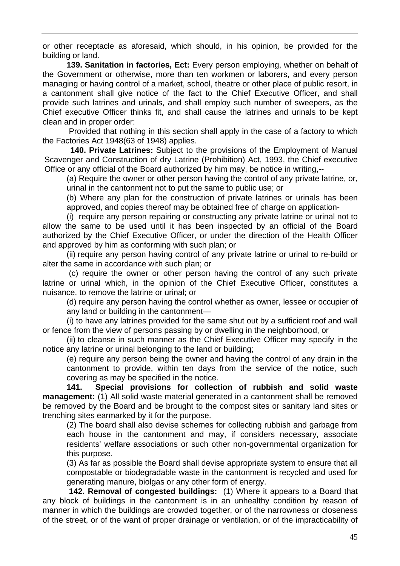or other receptacle as aforesaid, which should, in his opinion, be provided for the building or land.

**139. Sanitation in factories, Ect:** Every person employing, whether on behalf of the Government or otherwise, more than ten workmen or laborers, and every person managing or having control of a market, school, theatre or other place of public resort, in a cantonment shall give notice of the fact to the Chief Executive Officer, and shall provide such latrines and urinals, and shall employ such number of sweepers, as the Chief executive Officer thinks fit, and shall cause the latrines and urinals to be kept clean and in proper order:

Provided that nothing in this section shall apply in the case of a factory to which the Factories Act 1948(63 of 1948) applies.

**140. Private Latrines:** Subject to the provisions of the Employment of Manual Scavenger and Construction of dry Latrine (Prohibition) Act, 1993, the Chief executive Office or any official of the Board authorized by him may, be notice in writing,--

(a) Require the owner or other person having the control of any private latrine, or, urinal in the cantonment not to put the same to public use; or

(b) Where any plan for the construction of private latrines or urinals has been approved, and copies thereof may be obtained free of charge on application-

(i) require any person repairing or constructing any private latrine or urinal not to allow the same to be used until it has been inspected by an official of the Board authorized by the Chief Executive Officer, or under the direction of the Health Officer and approved by him as conforming with such plan; or

(ii) require any person having control of any private latrine or urinal to re-build or alter the same in accordance with such plan; or

(c) require the owner or other person having the control of any such private latrine or urinal which, in the opinion of the Chief Executive Officer, constitutes a nuisance, to remove the latrine or urinal; or

(d) require any person having the control whether as owner, lessee or occupier of any land or building in the cantonment—

(i) to have any latrines provided for the same shut out by a sufficient roof and wall or fence from the view of persons passing by or dwelling in the neighborhood, or

(ii) to cleanse in such manner as the Chief Executive Officer may specify in the notice any latrine or urinal belonging to the land or building;

(e) require any person being the owner and having the control of any drain in the cantonment to provide, within ten days from the service of the notice, such covering as may be specified in the notice.

**141. Special provisions for collection of rubbish and solid waste management:** (1) All solid waste material generated in a cantonment shall be removed be removed by the Board and be brought to the compost sites or sanitary land sites or trenching sites earmarked by it for the purpose.

(2) The board shall also devise schemes for collecting rubbish and garbage from each house in the cantonment and may, if considers necessary, associate residents' welfare associations or such other non-governmental organization for this purpose.

(3) As far as possible the Board shall devise appropriate system to ensure that all compostable or biodegradable waste in the cantonment is recycled and used for generating manure, biolgas or any other form of energy.

 **142. Removal of congested buildings:** (1) Where it appears to a Board that any block of buildings in the cantonment is in an unhealthy condition by reason of manner in which the buildings are crowded together, or of the narrowness or closeness of the street, or of the want of proper drainage or ventilation, or of the impracticability of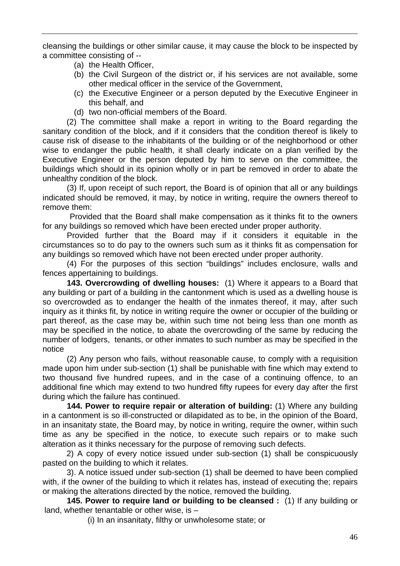cleansing the buildings or other similar cause, it may cause the block to be inspected by a committee consisting of --

- (a) the Health Officer,
- (b) the Civil Surgeon of the district or, if his services are not available, some other medical officer in the service of the Government,
- (c) the Executive Engineer or a person deputed by the Executive Engineer in this behalf, and
- (d) two non-official members of the Board.

(2) The committee shall make a report in writing to the Board regarding the sanitary condition of the block, and if it considers that the condition thereof is likely to cause risk of disease to the inhabitants of the building or of the neighborhood or other wise to endanger the public health, it shall clearly indicate on a plan verified by the Executive Engineer or the person deputed by him to serve on the committee, the buildings which should in its opinion wholly or in part be removed in order to abate the unhealthy condition of the block.

(3) If, upon receipt of such report, the Board is of opinion that all or any buildings indicated should be removed, it may, by notice in writing, require the owners thereof to remove them:

 Provided that the Board shall make compensation as it thinks fit to the owners for any buildings so removed which have been erected under proper authority.

Provided further that the Board may if it considers it equitable in the circumstances so to do pay to the owners such sum as it thinks fit as compensation for any buildings so removed which have not been erected under proper authority.

(4) For the purposes of this section "buildings" includes enclosure, walls and fences appertaining to buildings.

 **143. Overcrowding of dwelling houses:** (1) Where it appears to a Board that any building or part of a building in the cantonment which is used as a dwelling house is so overcrowded as to endanger the health of the inmates thereof, it may, after such inquiry as it thinks fit, by notice in writing require the owner or occupier of the building or part thereof, as the case may be, within such time not being less than one month as may be specified in the notice, to abate the overcrowding of the same by reducing the number of lodgers, tenants, or other inmates to such number as may be specified in the notice

(2) Any person who fails, without reasonable cause, to comply with a requisition made upon him under sub-section (1) shall be punishable with fine which may extend to two thousand five hundred rupees, and in the case of a continuing offence, to an additional fine which may extend to two hundred fifty rupees for every day after the first during which the failure has continued.

**144. Power to require repair or alteration of building:** (1) Where any building in a cantonment is so ill-constructed or dilapidated as to be, in the opinion of the Board, in an insanitaty state, the Board may, by notice in writing, require the owner, within such time as any be specified in the notice, to execute such repairs or to make such alteration as it thinks necessary for the purpose of removing such defects.

2) A copy of every notice issued under sub-section (1) shall be conspicuously pasted on the building to which it relates.

3). A notice issued under sub-section (1) shall be deemed to have been complied with, if the owner of the building to which it relates has, instead of executing the; repairs or making the alterations directed by the notice, removed the building.

**145. Power to require land or building to be cleansed :** (1) If any building or land, whether tenantable or other wise, is –

(i) In an insanitaty, filthy or unwholesome state; or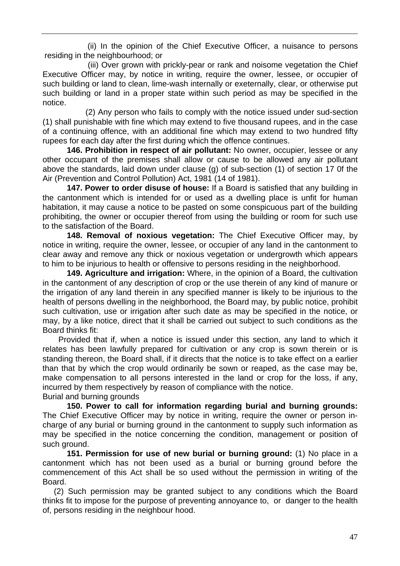(ii) In the opinion of the Chief Executive Officer, a nuisance to persons residing in the neighbourhood; or

 (iii) Over grown with prickly-pear or rank and noisome vegetation the Chief Executive Officer may, by notice in writing, require the owner, lessee, or occupier of such building or land to clean, lime-wash internally or exeternally, clear, or otherwise put such building or land in a proper state within such period as may be specified in the notice.

 (2) Any person who fails to comply with the notice issued under sud-section (1) shall punishable with fine which may extend to five thousand rupees, and in the case of a continuing offence, with an additional fine which may extend to two hundred fifty rupees for each day after the first during which the offence continues.

 **146. Prohibition in respect of air pollutant:** No owner, occupier, lessee or any other occupant of the premises shall allow or cause to be allowed any air pollutant above the standards, laid down under clause (g) of sub-section (1) of section 17 0f the Air (Prevention and Control Pollution) Act, 1981 (14 of 1981).

 **147. Power to order disuse of house:** If a Board is satisfied that any building in the cantonment which is intended for or used as a dwelling place is unfit for human habitation, it may cause a notice to be pasted on some conspicuous part of the building prohibiting, the owner or occupier thereof from using the building or room for such use to the satisfaction of the Board.

**148. Removal of noxious vegetation:** The Chief Executive Officer may, by notice in writing, require the owner, lessee, or occupier of any land in the cantonment to clear away and remove any thick or noxious vegetation or undergrowth which appears to him to be injurious to health or offensive to persons residing in the neighborhood.

**149. Agriculture and irrigation:** Where, in the opinion of a Board, the cultivation in the cantonment of any description of crop or the use therein of any kind of manure or the irrigation of any land therein in any specified manner is likely to be injurious to the health of persons dwelling in the neighborhood, the Board may, by public notice, prohibit such cultivation, use or irrigation after such date as may be specified in the notice, or may, by a like notice, direct that it shall be carried out subject to such conditions as the Board thinks fit:

 Provided that if, when a notice is issued under this section, any land to which it relates has been lawfully prepared for cultivation or any crop is sown therein or is standing thereon, the Board shall, if it directs that the notice is to take effect on a earlier than that by which the crop would ordinarily be sown or reaped, as the case may be, make compensation to all persons interested in the land or crop for the loss, if any, incurred by them respectively by reason of compliance with the notice. Burial and burning grounds

**150. Power to call for information regarding burial and burning grounds:** The Chief Executive Officer may by notice in writing, require the owner or person incharge of any burial or burning ground in the cantonment to supply such information as may be specified in the notice concerning the condition, management or position of such ground.

**151. Permission for use of new burial or burning ground:** (1) No place in a cantonment which has not been used as a burial or burning ground before the commencement of this Act shall be so used without the permission in writing of the Board.

(2) Such permission may be granted subject to any conditions which the Board thinks fit to impose for the purpose of preventing annoyance to, or danger to the health of, persons residing in the neighbour hood.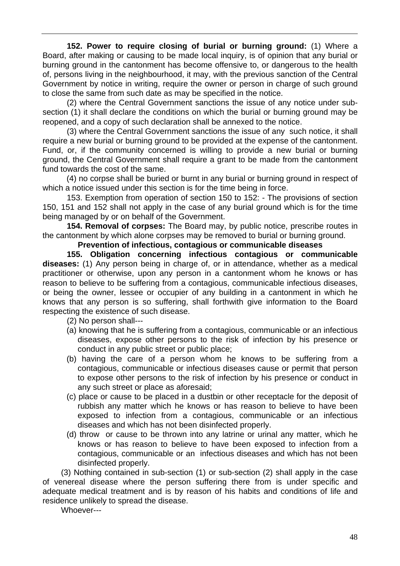**152. Power to require closing of burial or burning ground:** (1) Where a Board, after making or causing to be made local inquiry, is of opinion that any burial or burning ground in the cantonment has become offensive to, or dangerous to the health of, persons living in the neighbourhood, it may, with the previous sanction of the Central Government by notice in writing, require the owner or person in charge of such ground to close the same from such date as may be specified in the notice.

(2) where the Central Government sanctions the issue of any notice under subsection (1) it shall declare the conditions on which the burial or burning ground may be reopened, and a copy of such declaration shall be annexed to the notice.

(3) where the Central Government sanctions the issue of any such notice, it shall require a new burial or burning ground to be provided at the expense of the cantonment. Fund, or, if the community concerned is willing to provide a new burial or burning ground, the Central Government shall require a grant to be made from the cantonment fund towards the cost of the same.

(4) no corpse shall be buried or burnt in any burial or burning ground in respect of which a notice issued under this section is for the time being in force.

153. Exemption from operation of section 150 to 152: - The provisions of section 150, 151 and 152 shall not apply in the case of any burial ground which is for the time being managed by or on behalf of the Government.

**154. Removal of corpses:** The Board may, by public notice, prescribe routes in the cantonment by which alone corpses may be removed to burial or burning ground.

### **Prevention of infectious, contagious or communicable diseases**

**155. Obligation concerning infectious contagious or communicable diseases:** (1) Any person being in charge of, or in attendance, whether as a medical practitioner or otherwise, upon any person in a cantonment whom he knows or has reason to believe to be suffering from a contagious, communicable infectious diseases, or being the owner, lessee or occupier of any building in a cantonment in which he knows that any person is so suffering, shall forthwith give information to the Board respecting the existence of such disease.

(2) No person shall---

- (a) knowing that he is suffering from a contagious, communicable or an infectious diseases, expose other persons to the risk of infection by his presence or conduct in any public street or public place;
- (b) having the care of a person whom he knows to be suffering from a contagious, communicable or infectious diseases cause or permit that person to expose other persons to the risk of infection by his presence or conduct in any such street or place as aforesaid;
- (c) place or cause to be placed in a dustbin or other receptacle for the deposit of rubbish any matter which he knows or has reason to believe to have been exposed to infection from a contagious, communicable or an infectious diseases and which has not been disinfected properly.
- (d) throw or cause to be thrown into any latrine or urinal any matter, which he knows or has reason to believe to have been exposed to infection from a contagious, communicable or an infectious diseases and which has not been disinfected properly.

(3) Nothing contained in sub-section (1) or sub-section (2) shall apply in the case of venereal disease where the person suffering there from is under specific and adequate medical treatment and is by reason of his habits and conditions of life and residence unlikely to spread the disease.

Whoever---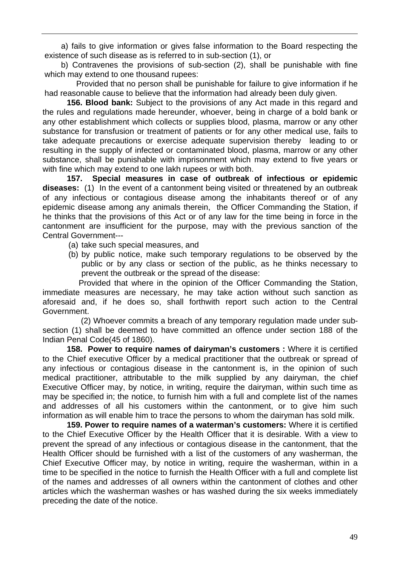a) fails to give information or gives false information to the Board respecting the existence of such disease as is referred to in sub-section (1), or

b) Contravenes the provisions of sub-section (2), shall be punishable with fine which may extend to one thousand rupees:

 Provided that no person shall be punishable for failure to give information if he had reasonable cause to believe that the information had already been duly given.

**156. Blood bank:** Subject to the provisions of any Act made in this regard and the rules and regulations made hereunder, whoever, being in charge of a bold bank or any other establishment which collects or supplies blood, plasma, marrow or any other substance for transfusion or treatment of patients or for any other medical use, fails to take adequate precautions or exercise adequate supervision thereby leading to or resulting in the supply of infected or contaminated blood, plasma, marrow or any other substance, shall be punishable with imprisonment which may extend to five years or with fine which may extend to one lakh rupees or with both.

**157. Special measures in case of outbreak of infectious or epidemic diseases:** (1) In the event of a cantonment being visited or threatened by an outbreak of any infectious or contagious disease among the inhabitants thereof or of any epidemic disease among any animals therein, the Officer Commanding the Station, if he thinks that the provisions of this Act or of any law for the time being in force in the cantonment are insufficient for the purpose, may with the previous sanction of the Central Government---

- (a) take such special measures, and
- (b) by public notice, make such temporary regulations to be observed by the public or by any class or section of the public, as he thinks necessary to prevent the outbreak or the spread of the disease:

 Provided that where in the opinion of the Officer Commanding the Station, immediate measures are necessary, he may take action without such sanction as aforesaid and, if he does so, shall forthwith report such action to the Central Government.

 (2) Whoever commits a breach of any temporary regulation made under subsection (1) shall be deemed to have committed an offence under section 188 of the Indian Penal Code(45 of 1860).

 **158. Power to require names of dairyman's customers :** Where it is certified to the Chief executive Officer by a medical practitioner that the outbreak or spread of any infectious or contagious disease in the cantonment is, in the opinion of such medical practitioner, attributable to the milk supplied by any dairyman, the chief Executive Officer may, by notice, in writing, require the dairyman, within such time as may be specified in; the notice, to furnish him with a full and complete list of the names and addresses of all his customers within the cantonment, or to give him such information as will enable him to trace the persons to whom the dairyman has sold milk.

**159. Power to require names of a waterman's customers:** Where it is certified to the Chief Executive Officer by the Health Officer that it is desirable. With a view to prevent the spread of any infectious or contagious disease in the cantonment, that the Health Officer should be furnished with a list of the customers of any washerman, the Chief Executive Officer may, by notice in writing, require the washerman, within in a time to be specified in the notice to furnish the Health Officer with a full and complete list of the names and addresses of all owners within the cantonment of clothes and other articles which the washerman washes or has washed during the six weeks immediately preceding the date of the notice.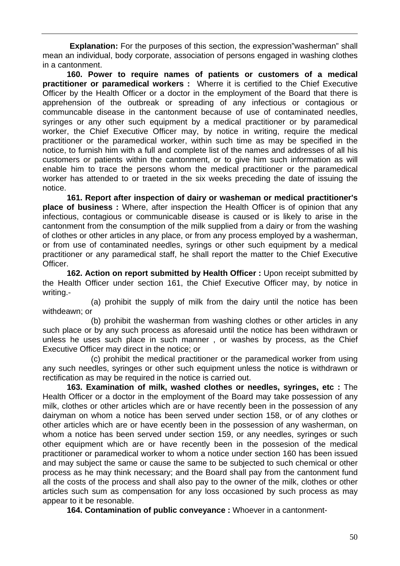**Explanation:** For the purposes of this section, the expression"washerman" shall mean an individual, body corporate, association of persons engaged in washing clothes in a cantonment.

**160. Power to require names of patients or customers of a medical practitioner or paramedical workers :** Wherre it is certified to the Chief Executive Officer by the Health Officer or a doctor in the employment of the Board that there is apprehension of the outbreak or spreading of any infectious or contagious or communcable disease in the cantonment because of use of contaminated needles, syringes or any other such equipment by a medical practitioner or by paramedical worker, the Chief Executive Officer may, by notice in writing, require the medical practitioner or the paramedical worker, within such time as may be specified in the notice, to furnish him with a full and complete list of the names and addresses of all his customers or patients within the cantonment, or to give him such information as will enable him to trace the persons whom the medical practitioner or the paramedical worker has attended to or traeted in the six weeks preceding the date of issuing the notice.

**161. Report after inspection of dairy or washeman or medical practitioner's place of business :** Where, after inspection the Health Officer is of opinion that any infectious, contagious or communicable disease is caused or is likely to arise in the cantonment from the consumption of the milk supplied from a dairy or from the washing of clothes or other articles in any place, or from any process employed by a washerman, or from use of contaminated needles, syrings or other such equipment by a medical practitioner or any paramedical staff, he shall report the matter to the Chief Executive Officer.

**162. Action on report submitted by Health Officer :** Upon receipt submitted by the Health Officer under section 161, the Chief Executive Officer may, by notice in writing.-

(a) prohibit the supply of milk from the dairy until the notice has been withdeawn; or

(b) prohibit the washerman from washing clothes or other articles in any such place or by any such process as aforesaid until the notice has been withdrawn or unless he uses such place in such manner , or washes by process, as the Chief Executive Officer may direct in the notice; or

(c) prohibit the medical practitioner or the paramedical worker from using any such needles, syringes or other such equipment unless the notice is withdrawn or rectification as may be required in the notice is carried out.

**163. Examination of milk, washed clothes or needles, syringes, etc :** The Health Officer or a doctor in the employment of the Board may take possession of any milk, clothes or other articles which are or have recently been in the possession of any dairyman on whom a notice has been served under section 158, or of any clothes or other articles which are or have ecently been in the possession of any washerman, on whom a notice has been served under section 159, or any needles, syringes or such other equipment which are or have recently been in the possesion of the medical practitioner or paramedical worker to whom a notice under section 160 has been issued and may subject the same or cause the same to be subjected to such chemical or other process as he may think necessary; and the Board shall pay from the cantonment fund all the costs of the process and shall also pay to the owner of the milk, clothes or other articles such sum as compensation for any loss occasioned by such process as may appear to it be resonable.

**164. Contamination of public conveyance :** Whoever in a cantonment-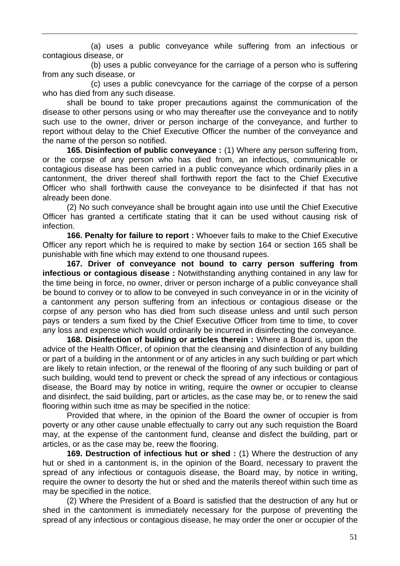(a) uses a public conveyance while suffering from an infectious or contagious disease, or

(b) uses a public conveyance for the carriage of a person who is suffering from any such disease, or

(c) uses a public conevcyance for the carriage of the corpse of a person who has died from any such disease.

shall be bound to take proper precautions against the communication of the disease to other persons using or who may thereafter use the conveyance and to notify such use to the owner, driver or person incharge of the conveyance, and further to report without delay to the Chief Executive Officer the number of the conveyance and the name of the person so notified.

**165. Disinfection of public conveyance :** (1) Where any person suffering from, or the corpse of any person who has died from, an infectious, communicable or contagious disease has been carried in a public conveyance which ordinarily plies in a cantonment, the driver thereof shall forthwith report the fact to the Chief Executive Officer who shall forthwith cause the conveyance to be disinfected if that has not already been done.

(2) No such conveyance shall be brought again into use until the Chief Executive Officer has granted a certificate stating that it can be used without causing risk of infection.

**166. Penalty for failure to report :** Whoever fails to make to the Chief Executive Officer any report which he is required to make by section 164 or section 165 shall be punishable with fine which may extend to one thousand rupees.

**167. Driver of conveyance not bound to carry person suffering from infectious or contagious disease :** Notwithstanding anything contained in any law for the time being in force, no owner, driver or person incharge of a public conveyance shall be bound to convey or to allow to be conveyed in such conveyance in or in the vicinity of a cantonment any person suffering from an infectious or contagious disease or the corpse of any person who has died from such disease unless and until such person pays or tenders a sum fixed by the Chief Executive Officer from time to time, to cover any loss and expense which would ordinarily be incurred in disinfecting the conveyance.

**168. Disinfection of building or articles therein :** Where a Board is, upon the advice of the Health Officer, of opinion that the cleansing and disinfection of any building or part of a building in the antonment or of any articles in any such building or part which are likely to retain infection, or the renewal of the flooring of any such building or part of such building, would tend to prevent or check the spread of any infectious or contagious disease, the Board may by notice in writing, require the owner or occupier to cleanse and disinfect, the said building, part or articles, as the case may be, or to renew the said flooring within such itme as may be specified in the notice:

Provided that where, in the opinion of the Board the owner of occupier is from poverty or any other cause unable effectually to carry out any such requistion the Board may, at the expense of the cantonment fund, cleanse and disfect the building, part or articles, or as the case may be, reew the flooring.

**169. Destruction of infectious hut or shed :** (1) Where the destruction of any hut or shed in a cantonment is, in the opinion of the Board, necessary to pravent the spread of any infectious or contaguois disease, the Board may, by notice in writing, require the owner to desorty the hut or shed and the materils thereof within such time as may be specified in the notice.

(2) Where the President of a Board is satisfied that the destruction of any hut or shed in the cantonment is immediately necessary for the purpose of preventing the spread of any infectious or contagious disease, he may order the oner or occupier of the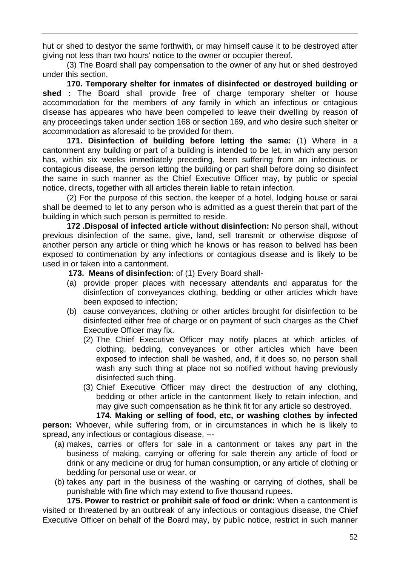hut or shed to destyor the same forthwith, or may himself cause it to be destroyed after giving not less than two hours' notice to the owner or occupier thereof.

(3) The Board shall pay compensation to the owner of any hut or shed destroyed under this section.

**170. Temporary shelter for inmates of disinfected or destroyed building or shed :** The Board shall provide free of charge temporary shelter or house accommodation for the members of any family in which an infectious or cntagious disease has appeares who have been compelled to leave their dwelling by reason of any proceedings taken under section 168 or section 169, and who desire such shelter or accommodation as aforesaid to be provided for them.

**171. Disinfection of building before letting the same:** (1) Where in a cantonment any building or part of a building is intended to be let, in which any person has, within six weeks immediately preceding, been suffering from an infectious or contagious disease, the person letting the building or part shall before doing so disinfect the same in such manner as the Chief Executive Officer may, by public or special notice, directs, together with all articles therein liable to retain infection.

 (2) For the purpose of this section, the keeper of a hotel, lodging house or sarai shall be deemed to let to any person who is admitted as a guest therein that part of the building in which such person is permitted to reside.

**172 .Disposal of infected article without disinfection:** No person shall, without previous disinfection of the same, give, land, sell transmit or otherwise dispose of another person any article or thing which he knows or has reason to belived has been exposed to contimenation by any infections or contagious disease and is likely to be used in or taken into a cantonment.

**173. Means of disinfection:** of (1) Every Board shall-

- (a) provide proper places with necessary attendants and apparatus for the disinfection of conveyances clothing, bedding or other articles which have been exposed to infection;
- (b) cause conveyances, clothing or other articles brought for disinfection to be disinfected either free of charge or on payment of such charges as the Chief Executive Officer may fix.
	- (2) The Chief Executive Officer may notify places at which articles of clothing, bedding, conveyances or other articles which have been exposed to infection shall be washed, and, if it does so, no person shall wash any such thing at place not so notified without having previously disinfected such thing.
	- (3) Chief Executive Officer may direct the destruction of any clothing, bedding or other article in the cantonment likely to retain infection, and may give such compensation as he think fit for any article so destroyed.

**174. Making or selling of food, etc, or washing clothes by infected person:** Whoever, while suffering from, or in circumstances in which he is likely to spread, any infectious or contagious disease, ---

- (a) makes, carries or offers for sale in a cantonment or takes any part in the business of making, carrying or offering for sale therein any article of food or drink or any medicine or drug for human consumption, or any article of clothing or bedding for personal use or wear, or
- (b) takes any part in the business of the washing or carrying of clothes, shall be punishable with fine which may extend to five thousand rupees.

**175. Power to restrict or prohibit sale of food or drink:** When a cantonment is visited or threatened by an outbreak of any infectious or contagious disease, the Chief Executive Officer on behalf of the Board may, by public notice, restrict in such manner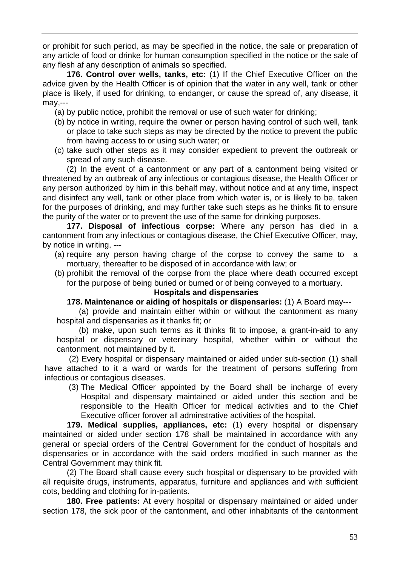or prohibit for such period, as may be specified in the notice, the sale or preparation of any article of food or drinke for human consumption specified in the notice or the sale of any flesh af any description of animals so specified.

**176. Control over wells, tanks, etc:** (1) If the Chief Executive Officer on the advice given by the Health Officer is of opinion that the water in any well, tank or other place is likely, if used for drinking, to endanger, or cause the spread of, any disease, it may,---

(a) by public notice, prohibit the removal or use of such water for drinking;

- (b) by notice in writing, require the owner or person having control of such well, tank or place to take such steps as may be directed by the notice to prevent the public from having access to or using such water; or
- (c) take such other steps as it may consider expedient to prevent the outbreak or spread of any such disease.

(2) In the event of a cantonment or any part of a cantonment being visited or threatened by an outbreak of any infectious or contagious disease, the Health Officer or any person authorized by him in this behalf may, without notice and at any time, inspect and disinfect any well, tank or other place from which water is, or is likely to be, taken for the purposes of drinking, and may further take such steps as he thinks fit to ensure the purity of the water or to prevent the use of the same for drinking purposes.

**177. Disposal of infectious corpse:** Where any person has died in a cantonment from any infectious or contagious disease, the Chief Executive Officer, may, by notice in writing, ---

- (a) require any person having charge of the corpse to convey the same to a mortuary, thereafter to be disposed of in accordance with law; or
- (b) prohibit the removal of the corpse from the place where death occurred except for the purpose of being buried or burned or of being conveyed to a mortuary.

### **Hospitals and dispensaries**

### **178. Maintenance or aiding of hospitals or dispensaries:** (1) A Board may---

(a) provide and maintain either within or without the cantonment as many hospital and dispensaries as it thanks fit; or

(b) make, upon such terms as it thinks fit to impose, a grant-in-aid to any hospital or dispensary or veterinary hospital, whether within or without the cantonment, not maintained by it.

(2) Every hospital or dispensary maintained or aided under sub-section (1) shall have attached to it a ward or wards for the treatment of persons suffering from infectious or contagious diseases.

(3) The Medical Officer appointed by the Board shall be incharge of every Hospital and dispensary maintained or aided under this section and be responsible to the Health Officer for medical activities and to the Chief Executive officer forover all adminstrative activities of the hospital.

**179. Medical supplies, appliances, etc:** (1) every hospital or dispensary maintained or aided under section 178 shall be maintained in accordance with any general or special orders of the Central Government for the conduct of hospitals and dispensaries or in accordance with the said orders modified in such manner as the Central Government may think fit.

(2) The Board shall cause every such hospital or dispensary to be provided with all requisite drugs, instruments, apparatus, furniture and appliances and with sufficient cots, bedding and clothing for in-patients.

**180. Free patients:** At every hospital or dispensary maintained or aided under section 178, the sick poor of the cantonment, and other inhabitants of the cantonment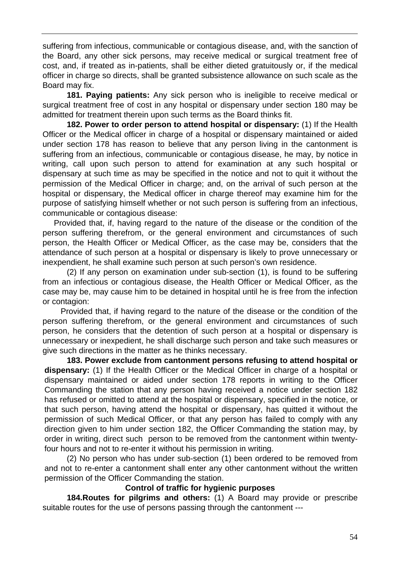suffering from infectious, communicable or contagious disease, and, with the sanction of the Board, any other sick persons, may receive medical or surgical treatment free of cost, and, if treated as in-patients, shall be either dieted gratuitously or, if the medical officer in charge so directs, shall be granted subsistence allowance on such scale as the Board may fix.

**181. Paying patients:** Any sick person who is ineligible to receive medical or surgical treatment free of cost in any hospital or dispensary under section 180 may be admitted for treatment therein upon such terms as the Board thinks fit.

**182. Power to order person to attend hospital or dispensary:** (1) If the Health Officer or the Medical officer in charge of a hospital or dispensary maintained or aided under section 178 has reason to believe that any person living in the cantonment is suffering from an infectious, communicable or contagious disease, he may, by notice in writing, call upon such person to attend for examination at any such hospital or dispensary at such time as may be specified in the notice and not to quit it without the permission of the Medical Officer in charge; and, on the arrival of such person at the hospital or dispensary, the Medical officer in charge thereof may examine him for the purpose of satisfying himself whether or not such person is suffering from an infectious, communicable or contagious disease:

 Provided that, if, having regard to the nature of the disease or the condition of the person suffering therefrom, or the general environment and circumstances of such person, the Health Officer or Medical Officer, as the case may be, considers that the attendance of such person at a hospital or dispensary is likely to prove unnecessary or inexpendient, he shall examine such person at such person's own residence.

(2) If any person on examination under sub-section (1), is found to be suffering from an infectious or contagious disease, the Health Officer or Medical Officer, as the case may be, may cause him to be detained in hospital until he is free from the infection or contagion:

 Provided that, if having regard to the nature of the disease or the condition of the person suffering therefrom, or the general environment and circumstances of such person, he considers that the detention of such person at a hospital or dispensary is unnecessary or inexpedient, he shall discharge such person and take such measures or give such directions in the matter as he thinks necessary.

**183. Power exclude from cantonment persons refusing to attend hospital or dispensary:** (1) If the Health Officer or the Medical Officer in charge of a hospital or dispensary maintained or aided under section 178 reports in writing to the Officer Commanding the station that any person having received a notice under section 182 has refused or omitted to attend at the hospital or dispensary, specified in the notice, or that such person, having attend the hospital or dispensary, has quitted it without the permission of such Medical Officer, or that any person has failed to comply with any direction given to him under section 182, the Officer Commanding the station may, by order in writing, direct such person to be removed from the cantonment within twentyfour hours and not to re-enter it without his permission in writing.

(2) No person who has under sub-section (1) been ordered to be removed from and not to re-enter a cantonment shall enter any other cantonment without the written permission of the Officer Commanding the station.

### **Control of traffic for hygienic purposes**

**184.Routes for pilgrims and others:** (1) A Board may provide or prescribe suitable routes for the use of persons passing through the cantonment ---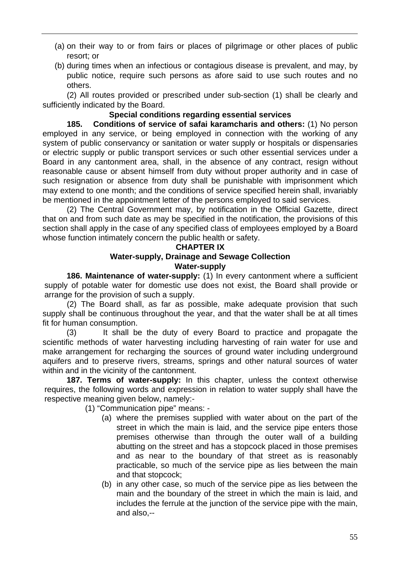- (a) on their way to or from fairs or places of pilgrimage or other places of public resort; or
- (b) during times when an infectious or contagious disease is prevalent, and may, by public notice, require such persons as afore said to use such routes and no others.

(2) All routes provided or prescribed under sub-section (1) shall be clearly and sufficiently indicated by the Board.

# **Special conditions regarding essential services**

**185. Conditions of service of safai karamcharis and others:** (1) No person employed in any service, or being employed in connection with the working of any system of public conservancy or sanitation or water supply or hospitals or dispensaries or electric supply or public transport services or such other essential services under a Board in any cantonment area, shall, in the absence of any contract, resign without reasonable cause or absent himself from duty without proper authority and in case of such resignation or absence from duty shall be punishable with imprisonment which may extend to one month; and the conditions of service specified herein shall, invariably be mentioned in the appointment letter of the persons employed to said services.

(2) The Central Government may, by notification in the Official Gazette, direct that on and from such date as may be specified in the notification, the provisions of this section shall apply in the case of any specified class of employees employed by a Board whose function intimately concern the public health or safety.

# **CHAPTER IX Water-supply, Drainage and Sewage Collection Water-supply**

**186. Maintenance of water-supply:** (1) In every cantonment where a sufficient supply of potable water for domestic use does not exist, the Board shall provide or arrange for the provision of such a supply.

(2) The Board shall, as far as possible, make adequate provision that such supply shall be continuous throughout the year, and that the water shall be at all times fit for human consumption.

(3) It shall be the duty of every Board to practice and propagate the scientific methods of water harvesting including harvesting of rain water for use and make arrangement for recharging the sources of ground water including underground aquifers and to preserve rivers, streams, springs and other natural sources of water within and in the vicinity of the cantonment.

**187. Terms of water-supply:** In this chapter, unless the context otherwise requires, the following words and expression in relation to water supply shall have the respective meaning given below, namely:-

(1) "Communication pipe" means: -

- (a) where the premises supplied with water about on the part of the street in which the main is laid, and the service pipe enters those premises otherwise than through the outer wall of a building abutting on the street and has a stopcock placed in those premises and as near to the boundary of that street as is reasonably practicable, so much of the service pipe as lies between the main and that stopcock;
- (b) in any other case, so much of the service pipe as lies between the main and the boundary of the street in which the main is laid, and includes the ferrule at the junction of the service pipe with the main, and also,--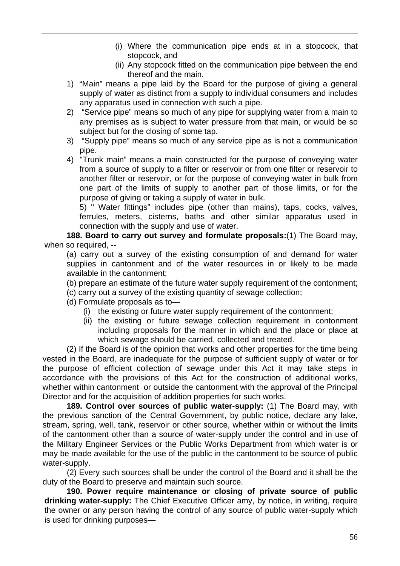- (i) Where the communication pipe ends at in a stopcock, that stopcock, and
- (ii) Any stopcock fitted on the communication pipe between the end thereof and the main.
- 1) "Main" means a pipe laid by the Board for the purpose of giving a general supply of water as distinct from a supply to individual consumers and includes any apparatus used in connection with such a pipe.
- 2) "Service pipe" means so much of any pipe for supplying water from a main to any premises as is subject to water pressure from that main, or would be so subject but for the closing of some tap.
- 3) "Supply pipe" means so much of any service pipe as is not a communication pipe.
- 4) ''Trunk main" means a main constructed for the purpose of conveying water from a source of supply to a filter or reservoir or from one filter or reservoir to another filter or reservoir, or for the purpose of conveying water in bulk from one part of the limits of supply to another part of those limits, or for the purpose of giving or taking a supply of water in bulk.

5) '' Water fittings" includes pipe (other than mains), taps, cocks, valves, ferrules, meters, cisterns, baths and other similar apparatus used in connection with the supply and use of water.

**188. Board to carry out survey and formulate proposals:**(1) The Board may, when so required, --

(a) carry out a survey of the existing consumption of and demand for water supplies in cantonment and of the water resources in or likely to be made available in the cantonment;

- (b) prepare an estimate of the future water supply requirement of the contonment;
- (c) carry out a survey of the existing quantity of sewage collection;
- (d) Formulate proposals as to—
	- (i) the existing or future water supply requirement of the contonment;
	- (ii) the existing or future sewage collection requirement in contonment including proposals for the manner in which and the place or place at which sewage should be carried, collected and treated.

(2) If the Board is of the opinion that works and other properties for the time being vested in the Board, are inadequate for the purpose of sufficient supply of water or for the purpose of efficient collection of sewage under this Act it may take steps in accordance with the provisions of this Act for the construction of additional works, whether within cantonment or outside the cantonment with the approval of the Principal Director and for the acquisition of addition properties for such works.

**189. Control over sources of public water-supply:** (1) The Board may, with the previous sanction of the Central Government, by public notice, declare any lake, stream, spring, well, tank, reservoir or other source, whether within or without the limits of the cantonment other than a source of water-supply under the control and in use of the Military Engineer Services or the Public Works Department from which water is or may be made available for the use of the public in the cantonment to be source of public water-supply.

(2) Every such sources shall be under the control of the Board and it shall be the duty of the Board to preserve and maintain such source.

**190. Power require maintenance or closing of private source of public drinking water-supply:** The Chief Executive Officer amy, by notice, in writing, require the owner or any person having the control of any source of public water-supply which is used for drinking purposes—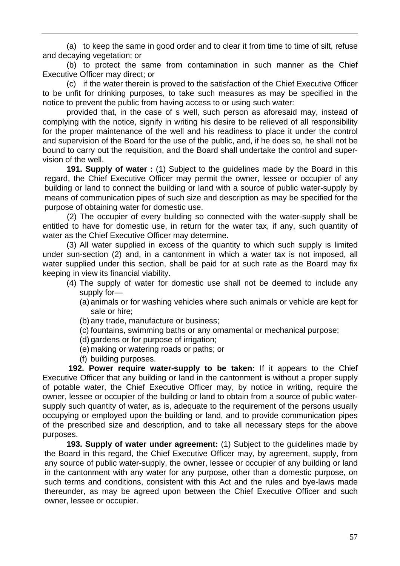(a) to keep the same in good order and to clear it from time to time of silt, refuse and decaying vegetation; or

(b) to protect the same from contamination in such manner as the Chief Executive Officer may direct; or

(c) if the water therein is proved to the satisfaction of the Chief Executive Officer to be unfit for drinking purposes, to take such measures as may be specified in the notice to prevent the public from having access to or using such water:

provided that, in the case of s well, such person as aforesaid may, instead of complying with the notice, signify in writing his desire to be relieved of all responsibility for the proper maintenance of the well and his readiness to place it under the control and supervision of the Board for the use of the public, and, if he does so, he shall not be bound to carry out the requisition, and the Board shall undertake the control and supervision of the well.

**191. Supply of water :** (1) Subject to the guidelines made by the Board in this regard, the Chief Executive Officer may permit the owner, lessee or occupier of any building or land to connect the building or land with a source of public water-supply by means of communication pipes of such size and description as may be specified for the purpose of obtaining water for domestic use.

(2) The occupier of every building so connected with the water-supply shall be entitled to have for domestic use, in return for the water tax, if any, such quantity of water as the Chief Executive Officer may determine.

(3) All water supplied in excess of the quantity to which such supply is limited under sun-section (2) and, in a cantonment in which a water tax is not imposed, all water supplied under this section, shall be paid for at such rate as the Board may fix keeping in view its financial viability.

- (4) The supply of water for domestic use shall not be deemed to include any supply for—
	- (a) animals or for washing vehicles where such animals or vehicle are kept for sale or hire;
	- (b) any trade, manufacture or business;
	- (c) fountains, swimming baths or any ornamental or mechanical purpose;
	- (d) gardens or for purpose of irrigation;
	- (e) making or watering roads or paths; or
	- (f) building purposes.

**192. Power require water-supply to be taken:** If it appears to the Chief Executive Officer that any building or land in the cantonment is without a proper supply of potable water, the Chief Executive Officer may, by notice in writing, require the owner, lessee or occupier of the building or land to obtain from a source of public watersupply such quantity of water, as is, adequate to the requirement of the persons usually occupying or employed upon the building or land, and to provide communication pipes of the prescribed size and description, and to take all necessary steps for the above purposes.

**193. Supply of water under agreement:** (1) Subject to the guidelines made by the Board in this regard, the Chief Executive Officer may, by agreement, supply, from any source of public water-supply, the owner, lessee or occupier of any building or land in the cantonment with any water for any purpose, other than a domestic purpose, on such terms and conditions, consistent with this Act and the rules and bye-laws made thereunder, as may be agreed upon between the Chief Executive Officer and such owner, lessee or occupier.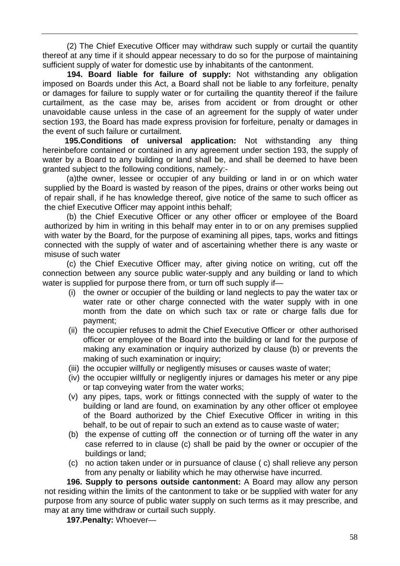(2) The Chief Executive Officer may withdraw such supply or curtail the quantity thereof at any time if it should appear necessary to do so for the purpose of maintaining sufficient supply of water for domestic use by inhabitants of the cantonment.

**194. Board liable for failure of supply:** Not withstanding any obligation imposed on Boards under this Act, a Board shall not be liable to any forfeiture, penalty or damages for failure to supply water or for curtailing the quantity thereof if the failure curtailment, as the case may be, arises from accident or from drought or other unavoidable cause unless in the case of an agreement for the supply of water under section 193, the Board has made express provision for forfeiture, penalty or damages in the event of such failure or curtailment.

**195.Conditions of universal application:** Not withstanding any thing hereinbefore contained or contained in any agreement under section 193, the supply of water by a Board to any building or land shall be, and shall be deemed to have been granted subject to the following conditions, namely:-

(a)the owner, lessee or occupier of any building or land in or on which water supplied by the Board is wasted by reason of the pipes, drains or other works being out of repair shall, if he has knowledge thereof, give notice of the same to such officer as the chief Executive Officer may appoint inthis behalf;

(b) the Chief Executive Officer or any other officer or employee of the Board authorized by him in writing in this behalf may enter in to or on any premises supplied with water by the Board, for the purpose of examining all pipes, taps, works and fittings connected with the supply of water and of ascertaining whether there is any waste or misuse of such water

(c) the Chief Executive Officer may, after giving notice on writing, cut off the connection between any source public water-supply and any building or land to which water is supplied for purpose there from, or turn off such supply if-

- (i) the owner or occupier of the building or land neglects to pay the water tax or water rate or other charge connected with the water supply with in one month from the date on which such tax or rate or charge falls due for payment;
- (ii) the occupier refuses to admit the Chief Executive Officer or other authorised officer or employee of the Board into the building or land for the purpose of making any examination or inquiry authorized by clause (b) or prevents the making of such examination or inquiry:
- (iii) the occupier willfully or negligently misuses or causes waste of water;
- (iv) the occupier willfully or negligently injures or damages his meter or any pipe or tap conveying water from the water works;
- (v) any pipes, taps, work or fittings connected with the supply of water to the building or land are found, on examination by any other officer ot employee of the Board authorized by the Chief Executive Officer in writing in this behalf, to be out of repair to such an extend as to cause waste of water;
- (b) the expense of cutting off the connection or of turning off the water in any case referred to in clause (c) shall be paid by the owner or occupier of the buildings or land;
- (c) no action taken under or in pursuance of clause ( c) shall relieve any person from any penalty or liability which he may otherwise have incurred.

**196. Supply to persons outside cantonment:** A Board may allow any person not residing within the limits of the cantonment to take or be supplied with water for any purpose from any source of public water supply on such terms as it may prescribe, and may at any time withdraw or curtail such supply.

**197.Penalty:** Whoever—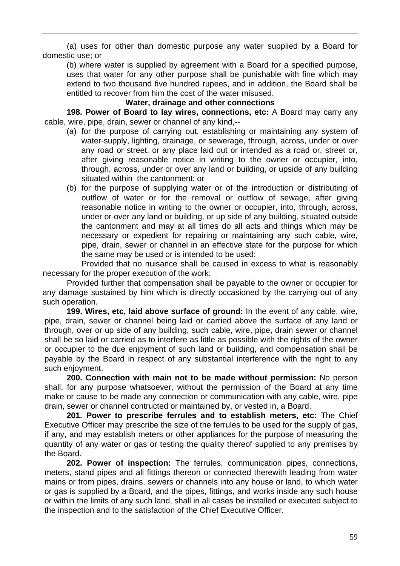(a) uses for other than domestic purpose any water supplied by a Board for domestic use; or

(b) where water is supplied by agreement with a Board for a specified purpose, uses that water for any other purpose shall be punishable with fine which may extend to two thousand five hundred rupees, and in addition, the Board shall be entitled to recover from him the cost of the water misused.

#### **Water, drainage and other connections**

**198. Power of Board to lay wires, connections, etc:** A Board may carry any cable, wire, pipe, drain, sewer or channel of any kind,--

- (a) for the purpose of carrying out, establishing or maintaining any system of water-supply, lighting, drainage, or sewerage, through, across, under or over any road or street, or any place laid out or intended as a road or, street or, after giving reasonable notice in writing to the owner or occupier, into, through, across, under or over any land or building, or upside of any building situated within the cantonment; or
- (b) for the purpose of supplying water or of the introduction or distributing of outflow of water or for the removal or outflow of sewage, after giving reasonable notice in writing to the owner or occupier, into, through, across, under or over any land or building, or up side of any building, situated outside the cantonment and may at all times do all acts and things which may be necessary or expedient for repairing or maintaining any such cable, wire, pipe, drain, sewer or channel in an effective state for the purpose for which the same may be used or is intended to be used:

Provided that no nuisance shall be caused in excess to what is reasonably necessary for the proper execution of the work:

Provided further that compensation shall be payable to the owner or occupier for any damage sustained by him which is directly occasioned by the carrying out of any such operation.

**199. Wires, etc, laid above surface of ground:** In the event of any cable, wire, pipe, drain, sewer or channel being laid or carried above the surface of any land or through, over or up side of any building, such cable, wire, pipe, drain sewer or channel shall be so laid or carried as to interfere as little as possible with the rights of the owner or occupier to the due enjoyment of such land or building, and compensation shall be payable by the Board in respect of any substantial interference with the right to any such enjoyment.

**200. Connection with main not to be made without permission:** No person shall, for any purpose whatsoever, without the permission of the Board at any time make or cause to be made any connection or communication with any cable, wire, pipe drain, sewer or channel contructed or maintained by, or vested in, a Board.

**201. Power to prescribe ferrules and to establish meters, etc:** The Chief Executive Officer may prescribe the size of the ferrules to be used for the supply of gas, if any, and may establish meters or other appliances for the purpose of measuring the quantity of any water or gas or testing the quality thereof supplied to any premises by the Board.

**202. Power of inspection:** The ferrules, communication pipes, connections, meters, stand pipes and all fittings thereon or connected therewith leading from water mains or from pipes, drains, sewers or channels into any house or land, to which water or gas is supplied by a Board, and the pipes, fittings, and works inside any such house or within the limits of any such land, shall in all cases be installed or executed subject to the inspection and to the satisfaction of the Chief Executive Officer.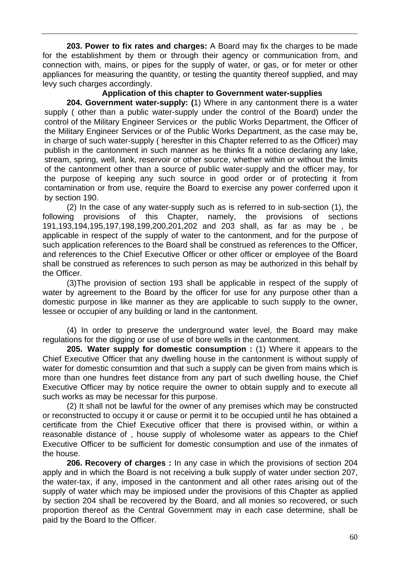**203. Power to fix rates and charges:** A Board may fix the charges to be made for the establishment by them or through their agency or communication from, and connection with, mains, or pipes for the supply of water, or gas, or for meter or other appliances for measuring the quantity, or testing the quantity thereof supplied, and may levy such charges accordingly.

## **Application of this chapter to Government water-supplies**

**204. Government water-supply: (**1) Where in any cantonment there is a water supply ( other than a public water-supply under the control of the Board) under the control of the Military Engineer Services or the public Works Department, the Officer of the Military Engineer Services or of the Public Works Department, as the case may be, in charge of such water-supply ( heresfter in this Chapter referred to as the Officer) may publish in the cantonment in such manner as he thinks fit a notice declaring any lake, stream, spring, well, lank, reservoir or other source, whether within or without the limits of the cantonment other than a source of public water-supply and the officer may, for the purpose of keeping any such source in good order or of protecting it from contamination or from use, require the Board to exercise any power conferred upon it by section 190.

(2) In the case of any water-supply such as is referred to in sub-section (1), the following provisions of this Chapter, namely, the provisions of sections 191,193,194,195,197,198,199,200,201,202 and 203 shall, as far as may be , be applicable in respect of the supply of water to the cantonment, and for the purpose of such application references to the Board shall be construed as references to the Officer, and references to the Chief Executive Officer or other officer or employee of the Board shall be construed as references to such person as may be authorized in this behalf by the Officer.

(3)The provision of section 193 shall be applicable in respect of the supply of water by agreement to the Board by the officer for use for any purpose other than a domestic purpose in like manner as they are applicable to such supply to the owner, lessee or occupier of any building or land in the cantonment.

(4) In order to preserve the underground water level, the Board may make regulations for the digging or use of use of bore wells in the cantonment.

**205. Water supply for domestic consumption :** (1) Where it appears to the Chief Executive Officer that any dwelling house in the cantonment is without supply of water for domestic consumtion and that such a supply can be given from mains which is more than one hundres feet distance from any part of such dwelling house, the Chief Executive Officer may by notice require the owner to obtain supply and to execute all such works as may be necessar for this purpose.

(2) It shall not be lawful for the owner of any premises which may be constructed or reconstructed to occupy it or cause or permit it to be occupied until he has obtained a certificate from the Chief Executive officer that there is provised within, or within a reasonable distance of , house supply of wholesome water as appears to the Chief Executive Officer to be sufficient for domestic consumption and use of the inmates of the house.

**206. Recovery of charges :** In any case in which the provisions of section 204 apply and in which the Board is not receiving a bulk supply of water under section 207, the water-tax, if any, imposed in the cantonment and all other rates arising out of the supply of water which may be impiosed under the provisions of this Chapter as applied by section 204 shall be recovered by the Board, and all monies so recovered, or such proportion thereof as the Central Government may in each case determine, shall be paid by the Board to the Officer.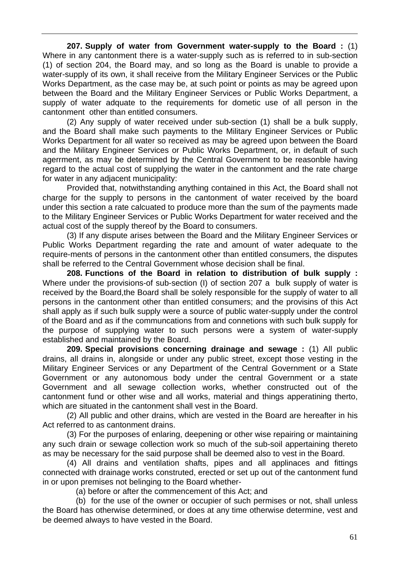**207. Supply of water from Government water-supply to the Board :** (1) Where in any cantonment there is a water-supply such as is referred to in sub-section (1) of section 204, the Board may, and so long as the Board is unable to provide a water-supply of its own, it shall receive from the Military Engineer Services or the Public Works Department, as the case may be, at such point or points as may be agreed upon between the Board and the Military Engineer Services or Public Works Department, a supply of water adquate to the requirements for dometic use of all person in the cantonment other than entitled consumers.

(2) Any supply of water received under sub-section (1) shall be a bulk supply, and the Board shall make such payments to the Military Engineer Services or Public Works Department for all water so received as may be agreed upon between the Board and the Military Engineer Services or Public Works Department, or, in default of such agerrment, as may be determined by the Central Government to be reasonble having regard to the actual cost of supplying the water in the cantonment and the rate charge for water in any adjacent municipality:

Provided that, notwithstanding anything contained in this Act, the Board shall not charge for the supply to persons in the cantonment of water received by the board under this section a rate calcuated to produce more than the sum of the payments made to the Military Engineer Services or Public Works Department for water received and the actual cost of the supply thereof by the Board to consumers.

(3) If any dispute arises between the Board and the Military Engineer Services or Public Works Department regarding the rate and amount of water adequate to the require-ments of persons in the cantonment other than entitled consumers, the disputes shall be referred to the Central Government whose decision shall be final.

**208. Functions of the Board in relation to distribution of bulk supply :** Where under the provisions-of sub-section (I) of section 207 a bulk supply of water is received by the Board,the Board shall be solely responsible for the supply of water to all persons in the cantonment other than entitled consumers; and the provisins of this Act shall apply as if such bulk supply were a source of public water-supply under the control of the Board and as if the communcations from and connetions with such bulk supply for the purpose of supplying water to such persons were a system of water-supply established and maintained by the Board.

**209. Special provisions concerning drainage and sewage :** (1) All public drains, all drains in, alongside or under any public street, except those vesting in the Military Engineer Services or any Department of the Central Government or a State Government or any autonomous body under the central Government or a state Government and all sewage collection works, whether constructed out of the cantonment fund or other wise and all works, material and things apperatining therto, which are situated in the cantonment shall vest in the Board.

(2) All public and other drains, which are vested in the Board are hereafter in his Act referred to as cantonment drains.

(3) For the purposes of enlaring, deepening or other wise repairing or maintaining any such drain or sewage collection work so much of the sub-soil appertaining thereto as may be necessary for the said purpose shall be deemed also to vest in the Board.

(4) All drains and ventilation shafts, pipes and all applinaces and fittings connected with drainage works construted, erected or set up out of the cantonment fund in or upon premises not belinging to the Board whether-

(a) before or after the commencement of this Act; and

(b) for the use of the owner or occupier of such permises or not, shall unless the Board has otherwise determined, or does at any time otherwise determine, vest and be deemed always to have vested in the Board.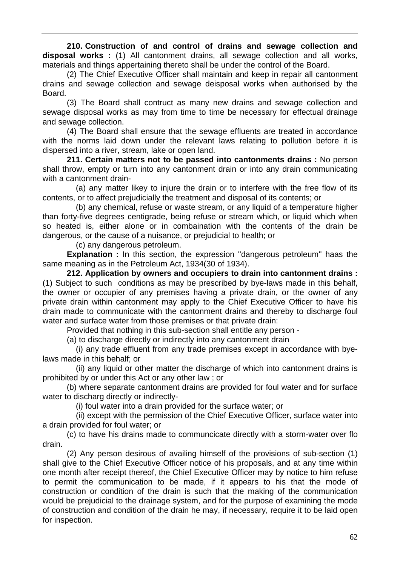**210. Construction of and control of drains and sewage collection and disposal works :** (1) All cantonment drains, all sewage collection and all works, materials and things appertaining thereto shall be under the control of the Board.

(2) The Chief Executive Officer shall maintain and keep in repair all cantonment drains and sewage collection and sewage deisposal works when authorised by the Board.

(3) The Board shall contruct as many new drains and sewage collection and sewage disposal works as may from time to time be necessary for effectual drainage and sewage collection.

(4) The Board shall ensure that the sewage effluents are treated in accordance with the norms laid down under the relevant laws relating to pollution before it is dispersed into a river, stream, lake or open land.

**211. Certain matters not to be passed into cantonments drains :** No person shall throw, empty or turn into any cantonment drain or into any drain communicating with a cantonment drain-

(a) any matter likey to injure the drain or to interfere with the free flow of its contents, or to affect prejudicially the treatment and disposal of its contents; or

(b) any chemical, refuse or waste stream, or any liquid of a temperature higher than forty-five degrees centigrade, being refuse or stream which, or liquid which when so heated is, either alone or in combaination with the contents of the drain be dangerous, or the cause of a nuisance, or prejudicial to health; or

(c) any dangerous petroleum.

**Explanation :** In this section, the expression ''dangerous petroleum'' haas the same meaning as in the Petroleum Act, 1934(30 of 1934).

**212. Application by owners and occupiers to drain into cantonment drains :** (1) Subject to such conditions as may be prescribed by bye-laws made in this behalf, the owner or occupier of any premises having a private drain, or the owner of any private drain within cantonment may apply to the Chief Executive Officer to have his drain made to communicate with the cantonment drains and thereby to discharge foul water and surface water from those premises or that private drain:

Provided that nothing in this sub-section shall entitle any person -

(a) to discharge directly or indirectly into any cantonment drain

(i) any trade effluent from any trade premises except in accordance with byelaws made in this behalf; or

(ii) any liquid or other matter the discharge of which into cantonment drains is prohibited by or under this Act or any other law ; or

(b) where separate cantonment drains are provided for foul water and for surface water to discharg directly or indirectly-

(i) foul water into a drain provided for the surface water; or

(ii) except with the permission of the Chief Executive Officer, surface water into a drain provided for foul water; or

(c) to have his drains made to communcicate directly with a storm-water over flo drain.

(2) Any person desirous of availing himself of the provisions of sub-section (1) shall give to the Chief Executive Officer notice of his proposals, and at any time within one month after receipt thereof, the Chief Executive Officer may by notice to him refuse to permit the communication to be made, if it appears to his that the mode of construction or condition of the drain is such that the making of the communication would be prejudicial to the drainage system, and for the purpose of examining the mode of construction and condition of the drain he may, if necessary, require it to be laid open for inspection.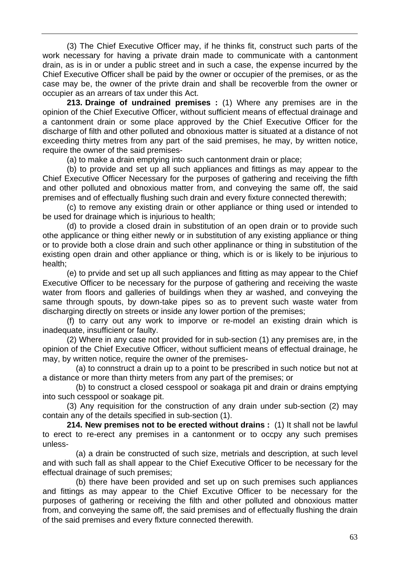(3) The Chief Executive Officer may, if he thinks fit, construct such parts of the work necessary for having a private drain made to communicate with a cantonment drain, as is in or under a public street and in such a case, the expense incurred by the Chief Executive Officer shall be paid by the owner or occupier of the premises, or as the case may be, the owner of the privte drain and shall be recoverble from the owner or occupier as an arrears of tax under this Act.

**213. Drainge of undrained premises :** (1) Where any premises are in the opinion of the Chief Executive Officer, without sufficient means of effectual drainage and a cantonment drain or some place approved by the Chief Executive Officer for the discharge of filth and other polluted and obnoxious matter is situated at a distance of not exceeding thirty metres from any part of the said premises, he may, by written notice, require the owner of the said premises-

(a) to make a drain emptying into such cantonment drain or place;

(b) to provide and set up all such appliances and fittings as may appear to the Chief Executive Officer Necessary for the purposes of gathering and receiving the fifth and other polluted and obnoxious matter from, and conveying the same off, the said premises and of effectually flushing such drain and every fixture connected therewith;

(c) to remove any existing drain or other appliance or thing used or intended to be used for drainage which is injurious to health;

(d) to provide a closed drain in substitution of an open drain or to provide such othe applicance or thing either newly or in substitution of any existing appliance or thing or to provide both a close drain and such other applinance or thing in substitution of the existing open drain and other appliance or thing, which is or is likely to be injurious to health;

(e) to prvide and set up all such appliances and fitting as may appear to the Chief Executive Officer to be necessary for the purpose of gathering and receiving the waste water from floors and galleries of buildings when they ar washed, and conveying the same through spouts, by down-take pipes so as to prevent such waste water from discharging directly on streets or inside any lower portion of the premises;

(f) to carry out any work to imporve or re-model an existing drain which is inadequate, insufficient or faulty.

(2) Where in any case not provided for in sub-section (1) any premises are, in the opinion of the Chief Executive Officer, without sufficient means of effectual drainage, he may, by written notice, require the owner of the premises-

(a) to connstruct a drain up to a point to be prescribed in such notice but not at a distance or more than thirty meters from any part of the premises; or

(b) to construct a closed cesspool or soakaga pit and drain or drains emptying into such cesspool or soakage pit.

(3) Any requisition for the construction of any drain under sub-section (2) may contain any of the details specified in sub-section (1).

**214. New premises not to be erected without drains :** (1) It shall not be lawful to erect to re-erect any premises in a cantonment or to occpy any such premises unless-

(a) a drain be constructed of such size, metrials and description, at such level and with such fall as shall appear to the Chief Executive Officer to be necessary for the effectual drainage of such premises;

(b) there have been provided and set up on such premises such appliances and fittings as may appear to the Chief Excutive Officer to be necessary for the purposes of gathering or receiving the filth and other polluted and obnoxious matter from, and conveying the same off, the said premises and of effectually flushing the drain of the said premises and every flxture connected therewith.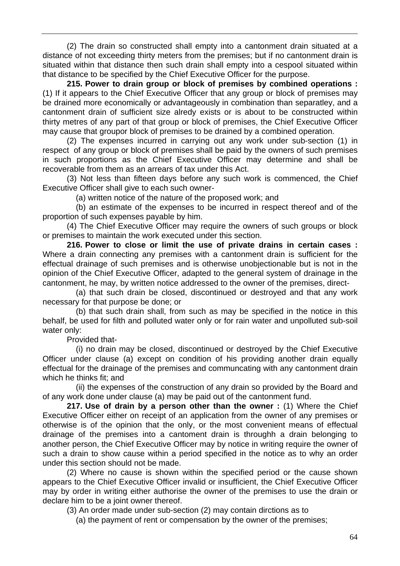(2) The drain so constructed shall empty into a cantonment drain situated at a distance of not exceeding thirty meters from the premises; but if no cantonment drain is situated within that distance then such drain shall empty into a cespool situated within that distance to be specified by the Chief Executive Officer for the purpose.

**215. Power to drain group or block of premises by combined operations :** (1) If it appears to the Chief Executive Officer that any group or block of premises may be drained more economically or advantageously in combination than separatley, and a cantonment drain of sufficient size alredy exists or is about to be constructed within thirty metres of any part of that group or block of premises, the Chief Executive Officer may cause that groupor block of premises to be drained by a combined operation.

(2) The expenses incurred in carrying out any work under sub-section (1) in respect of any group or block of premises shall be paid by the owners of such premises in such proportions as the Chief Executive Officer may determine and shall be recoverable from them as an arrears of tax under this Act.

(3) Not less than fifteen days before any such work is commenced, the Chief Executive Officer shall give to each such owner-

(a) written notice of the nature of the proposed work; and

(b) an estimate of the expenses to be incurred in respect thereof and of the proportion of such expenses payable by him.

(4) The Chief Executive Officer may require the owners of such groups or block or premises to maintain the work executed under this section.

**216. Power to close or limit the use of private drains in certain cases :** Where a drain connecting any premises with a cantonment drain is sufficient for the effectual drainage of such premises and is otherwise unobjectionable but is not in the opinion of the Chief Executive Officer, adapted to the general system of drainage in the cantonment, he may, by written notice addressed to the owner of the premises, direct-

(a) that such drain be closed, discontinued or destroyed and that any work necessary for that purpose be done; or

(b) that such drain shall, from such as may be specified in the notice in this behalf, be used for filth and polluted water only or for rain water and unpolluted sub-soil water only:

Provided that-

(i) no drain may be closed, discontinued or destroyed by the Chief Executive Officer under clause (a) except on condition of his providing another drain equally effectual for the drainage of the premises and communcating with any cantonment drain which he thinks fit; and

(ii) the expenses of the construction of any drain so provided by the Board and of any work done under clause (a) may be paid out of the cantonment fund.

**217. Use of drain by a person other than the owner :** (1) Where the Chief Executive Officer either on receipt of an application from the owner of any premises or otherwise is of the opinion that the only, or the most convenient means of effectual drainage of the premises into a cantoment drain is throughh a drain belonging to another person, the Chief Executive Officer may by notice in writing require the owner of such a drain to show cause within a period specified in the notice as to why an order under this section should not be made.

(2) Where no cause is shown within the specified period or the cause shown appears to the Chief Executive Officer invalid or insufficient, the Chief Executive Officer may by order in writing either authorise the owner of the premises to use the drain or declare him to be a joint owner thereof.

(3) An order made under sub-section (2) may contain dirctions as to

(a) the payment of rent or compensation by the owner of the premises;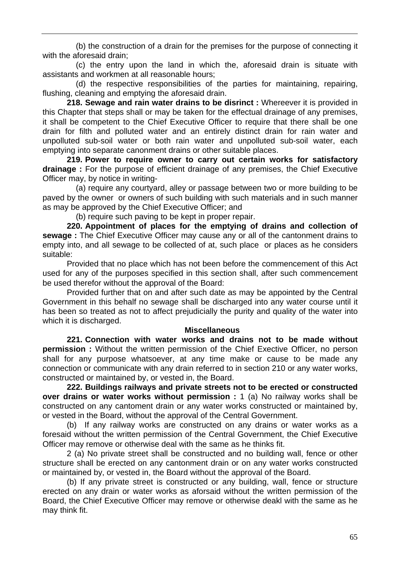(b) the construction of a drain for the premises for the purpose of connecting it with the aforesaid drain;

(c) the entry upon the land in which the, aforesaid drain is situate with assistants and workmen at all reasonable hours;

(d) the respective responsibilities of the parties for maintaining, repairing, flushing, cleaning and emptying the aforesaid drain.

**218. Sewage and rain water drains to be disrinct :** Whereever it is provided in this Chapter that steps shall or may be taken for the effectual drainage of any premises, it shall be competent to the Chief Executive Officer to require that there shall be one drain for filth and polluted water and an entirely distinct drain for rain water and unpolluted sub-soil water or both rain water and unpolluted sub-soil water, each emptying into separate canonment drains or other suitable places.

**219. Power to require owner to carry out certain works for satisfactory drainage :** For the purpose of efficient drainage of any premises, the Chief Executive Officer may, by notice in writing-

(a) require any courtyard, alley or passage between two or more building to be paved by the owner or owners of such building with such materials and in such manner as may be approved by the Chief Executive Officer; and

(b) require such paving to be kept in proper repair.

**220. Appointment of places for the emptying of drains and collection of sewage :** The Chief Executive Officer may cause any or all of the cantonment drains to empty into, and all sewage to be collected of at, such place or places as he considers suitable:

Provided that no place which has not been before the commencement of this Act used for any of the purposes specified in this section shall, after such commencement be used therefor without the approval of the Board:

Provided further that on and after such date as may be appointed by the Central Government in this behalf no sewage shall be discharged into any water course until it has been so treated as not to affect prejudicially the purity and quality of the water into which it is discharged.

#### **Miscellaneous**

**221. Connection with water works and drains not to be made without permission :** Without the written permission of the Chief Exective Officer, no person shall for any purpose whatsoever, at any time make or cause to be made any connection or communicate with any drain referred to in section 210 or any water works, constructed or maintained by, or vested in, the Board.

**222. Buildings railways and private streets not to be erected or constructed over drains or water works without permission :** 1 (a) No railway works shall be constructed on any cantoment drain or any water works constructed or maintained by, or vested in the Board, without the approval of the Central Government.

(b) If any railway works are constructed on any drains or water works as a foresaid without the written permission of the Central Government, the Chief Executive Officer may remove or otherwise deal with the same as he thinks fit.

2 (a) No private street shall be constructed and no building wall, fence or other structure shall be erected on any cantonment drain or on any water works constructed or maintained by, or vested in, the Board without the approval of the Board.

(b) If any private street is constructed or any building, wall, fence or structure erected on any drain or water works as aforsaid without the written permission of the Board, the Chief Executive Officer may remove or otherwise deakl with the same as he may think fit.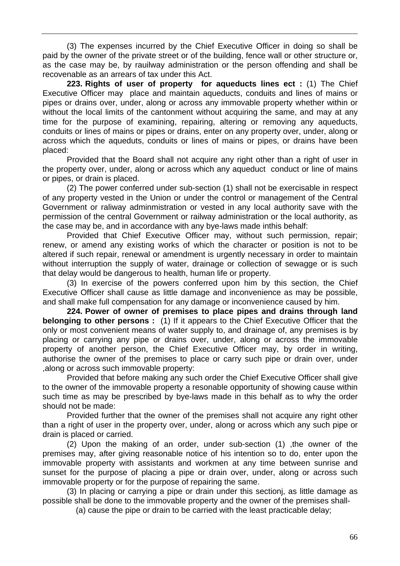(3) The expenses incurred by the Chief Executive Officer in doing so shall be paid by the owner of the private street or of the building, fence wall or other structure or, as the case may be, by rauilway administration or the person offending and shall be recovenable as an arrears of tax under this Act.

**223. Rights of user of property for aqueducts lines ect :** (1) The Chief Executive Officer may place and maintain aqueducts, conduits and lines of mains or pipes or drains over, under, along or across any immovable property whether within or without the local limits of the cantonment without acquiring the same, and may at any time for the purpose of examining, repairing, altering or removing any aqueducts, conduits or lines of mains or pipes or drains, enter on any property over, under, along or across which the aqueduts, conduits or lines of mains or pipes, or drains have been placed:

Provided that the Board shall not acquire any right other than a right of user in the property over, under, along or across which any aqueduct conduct or line of mains or pipes, or drain is placed.

(2) The power conferred under sub-section (1) shall not be exercisable in respect of any property vested in the Union or under the control or management of the Central Government or raliway adminmistration or vested in any local authority save with the permission of the central Government or railway administration or the local authority, as the case may be, and in accordance with any bye-laws made inthis behalf:

Provided that Chief Executive Officer may, without such permission, repair; renew, or amend any existing works of which the character or position is not to be altered if such repair, renewal or amendment is urgently necessary in order to maintain without interruption the supply of water, drainage or collection of sewagge or is such that delay would be dangerous to health, human life or property.

(3) In exercise of the powers conferred upon him by this section, the Chief Executive Officer shall cause as little damage and inconvenience as may be possible, and shall make full compensation for any damage or inconvenience caused by him.

**224. Power of owner of premises to place pipes and drains through land belonging to other persons :** (1) If it appears to the Chief Executive Officer that the only or most convenient means of water supply to, and drainage of, any premises is by placing or carrying any pipe or drains over, under, along or across the immovable property of another person, the Chief Executive Officer may, by order in writing, authorise the owner of the premises to place or carry such pipe or drain over, under ,along or across such immovable property:

Provided that before making any such order the Chief Executive Officer shall give to the owner of the immovable property a resonable opportunity of showing cause within such time as may be prescribed by bye-laws made in this behalf as to why the order should not be made:

Provided further that the owner of the premises shall not acquire any right other than a right of user in the property over, under, along or across which any such pipe or drain is placed or carried.

(2) Upon the making of an order, under sub-section (1) ,the owner of the premises may, after giving reasonable notice of his intention so to do, enter upon the immovable property with assistants and workmen at any time between sunrise and sunset for the purpose of placing a pipe or drain over, under, along or across such immovable property or for the purpose of repairing the same.

(3) In placing or carrying a pipe or drain under this sectionj, as little damage as possible shall be done to the immovable property and the owner of the premises shall-

(a) cause the pipe or drain to be carried with the least practicable delay;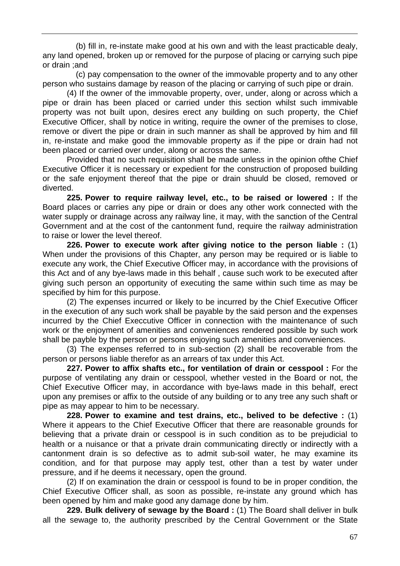(b) fill in, re-instate make good at his own and with the least practicable dealy, any land opened, broken up or removed for the purpose of placing or carrying such pipe or drain ;and

(c) pay compensation to the owner of the immovable property and to any other person who sustains damage by reason of the placing or carrying of such pipe or drain.

(4) If the owner of the immovable property, over, under, along or across which a pipe or drain has been placed or carried under this section whilst such immivable property was not built upon, desires erect any building on such property, the Chief Executive Officer, shall by notice in writing, require the owner of the premises to close, remove or divert the pipe or drain in such manner as shall be approved by him and fill in, re-instate and make good the immovable property as if the pipe or drain had not been placed or carried over under, along or across the same.

Provided that no such requisition shall be made unless in the opinion of the Chief Executive Officer it is necessary or expedient for the construction of proposed building or the safe enjoyment thereof that the pipe or drain shuuld be closed, removed or diverted.

**225. Power to require railway level, etc., to be raised or lowered :** If the Board places or carries any pipe or drain or does any other work connected with the water supply or drainage across any railway line, it may, with the sanction of the Central Government and at the cost of the cantonment fund, require the railway administration to raise or lower the level thereof.

**226. Power to execute work after giving notice to the person liable :** (1) When under the provisions of this Chapter, any person may be required or is liable to execute any work, the Chief Executive Officer may, in accordance with the provisions of this Act and of any bye-laws made in this behalf , cause such work to be executed after giving such person an opportunity of executing the same within such time as may be specified by him for this purpose.

(2) The expenses incurred or likely to be incurred by the Chief Executive Officer in the execution of any such work shall be payable by the said person and the expenses incurred by the Chief Execcutive Officer in connection with the maintenance of such work or the enjoyment of amenities and conveniences rendered possible by such work shall be payble by the person or persons enjoying such amenities and conveniences.

(3) The expenses referred to in sub-section (2) shall be recoverable from the person or persons liable therefor as an arrears of tax under this Act.

**227. Power to affix shafts etc., for ventilation of drain or cesspool :** For the purpose of ventilating any drain or cesspool, whether vested in the Board or not, the Chief Executive Officer may, in accordance with bye-laws made in this behalf, erect upon any premises or affix to the outside of any building or to any tree any such shaft or pipe as may appear to him to be necessary.

**228. Power to examine and test drains, etc., belived to be defective :** (1) Where it appears to the Chief Executive Officer that there are reasonable grounds for believing that a private drain or cesspool is in such condition as to be prejudicial to health or a nuisance or that a private drain communicating directly or indirectly with a cantonment drain is so defective as to admit sub-soil water, he may examine its condition, and for that purpose may apply test, other than a test by water under pressure, and if he deems it necessary, open the ground.

(2) If on examination the drain or cesspool is found to be in proper condition, the Chief Executive Officer shall, as soon as possible, re-instate any ground which has been opened by him and make good any damage done by him.

**229. Bulk delivery of sewage by the Board :** (1) The Board shall deliver in bulk all the sewage to, the authority prescribed by the Central Government or the State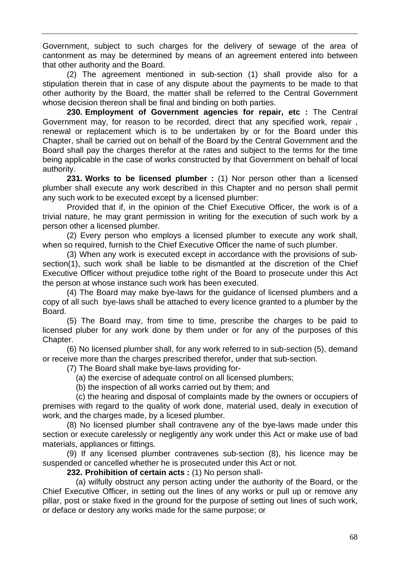Government, subject to such charges for the delivery of sewage of the area of cantonment as may be determined by means of an agreement entered into between that other authority and the Board.

(2) The agreement mentioned in sub-section (1) shall provide also for a stipulation therein that in case of any dispute about the payments to be made to that other authority by the Board, the matter shall be referred to the Central Government whose decision thereon shall be final and binding on both parties.

**230. Employment of Government agencies for repair, etc :** The Central Government may, for reason to be recorded, direct that any specified work, repair , renewal or replacement which is to be undertaken by or for the Board under this Chapter, shall be carried out on behalf of the Board by the Central Government and the Board shall pay the charges therefor at the rates and subject to the terms for the time being applicable in the case of works constructed by that Government on behalf of local authority.

**231. Works to be licensed plumber :** (1) Nor person other than a licensed plumber shall execute any work described in this Chapter and no person shall permit any such work to be executed except by a licensed plumber:

Provided that if, in the opinion of the Chief Executive Officer, the work is of a trivial nature, he may grant permission in writing for the execution of such work by a person other a licensed plumber.

(2) Every person who employs a licensed plumber to execute any work shall, when so required, furnish to the Chief Executive Officer the name of such plumber.

(3) When any work is executed except in accordance with the provisions of subsection(1), such work shall be liable to be dismantled at the discretion of the Chief Executive Officer without prejudice tothe right of the Board to prosecute under this Act the person at whose instance such work has been executed.

(4) The Board may make bye-laws for the guidance of licensed plumbers and a copy of all such bye-laws shall be attached to every licence granted to a plumber by the Board.

(5) The Board may, from time to time, prescribe the charges to be paid to licensed pluber for any work done by them under or for any of the purposes of this Chapter.

(6) No licensed plumber shall, for any work referred to in sub-section (5), demand or receive more than the charges prescribed therefor, under that sub-section.

(7) The Board shall make bye-laws providing for-

(a) the exercise of adequate control on all licensed plumbers;

(b) the inspection of all works carried out by them; and

(c) the hearing and disposal of complaints made by the owners or occupiers of premises with regard to the quality of work done, material used, dealy in execution of work, and the charges made, by a licesed plumber.

(8) No licensed plumber shall contravene any of the bye-laws made under this section or execute carelessly or negligently any work under this Act or make use of bad materials, appliances or fittings.

(9) If any licensed plumber contravenes sub-section (8), his licence may be suspended or cancelled whether he is prosecuted under this Act or not.

**232. Prohibition of certain acts :** (1) No person shall-

(a) wilfully obstruct any person acting under the authority of the Board, or the Chief Executive Officer, in setting out the lines of any works or pull up or remove any pillar, post or stake fixed in the ground for the purpose of setting out lines of such work, or deface or destory any works made for the same purpose; or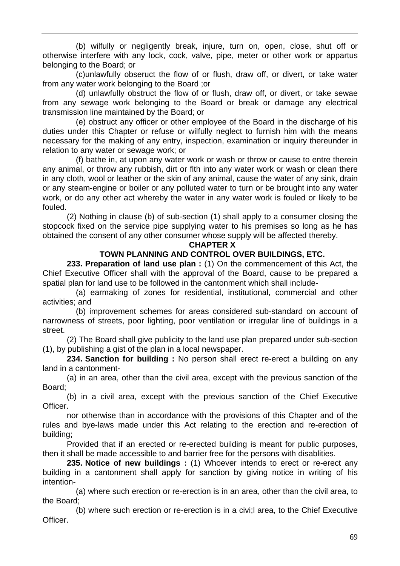(b) wilfully or negligently break, injure, turn on, open, close, shut off or otherwise interfere with any lock, cock, valve, pipe, meter or other work or appartus belonging to the Board; or

(c)unlawfully obseruct the flow of or flush, draw off, or divert, or take water from any water work belonging to the Board ;or

(d) unlawfully obstruct the flow of or flush, draw off, or divert, or take sewae from any sewage work belonging to the Board or break or damage any electrical transmission line maintained by the Board; or

(e) obstruct any officer or other employee of the Board in the discharge of his duties under this Chapter or refuse or wilfully neglect to furnish him with the means necessary for the making of any entry, inspection, examination or inquiry thereunder in relation to any water or sewage work; or

(f) bathe in, at upon any water work or wash or throw or cause to entre therein any animal, or throw any rubbish, dirt or flth into any water work or wash or clean there in any cloth, wool or leather or the skin of any animal, cause the water of any sink, drain or any steam-engine or boiler or any polluted water to turn or be brought into any water work, or do any other act whereby the water in any water work is fouled or likely to be fouled.

(2) Nothing in clause (b) of sub-section (1) shall apply to a consumer closing the stopcock fixed on the service pipe supplying water to his premises so long as he has obtained the consent of any other consumer whose supply will be affected thereby.

#### **CHAPTER X**

## **TOWN PLANNING AND CONTROL OVER BUILDINGS, ETC.**

**233. Preparation of land use plan :** (1) On the commencement of this Act, the Chief Executive Officer shall with the approval of the Board, cause to be prepared a spatial plan for land use to be followed in the cantonment which shall include-

(a) earmaking of zones for residential, institutional, commercial and other activities; and

(b) improvement schemes for areas considered sub-standard on account of narrowness of streets, poor lighting, poor ventilation or irregular line of buildings in a street.

(2) The Board shall give publicity to the land use plan prepared under sub-section (1), by publishing a gist of the plan in a local newspaper.

**234. Sanction for building :** No person shall erect re-erect a building on any land in a cantonment-

(a) in an area, other than the civil area, except with the previous sanction of the Board;

(b) in a civil area, except with the previous sanction of the Chief Executive Officer.

nor otherwise than in accordance with the provisions of this Chapter and of the rules and bye-laws made under this Act relating to the erection and re-erection of building;

Provided that if an erected or re-erected building is meant for public purposes, then it shall be made accessible to and barrier free for the persons with disablities.

**235. Notice of new buildings :** (1) Whoever intends to erect or re-erect any building in a cantonment shall apply for sanction by giving notice in writing of his intention-

(a) where such erection or re-erection is in an area, other than the civil area, to the Board;

(b) where such erection or re-erection is in a civi;l area, to the Chief Executive Officer.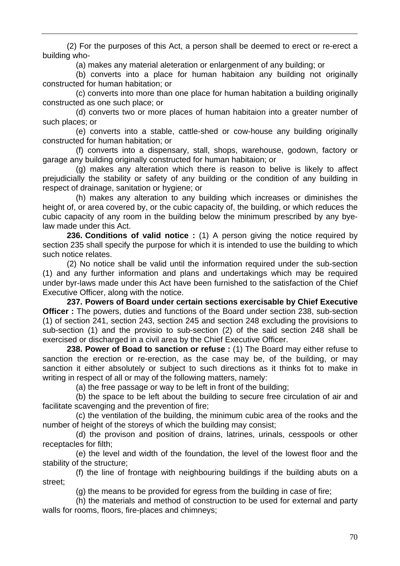(2) For the purposes of this Act, a person shall be deemed to erect or re-erect a building who-

(a) makes any material aleteration or enlargenment of any building; or

(b) converts into a place for human habitaion any building not originally constructed for human habitation; or

(c) converts into more than one place for human habitation a building originally constructed as one such place; or

(d) converts two or more places of human habitaion into a greater number of such places; or

(e) converts into a stable, cattle-shed or cow-house any building originally constructed for human habitation; or

(f) converts into a dispensary, stall, shops, warehouse, godown, factory or garage any building originally constructed for human habitaion; or

(g) makes any alteration which there is reason to belive is likely to affect prejudicially the stability or safety of any building or the condition of any building in respect of drainage, sanitation or hygiene; or

(h) makes any alteration to any building which increases or diminishes the height of, or area covered by, or the cubic capacity of, the building, or which reduces the cubic capacity of any room in the building below the minimum prescribed by any byelaw made under this Act.

**236. Conditions of valid notice :** (1) A person giving the notice required by section 235 shall specify the purpose for which it is intended to use the building to which such notice relates.

(2) No notice shall be valid until the information required under the sub-section (1) and any further information and plans and undertakings which may be required under byr-laws made under this Act have been furnished to the satisfaction of the Chief Executive Officer, along with the notice.

**237. Powers of Board under certain sections exercisable by Chief Executive Officer** : The powers, duties and functions of the Board under section 238, sub-section (1) of section 241, section 243, section 245 and section 248 excluding the provisions to sub-section (1) and the provisio to sub-section (2) of the said section 248 shall be exercised or discharged in a civil area by the Chief Executive Officer.

**238. Power of Boad to sanction or refuse :** (1) The Board may either refuse to sanction the erection or re-erection, as the case may be, of the building, or may sanction it either absolutely or subject to such directions as it thinks fot to make in writing in respect of all or may of the following matters, namely:

(a) the free passage or way to be left in front of the building;

(b) the space to be left about the building to secure free circulation of air and facilitate scavenging and the prevention of fire;

(c) the ventilation of the building, the minimum cubic area of the rooks and the number of height of the storeys of which the building may consist;

(d) the provison and position of drains, latrines, urinals, cesspools or other receptacles for filth;

(e) the level and width of the foundation, the level of the lowest floor and the stability of the structure;

(f) the line of frontage with neighbouring buildings if the building abuts on a street;

(g) the means to be provided for egress from the building in case of fire;

(h) the materials and method of construction to be used for external and party walls for rooms, floors, fire-places and chimneys;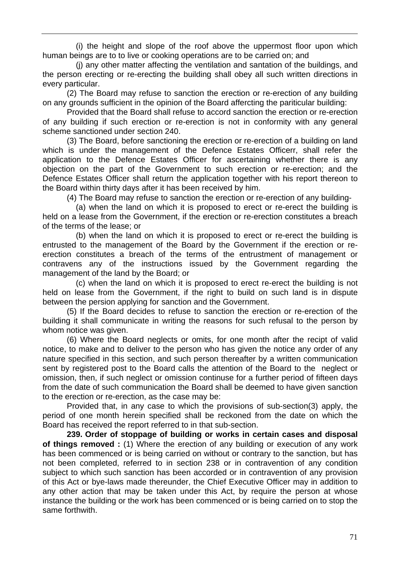(i) the height and slope of the roof above the uppermost floor upon which human beings are to to live or cooking operations are to be carried on; and

(j) any other matter affecting the ventilation and santation of the buildings, and the person erecting or re-erecting the building shall obey all such written directions in every particular.

(2) The Board may refuse to sanction the erection or re-erection of any building on any grounds sufficient in the opinion of the Board affercting the pariticular building:

Provided that the Board shall refuse to accord sanction the erection or re-erection of any building if such erection or re-erection is not in conformity with any general scheme sanctioned under section 240.

(3) The Board, before sanctioning the erection or re-erection of a building on land which is under the management of the Defence Estates Officerr, shall refer the application to the Defence Estates Officer for ascertaining whether there is any objection on the part of the Government to such erection or re-erection; and the Defence Estates Officer shall return the application together with his report thereon to the Board within thirty days after it has been received by him.

(4) The Board may refuse to sanction the erection or re-erection of any building-

(a) when the land on which it is proposed to erect or re-erect the building is held on a lease from the Government, if the erection or re-erection constitutes a breach of the terms of the lease; or

(b) when the land on which it is proposed to erect or re-erect the building is entrusted to the management of the Board by the Government if the erection or reerection constitutes a breach of the terms of the entrustment of management or contravens any of the instructions issued by the Government regarding the management of the land by the Board; or

(c) when the land on which it is proposed to erect re-erect the building is not held on lease from the Government, if the right to build on such land is in dispute between the persion applying for sanction and the Government.

(5) If the Board decides to refuse to sanction the erection or re-erection of the building it shall communicate in writing the reasons for such refusal to the person by whom notice was given.

(6) Where the Board neglects or omits, for one month after the recipt of valid notice, to make and to deliver to the person who has given the notice any order of any nature specified in this section, and such person thereafter by a written communication sent by registered post to the Board calls the attention of the Board to the neglect or omission, then, if such neglect or omission continuse for a further period of fifteen days from the date of such communication the Board shall be deemed to have given sanction to the erection or re-erection, as the case may be:

Provided that, in any case to which the provisions of sub-section(3) apply, the period of one month herein specified shall be reckoned from the date on which the Board has received the report referred to in that sub-section.

**239. Order of stoppage of building or works in certain cases and disposal of things removed :** (1) Where the erection of any building or execution of any work has been commenced or is being carried on without or contrary to the sanction, but has not been completed, referred to in section 238 or in contravention of any condition subject to which such sanction has been accorded or in contravention of any provision of this Act or bye-laws made thereunder, the Chief Executive Officer may in addition to any other action that may be taken under this Act, by require the person at whose instance the building or the work has been commenced or is being carried on to stop the same forthwith.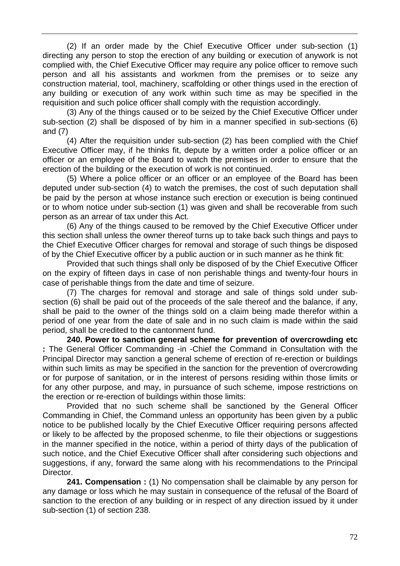(2) If an order made by the Chief Executive Officer under sub-section (1) directing any person to stop the erection of any building or execution of anywork is not complied with, the Chief Executive Officer may require any police officer to remove such person and all his assistants and workmen from the premises or to seize any construction material, tool, machinery, scaffolding or other things used in the erection of any building or execution of any work within such time as may be specified in the requisition and such police officer shall comply with the requistion accordingly.

(3) Any of the things caused or to be seized by the Chief Executive Officer under sub-section (2) shall be disposed of by him in a manner specified in sub-sections (6) and (7)

(4) After the requisition under sub-section (2) has been complied with the Chief Executive Officer may, if he thinks fit, depute by a written order a police officer or an officer or an employee of the Board to watch the premises in order to ensure that the erection of the building or the execution of work is not continued.

(5) Where a police officer or an officer or an employee of the Board has been deputed under sub-section (4) to watch the premises, the cost of such deputation shall be paid by the person at whose instance such erection or execution is being continued or to whom notice under sub-section (1) was given and shall be recoverable from such person as an arrear of tax under this Act.

(6) Any of the things caused to be removed by the Chief Executive Officer under this section shall unless the owner thereof turns up to take back such things and pays to the Chief Executive Officer charges for removal and storage of such things be disposed of by the Chief Executive officer by a public auction or in such manner as he think fit:

Provided that such things shall only be disposed of by the Chief Executive Officer on the expiry of fifteen days in case of non perishable things and twenty-four hours in case of perishable things from the date and time of seizure.

(7) The charges for removal and storage and sale of things sold under subsection (6) shall be paid out of the proceeds of the sale thereof and the balance, if any, shall be paid to the owner of the things sold on a claim being made therefor within a period of one year from the date of sale and in no such claim is made within the said period, shall be credited to the cantonment fund.

**240. Power to sanction general scheme for prevention of overcrowding etc :** The General Officer Commanding -in -Chief the Command in Consultation with the Principal Director may sanction a general scheme of erection of re-erection or buildings within such limits as may be specified in the sanction for the prevention of overcrowding or for purpose of sanitation, or in the interest of persons residing within those limits or for any other purpose, and may, in pursuance of such scheme, impose restrictions on the erection or re-erection of buildings within those limits:

Provided that no such scheme shall be sanctioned by the General Officer Commanding in Chief, the Command unless an opportunity has been given by a public notice to be published locally by the Chief Executive Officer requiring persons affected or likely to be affected by the proposed schenme, to file their objections or suggestions in the manner specified in the notice, within a period of thirty days of the publication of such notice, and the Chief Executive Officer shall after considering such objections and suggestions, if any, forward the same along with his recommendations to the Principal Director.

**241. Compensation :** (1) No compensation shall be claimable by any person for any damage or loss which he may sustain in consequence of the refusal of the Board of sanction to the erection of any building or in respect of any direction issued by it under sub-section (1) of section 238.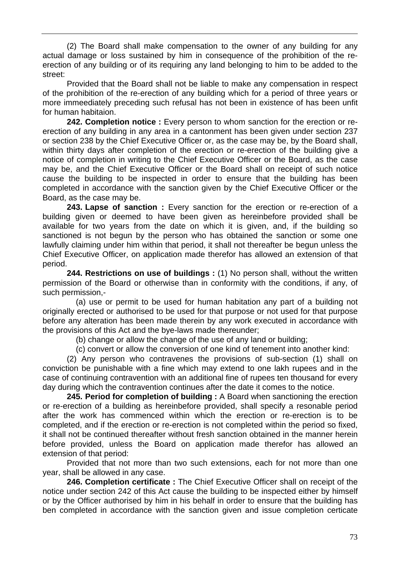(2) The Board shall make compensation to the owner of any building for any actual damage or loss sustained by him in consequence of the prohibition of the reerection of any building or of its requiring any land belonging to him to be added to the street:

Provided that the Board shall not be liable to make any compensation in respect of the prohibition of the re-erection of any building which for a period of three years or more immeediately preceding such refusal has not been in existence of has been unfit for human habitaion.

**242. Completion notice :** Every person to whom sanction for the erection or reerection of any building in any area in a cantonment has been given under section 237 or section 238 by the Chief Executive Officer or, as the case may be, by the Board shall, within thirty days after completion of the erection or re-erection of the building give a notice of completion in writing to the Chief Executive Officer or the Board, as the case may be, and the Chief Executive Officer or the Board shall on receipt of such notice cause the building to be inspected in order to ensure that the building has been completed in accordance with the sanction given by the Chief Executive Officer or the Board, as the case may be.

**243. Lapse of sanction :** Every sanction for the erection or re-erection of a building given or deemed to have been given as hereinbefore provided shall be available for two years from the date on which it is given, and, if the building so sanctioned is not begun by the person who has obtained the sanction or some one lawfully claiming under him within that period, it shall not thereafter be begun unless the Chief Executive Officer, on application made therefor has allowed an extension of that period.

**244. Restrictions on use of buildings :** (1) No person shall, without the written permission of the Board or otherwise than in conformity with the conditions, if any, of such permission,-

(a) use or permit to be used for human habitation any part of a building not originally erected or authorised to be used for that purpose or not used for that purpose before any alteration has been made therein by any work executed in accordance with the provisions of this Act and the bye-laws made thereunder;

(b) change or allow the change of the use of any land or building;

(c) convert or allow the conversion of one kind of tenement into another kind:

(2) Any person who contravenes the provisions of sub-section (1) shall on conviction be punishable with a fine which may extend to one lakh rupees and in the case of continuing contravention with an additional fine of rupees ten thousand for every day during which the contravention continues after the date it comes to the notice.

**245. Period for completion of building :** A Board when sanctioning the erection or re-erection of a building as hereinbefore provided, shall specify a resonable period after the work has commenced within which the erection or re-erection is to be completed, and if the erection or re-erection is not completed within the period so fixed, it shall not be continued thereafter without fresh sanction obtained in the manner herein before provided, unless the Board on application made therefor has allowed an extension of that period:

Provided that not more than two such extensions, each for not more than one year, shall be allowed in any case.

**246. Completion certificate :** The Chief Executive Officer shall on receipt of the notice under section 242 of this Act cause the building to be inspected either by himself or by the Officer authorised by him in his behalf in order to ensure that the building has ben completed in accordance with the sanction given and issue completion certicate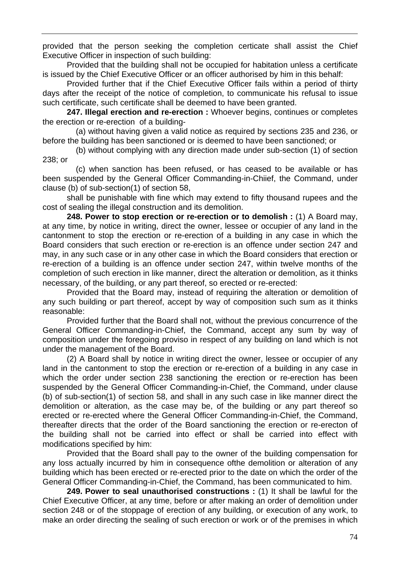provided that the person seeking the completion certicate shall assist the Chief Executive Officer in inspection of such building:

Provided that the building shall not be occupied for habitation unless a certificate is issued by the Chief Executive Officer or an officer authorised by him in this behalf:

Provided further that if the Chief Executive Officer fails within a period of thirty days after the receipt of the notice of completion, to communicate his refusal to issue such certificate, such certificate shall be deemed to have been granted.

**247. Illegal erection and re-erection :** Whoever begins, continues or completes the erection or re-erection of a building-

(a) without having given a valid notice as required by sections 235 and 236, or before the building has been sanctioned or is deemed to have been sanctioned; or

(b) without complying with any direction made under sub-section (1) of section 238; or

(c) when sanction has been refused, or has ceased to be available or has been suspended by the General Officer Commanding-in-Chiief, the Command, under clause (b) of sub-section(1) of section 58,

shall be punishable with fine which may extend to fifty thousand rupees and the cost of sealing the illegal construction and its demolition.

**248. Power to stop erection or re-erection or to demolish :** (1) A Board may, at any time, by notice in writing, direct the owner, lessee or occupier of any land in the cantonment to stop the erection or re-erection of a building in any case in which the Board considers that such erection or re-erection is an offence under section 247 and may, in any such case or in any other case in which the Board considers that erection or re-erection of a building is an offence under section 247, within twelve months of the completion of such erection in like manner, direct the alteration or demolition, as it thinks necessary, of the building, or any part thereof, so erected or re-erected:

Provided that the Board may, instead of requiring the alteration or demolition of any such building or part thereof, accept by way of composition such sum as it thinks reasonable:

Provided further that the Board shall not, without the previous concurrence of the General Officer Commanding-in-Chief, the Command, accept any sum by way of composition under the foregoing proviso in respect of any building on land which is not under the management of the Board.

(2) A Board shall by notice in writing direct the owner, lessee or occupier of any land in the cantonment to stop the erection or re-erection of a building in any case in which the order under section 238 sanctioning the erection or re-erection has been suspended by the General Officer Commanding-in-Chief, the Command, under clause (b) of sub-section(1) of section 58, and shall in any such case in like manner direct the demolition or alteration, as the case may be, of the building or any part thereof so erected or re-erected where the General Officer Commanding-in-Chief, the Command, thereafter directs that the order of the Board sanctioning the erection or re-erecton of the building shall not be carried into effect or shall be carried into effect with modifications specified by him:

Provided that the Board shall pay to the owner of the building compensation for any loss actually incurred by him in consequence ofthe demolition or alteration of any building which has been erected or re-erected prior to the date on which the order of the General Officer Commanding-in-Chief, the Command, has been communicated to him.

**249. Power to seal unauthorised constructions :** (1) It shall be lawful for the Chief Executive Officer, at any time, before or after making an order of demolition under section 248 or of the stoppage of erection of any building, or execution of any work, to make an order directing the sealing of such erection or work or of the premises in which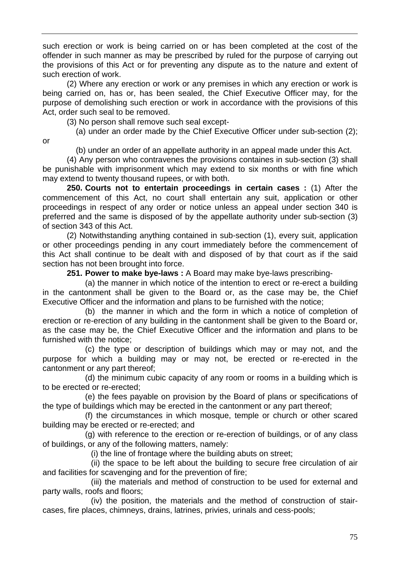such erection or work is being carried on or has been completed at the cost of the offender in such manner as may be prescribed by ruled for the purpose of carrying out the provisions of this Act or for preventing any dispute as to the nature and extent of such erection of work.

(2) Where any erection or work or any premises in which any erection or work is being carried on, has or, has been sealed, the Chief Executive Officer may, for the purpose of demolishing such erection or work in accordance with the provisions of this Act, order such seal to be removed.

(3) No person shall remove such seal except-

(a) under an order made by the Chief Executive Officer under sub-section (2);

or

(b) under an order of an appellate authority in an appeal made under this Act.

(4) Any person who contravenes the provisions containes in sub-section (3) shall be punishable with imprisonment which may extend to six months or with fine which may extend to twenty thousand rupees, or with both.

**250. Courts not to entertain proceedings in certain cases :** (1) After the commencement of this Act, no court shall entertain any suit, application or other proceedings in respect of any order or notice unless an appeal under section 340 is preferred and the same is disposed of by the appellate authority under sub-section (3) of section 343 of this Act.

(2) Notwithstanding anything contained in sub-section (1), every suit, application or other proceedings pending in any court immediately before the commencement of this Act shall continue to be dealt with and disposed of by that court as if the said section has not been brought into force.

**251. Power to make bye-laws :** A Board may make bye-laws prescribing-

(a) the manner in which notice of the intention to erect or re-erect a building in the cantonment shall be given to the Board or, as the case may be, the Chief Executive Officer and the information and plans to be furnished with the notice;

(b) the manner in which and the form in which a notice of completion of erection or re-erection of any building in the cantonment shall be given to the Board or, as the case may be, the Chief Executive Officer and the information and plans to be furnished with the notice;

(c) the type or description of buildings which may or may not, and the purpose for which a building may or may not, be erected or re-erected in the cantonment or any part thereof;

(d) the minimum cubic capacity of any room or rooms in a building which is to be erected or re-erected;

(e) the fees payable on provision by the Board of plans or specifications of the type of buildings which may be erected in the cantonment or any part thereof;

(f) the circumstances in which mosque, temple or church or other scared building may be erected or re-erected; and

(g) with reference to the erection or re-erection of buildings, or of any class of buildings, or any of the following matters, namely:

(i) the line of frontage where the building abuts on street;

(ii) the space to be left about the building to secure free circulation of air and facilities for scavenging and for the prevention of fire;

(iii) the materials and method of construction to be used for external and party walls, roofs and floors;

(iv) the position, the materials and the method of construction of staircases, fire places, chimneys, drains, latrines, privies, urinals and cess-pools;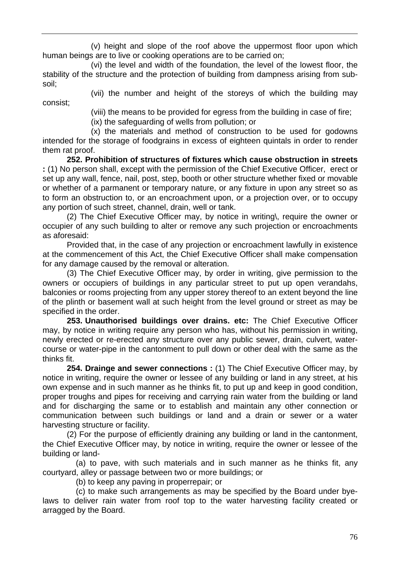(v) height and slope of the roof above the uppermost floor upon which human beings are to live or cooking operations are to be carried on;

(vi) the level and width of the foundation, the level of the lowest floor, the stability of the structure and the protection of building from dampness arising from subsoil;

consist;

(viii) the means to be provided for egress from the building in case of fire;

(vii) the number and height of the storeys of which the building may

(ix) the safeguarding of wells from pollution; or

(x) the materials and method of construction to be used for godowns intended for the storage of foodgrains in excess of eighteen quintals in order to render them rat proof.

**252. Prohibition of structures of fixtures which cause obstruction in streets :** (1) No person shall, except with the permission of the Chief Executive Officer, erect or set up any wall, fence, nail, post, step, booth or other structure whether fixed or movable or whether of a parmanent or temporary nature, or any fixture in upon any street so as to form an obstruction to, or an encroachment upon, or a projection over, or to occupy any portion of such street, channel, drain, well or tank.

(2) The Chief Executive Officer may, by notice in writing\, require the owner or occupier of any such building to alter or remove any such projection or encroachments as aforesaid:

Provided that, in the case of any projection or encroachment lawfully in existence at the commencement of this Act, the Chief Executive Officer shall make compensation for any damage caused by the removal or alteration.

(3) The Chief Executive Officer may, by order in writing, give permission to the owners or occupiers of buildings in any particular street to put up open verandahs, balconies or rooms projecting from any upper storey thereof to an extent beyond the line of the plinth or basement wall at such height from the level ground or street as may be specified in the order.

**253. Unauthorised buildings over drains. etc:** The Chief Executive Officer may, by notice in writing require any person who has, without his permission in writing, newly erected or re-erected any structure over any public sewer, drain, culvert, watercourse or water-pipe in the cantonment to pull down or other deal with the same as the thinks fit.

**254. Drainge and sewer connections :** (1) The Chief Executive Officer may, by notice in writing, require the owner or lessee of any building or land in any street, at his own expense and in such manner as he thinks fit, to put up and keep in good condition, proper troughs and pipes for receiving and carrying rain water from the building or land and for discharging the same or to establish and maintain any other connection or communication between such buildings or land and a drain or sewer or a water harvesting structure or facility.

(2) For the purpose of efficiently draining any building or land in the cantonment, the Chief Executive Officer may, by notice in writing, require the owner or lessee of the building or land-

(a) to pave, with such materials and in such manner as he thinks fit, any courtyard, alley or passage between two or more buildings; or

(b) to keep any paving in properrepair; or

(c) to make such arrangements as may be specified by the Board under byelaws to deliver rain water from roof top to the water harvesting facility created or arragged by the Board.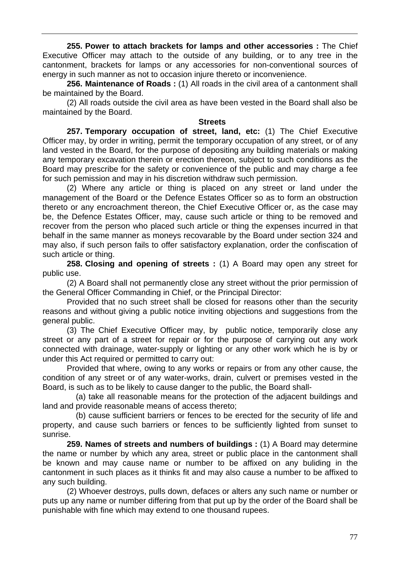**255. Power to attach brackets for lamps and other accessories :** The Chief Executive Officer may attach to the outside of any building, or to any tree in the cantonment, brackets for lamps or any accessories for non-conventional sources of energy in such manner as not to occasion injure thereto or inconvenience.

**256. Maintenance of Roads :** (1) All roads in the civil area of a cantonment shall be maintained by the Board.

(2) All roads outside the civil area as have been vested in the Board shall also be maintained by the Board.

**Streets** 

**257. Temporary occupation of street, land, etc:** (1) The Chief Executive Officer may, by order in writing, permit the temporary occupation of any street, or of any land vested in the Board, for the purpose of depositing any building materials or making any temporary excavation therein or erection thereon, subject to such conditions as the Board may prescribe for the safety or convenience of the public and may charge a fee for such pemission and may in his discretion withdraw such permission.

(2) Where any article or thing is placed on any street or land under the management of the Board or the Defence Estates Officer so as to form an obstruction thereto or any encroachment thereon, the Chief Executive Officer or, as the case may be, the Defence Estates Officer, may, cause such article or thing to be removed and recover from the person who placed such article or thing the expenses incurred in that behalf in the same manner as moneys recovarable by the Board under section 324 and may also, if such person fails to offer satisfactory explanation, order the confiscation of such article or thing.

**258. Closing and opening of streets :** (1) A Board may open any street for public use.

(2) A Board shall not permanently close any street without the prior permission of the General Officer Commanding in Chief, or the Principal Director:

Provided that no such street shall be closed for reasons other than the security reasons and without giving a public notice inviting objections and suggestions from the general public.

(3) The Chief Executive Officer may, by public notice, temporarily close any street or any part of a street for repair or for the purpose of carrying out any work connected with drainage, water-supply or lighting or any other work which he is by or under this Act required or permitted to carry out:

Provided that where, owing to any works or repairs or from any other cause, the condition of any street or of any water-works, drain, culvert or premises vested in the Board, is such as to be likely to cause danger to the public, the Board shall-

(a) take all reasonable means for the protection of the adjacent buildings and land and provide reasonable means of access thereto;

(b) cause sufficient barriers or fences to be erected for the security of life and property, and cause such barriers or fences to be sufficiently lighted from sunset to sunrise.

**259. Names of streets and numbers of buildings :** (1) A Board may determine the name or number by which any area, street or public place in the cantonment shall be known and may cause name or number to be affixed on any buliding in the cantonment in such places as it thinks fit and may also cause a number to be affixed to any such building.

(2) Whoever destroys, pulls down, defaces or alters any such name or number or puts up any name or number differing from that put up by the order of the Board shall be punishable with fine which may extend to one thousand rupees.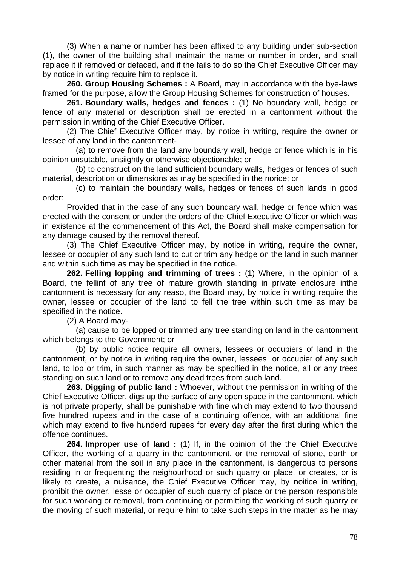(3) When a name or number has been affixed to any building under sub-section (1), the owner of the building shall maintain the name or number in order, and shall replace it if removed or defaced, and if the fails to do so the Chief Executive Officer may by notice in writing require him to replace it.

**260. Group Housing Schemes :** A Board, may in accordance with the bye-laws framed for the purpose, allow the Group Housing Schemes for construction of houses.

**261. Boundary walls, hedges and fences :** (1) No boundary wall, hedge or fence of any material or description shall be erected in a cantonment without the permission in writing of the Chief Executive Officer.

(2) The Chief Executive Officer may, by notice in writing, require the owner or lessee of any land in the cantonment-

(a) to remove from the land any boundary wall, hedge or fence which is in his opinion unsutable, unsiightly or otherwise objectionable; or

(b) to construct on the land sufficient boundary walls, hedges or fences of such material, description or dimensions as may be specified in the norice; or

(c) to maintain the boundary walls, hedges or fences of such lands in good order:

Provided that in the case of any such boundary wall, hedge or fence which was erected with the consent or under the orders of the Chief Executive Officer or which was in existence at the commencement of this Act, the Board shall make compensation for any damage caused by the removal thereof.

(3) The Chief Executive Officer may, by notice in writing, require the owner, lessee or occupier of any such land to cut or trim any hedge on the land in such manner and within such time as may be specified in the notice.

**262. Felling lopping and trimming of trees :** (1) Where, in the opinion of a Board, the fellinf of any tree of mature growth standing in private enclosure inthe cantonment is necessary for any reaso, the Board may, by notice in writing require the owner, lessee or occupier of the land to fell the tree within such time as may be specified in the notice.

(2) A Board may-

(a) cause to be lopped or trimmed any tree standing on land in the cantonment which belongs to the Government; or

(b) by public notice require all owners, lessees or occupiers of land in the cantonment, or by notice in writing require the owner, lessees or occupier of any such land, to lop or trim, in such manner as may be specified in the notice, all or any trees standing on such land or to remove any dead trees from such land.

**263. Digging of public land :** Whoever, without the permission in writing of the Chief Executive Officer, digs up the surface of any open space in the cantonment, which is not private property, shall be punishable with fine which may extend to two thousand five hundred rupees and in the case of a continuing offence, with an additional fine which may extend to five hunderd rupees for every day after the first during which the offence continues.

**264. Improper use of land :** (1) If, in the opinion of the the Chief Executive Officer, the working of a quarry in the cantonment, or the removal of stone, earth or other material from the soil in any place in the cantonment, is dangerous to persons residing in or frequenting the neighourhood or such quarry or place, or creates, or is likely to create, a nuisance, the Chief Executive Officer may, by noitice in writing, prohibit the owner, lesse or occupier of such quarry of place or the person responsible for such working or removal, from continuing or permitting the working of such quarry or the moving of such material, or require him to take such steps in the matter as he may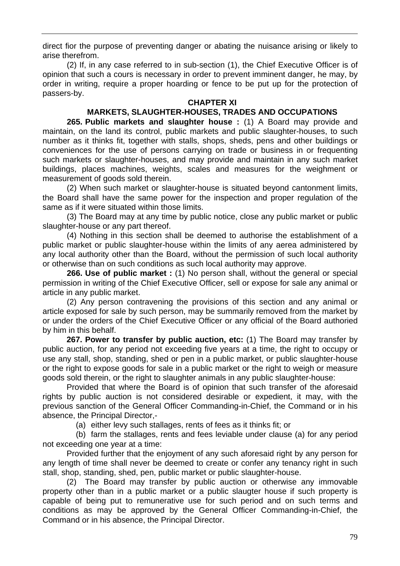direct fior the purpose of preventing danger or abating the nuisance arising or likely to arise therefrom.

(2) If, in any case referred to in sub-section (1), the Chief Executive Officer is of opinion that such a cours is necessary in order to prevent imminent danger, he may, by order in writing, require a proper hoarding or fence to be put up for the protection of passers-by.

### **CHAPTER XI**

## **MARKETS, SLAUGHTER-HOUSES, TRADES AND OCCUPATIONS**

**265. Public markets and slaughter house :** (1) A Board may provide and maintain, on the land its control, public markets and public slaughter-houses, to such number as it thinks fit, together with stalls, shops, sheds, pens and other buildings or conveniences for the use of persons carrying on trade or business in or frequenting such markets or slaughter-houses, and may provide and maintain in any such market buildings, places machines, weights, scales and measures for the weighment or measurement of goods sold therein.

(2) When such market or slaughter-house is situated beyond cantonment limits, the Board shall have the same power for the inspection and proper regulation of the same as if it were situated within those limits.

(3) The Board may at any time by public notice, close any public market or public slaughter-house or any part thereof.

(4) Nothing in this section shall be deemed to authorise the establishment of a public market or public slaughter-house within the limits of any aerea administered by any local authority other than the Board, without the permission of such local authority or otherwise than on such conditions as such local authority may approve.

**266. Use of public market :** (1) No person shall, without the general or special permission in writing of the Chief Executive Officer, sell or expose for sale any animal or article in any public market.

(2) Any person contravening the provisions of this section and any animal or article exposed for sale by such person, may be summarily removed from the market by or under the orders of the Chief Executive Officer or any official of the Board authoried by him in this behalf.

**267. Power to transfer by public auction, etc:** (1) The Board may transfer by public auction, for any period not exceeding five years at a time, the right to occupy or use any stall, shop, standing, shed or pen in a public market, or public slaughter-house or the right to expose goods for sale in a public market or the right to weigh or measure goods sold therein, or the right to slaughter animals in any public slaughter-house:

Provided that where the Board is of opinion that such transfer of the aforesaid rights by public auction is not considered desirable or expedient, it may, with the previous sanction of the General Officer Commanding-in-Chief, the Command or in his absence, the Principal Director,-

(a) either levy such stallages, rents of fees as it thinks fit; or

(b) farm the stallages, rents and fees leviable under clause (a) for any period not exceeding one year at a time:

Provided further that the enjoyment of any such aforesaid right by any person for any length of time shall never be deemed to create or confer any tenancy right in such stall, shop, standing, shed, pen, public market or public slaughter-house.

(2) The Board may transfer by public auction or otherwise any immovable property other than in a public market or a public slaugter house if such property is capable of being put to remunerative use for such period and on such terms and conditions as may be approved by the General Officer Commanding-in-Chief, the Command or in his absence, the Principal Director.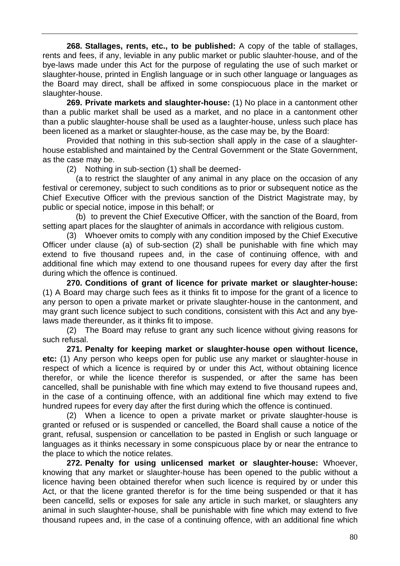**268. Stallages, rents, etc., to be published:** A copy of the table of stallages, rents and fees, if any, leviable in any public market or public slauhter-house, and of the bye-laws made under this Act for the purpose of regulating the use of such market or slaughter-house, printed in English language or in such other language or languages as the Board may direct, shall be affixed in some conspiocuous place in the market or slaughter-house.

**269. Private markets and slaughter-house:** (1) No place in a cantonment other than a public market shall be used as a market, and no place in a cantonment other than a public slaughter-house shall be used as a laughter-house, unless such place has been licened as a market or slaughter-house, as the case may be, by the Board:

Provided that nothing in this sub-section shall apply in the case of a slaughterhouse established and maintained by the Central Government or the State Government, as the case may be.

(2) Nothing in sub-section (1) shall be deemed-

(a to restrict the slaughter of any animal in any place on the occasion of any festival or ceremoney, subject to such conditions as to prior or subsequent notice as the Chief Executive Officer with the previous sanction of the District Magistrate may, by public or special notice, impose in this behalf; or

(b) to prevent the Chief Executive Officer, with the sanction of the Board, from setting apart places for the slaughter of animals in accordance with religious custom.

(3) Whoever omits to comply with any condition imposed by the Chief Executive Officer under clause (a) of sub-section (2) shall be punishable with fine which may extend to five thousand rupees and, in the case of continuing offence, with and additional fine which may extend to one thousand rupees for every day after the first during which the offence is continued.

**270. Conditions of grant of licence for private market or slaughter-house:** (1) A Board may charge such fees as it thinks fit to impose for the grant of a licence to any person to open a private market or private slaughter-house in the cantonment, and may grant such licence subject to such conditions, consistent with this Act and any byelaws made thereunder, as it thinks fit to impose.

(2) The Board may refuse to grant any such licence without giving reasons for such refusal.

**271. Penalty for keeping market or slaughter-house open without licence, etc:** (1) Any person who keeps open for public use any market or slaughter-house in respect of which a licence is required by or under this Act, without obtaining licence therefor, or while the licence therefor is suspended, or after the same has been cancelled, shall be punishable with fine which may extend to five thousand rupees and, in the case of a continuing offence, with an additional fine which may extend to five hundred rupees for every day after the first during which the offence is continued.

(2) When a licence to open a private market or private slaughter-house is granted or refused or is suspended or cancelled, the Board shall cause a notice of the grant, refusal, suspension or cancellation to be pasted in English or such language or languages as it thinks necessary in some conspicuous place by or near the entrance to the place to which the notice relates.

**272. Penalty for using unlicensed market or slaughter-house:** Whoever, knowing that any market or slaughter-house has been opened to the public without a licence having been obtained therefor when such licence is required by or under this Act, or that the licene granted therefor is for the time being suspended or that it has been cancelld, sells or exposes for sale any article in such market, or slaughters any animal in such slaughter-house, shall be punishable with fine which may extend to five thousand rupees and, in the case of a continuing offence, with an additional fine which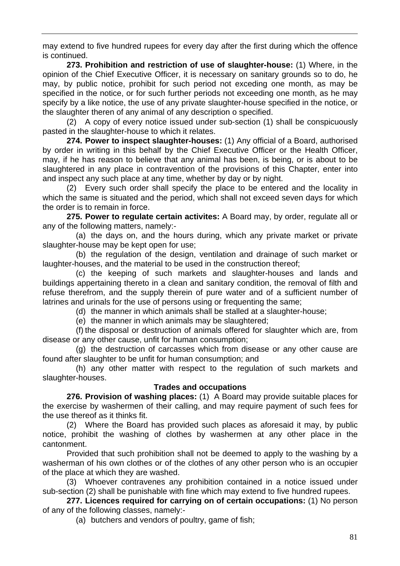may extend to five hundred rupees for every day after the first during which the offence is continued.

**273. Prohibition and restriction of use of slaughter-house:** (1) Where, in the opinion of the Chief Executive Officer, it is necessary on sanitary grounds so to do, he may, by public notice, prohibit for such period not exceding one month, as may be specified in the notice, or for such further periods not exceeding one month, as he may specify by a like notice, the use of any private slaughter-house specified in the notice, or the slaughter theren of any animal of any description o specified.

(2) A copy of every notice issued under sub-section (1) shall be conspicuously pasted in the slaughter-house to which it relates.

**274. Power to inspect slaughter-houses:** (1) Any official of a Board, authorised by order in writing in this behalf by the Chief Executive Officer or the Health Officer, may, if he has reason to believe that any animal has been, is being, or is about to be slaughtered in any place in contravention of the provisions of this Chapter, enter into and inspect any such place at any time, whether by day or by night.

(2) Every such order shall specify the place to be entered and the locality in which the same is situated and the period, which shall not exceed seven days for which the order is to remain in force.

**275. Power to regulate certain activites:** A Board may, by order, regulate all or any of the following matters, namely:-

(a) the days on, and the hours during, which any private market or private slaughter-house may be kept open for use;

(b) the regulation of the design, ventilation and drainage of such market or laughter-houses, and the material to be used in the construction thereof;

(c) the keeping of such markets and slaughter-houses and lands and buildings appertaining thereto in a clean and sanitary condition, the removal of filth and refuse therefrom, and the supply therein of pure water and of a sufficient number of latrines and urinals for the use of persons using or frequenting the same;

(d) the manner in which animals shall be stalled at a slaughter-house;

(e) the manner in which animals may be slaughtered;

(f) the disposal or destruction of animals offered for slaughter which are, from disease or any other cause, unfit for human consumption;

(g) the destruction of carcasses which from disease or any other cause are found after slaughter to be unfit for human consumption; and

(h) any other matter with respect to the regulation of such markets and slaughter-houses.

### **Trades and occupations**

**276. Provision of washing places:** (1) A Board may provide suitable places for the exercise by washermen of their calling, and may require payment of such fees for the use thereof as it thinks fit.

(2) Where the Board has provided such places as aforesaid it may, by public notice, prohibit the washing of clothes by washermen at any other place in the cantonment.

Provided that such prohibition shall not be deemed to apply to the washing by a washerman of his own clothes or of the clothes of any other person who is an occupier of the place at which they are washed.

(3) Whoever contravenes any prohibition contained in a notice issued under sub-section (2) shall be punishable with fine which may extend to five hundred rupees.

**277. Licences required for carrying on of certain occupations:** (1) No person of any of the following classes, namely:-

(a) butchers and vendors of poultry, game of fish;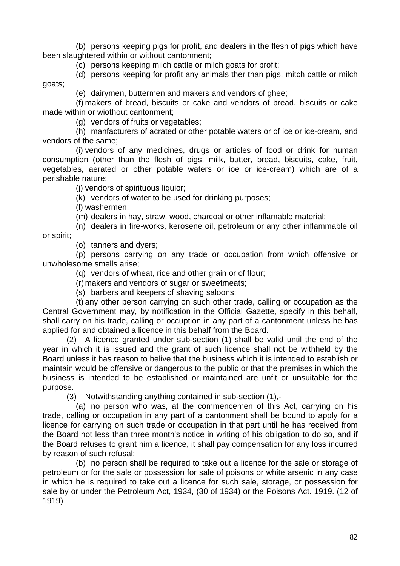(b) persons keeping pigs for profit, and dealers in the flesh of pigs which have been slaughtered within or without cantonment;

(c) persons keeping milch cattle or milch goats for profit;

(d) persons keeping for profit any animals ther than pigs, mitch cattle or milch goats;

(e) dairymen, buttermen and makers and vendors of ghee;

(f) makers of bread, biscuits or cake and vendors of bread, biscuits or cake made within or wiothout cantonment;

(g) vendors of fruits or vegetables;

(h) manfacturers of acrated or other potable waters or of ice or ice-cream, and vendors of the same;

(i) vendors of any medicines, drugs or articles of food or drink for human consumption (other than the flesh of pigs, milk, butter, bread, biscuits, cake, fruit, vegetables, aerated or other potable waters or ioe or ice-cream) which are of a perishable nature;

(j) vendors of spirituous liquior;

(k) vendors of water to be used for drinking purposes;

(l) washermen;

(m) dealers in hay, straw, wood, charcoal or other inflamable material;

(n) dealers in fire-works, kerosene oil, petroleum or any other inflammable oil

or spirit;

(o) tanners and dyers;

(p) persons carrying on any trade or occupation from which offensive or unwholesome smells arise;

(q) vendors of wheat, rice and other grain or of flour;

(r) makers and vendors of sugar or sweetmeats;

(s) barbers and keepers of shaving saloons;

(t) any other person carrying on such other trade, calling or occupation as the Central Government may, by notification in the Official Gazette, specify in this behalf, shall carry on his trade, calling or occuption in any part of a cantonment unless he has applied for and obtained a licence in this behalf from the Board.

(2) A licence granted under sub-section (1) shall be valid until the end of the year in which it is issued and the grant of such licence shall not be withheld by the Board unless it has reason to belive that the business which it is intended to establish or maintain would be offensive or dangerous to the public or that the premises in which the business is intended to be established or maintained are unfit or unsuitable for the purpose.

(3) Notwithstanding anything contained in sub-section (1),-

(a) no person who was, at the commencemen of this Act, carrying on his trade, calling or occupation in any part of a cantonment shall be bound to apply for a licence for carrying on such trade or occupation in that part until he has received from the Board not less than three month's notice in writing of his obligation to do so, and if the Board refuses to grant him a licence, it shall pay compensation for any loss incurred by reason of such refusal;

(b) no person shall be required to take out a licence for the sale or storage of petroleum or for the sale or possession for sale of poisons or white arsenic in any case in which he is required to take out a licence for such sale, storage, or possession for sale by or under the Petroleum Act, 1934, (30 of 1934) or the Poisons Act. 1919. (12 of 1919)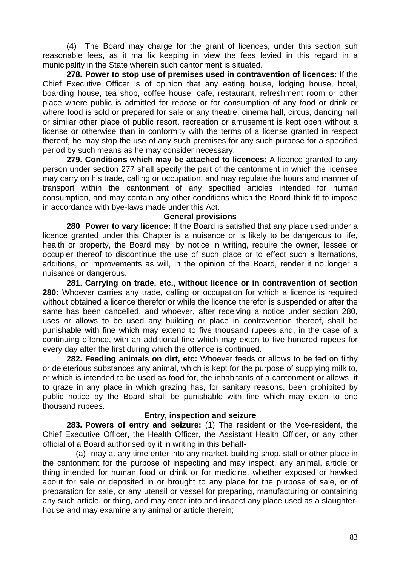(4) The Board may charge for the grant of licences, under this section suh reasonable fees, as it ma fix keeping in view the fees levied in this regard in a municipality in the State wherein such cantonment is situated.

**278. Power to stop use of premises used in contravention of licences:** If the Chief Executive Officer is of opinion that any eating house, lodging house, hotel, boarding house, tea shop, coffee house, cafe, restaurant, refreshment room or other place where public is admitted for repose or for consumption of any food or drink or where food is sold or prepared for sale or any theatre, cinema hall, circus, dancing hall or similar other place of public resort, recreation or amusement is kept open without a license or otherwise than in conformity with the terms of a license granted in respect thereof, he may stop the use of any such premises for any such purpose for a specified period by such means as he may consider necessary.

**279. Conditions which may be attached to licences:** A licence granted to any person under section 277 shall specify the part of the cantonment in which the licensee may carry on his trade, calling or occupation, and may regulate the hours and manner of transport within the cantonment of any specified articles intended for human consumption, and may contain any other conditions which the Board think fit to impose in accordance with bye-laws made under this Act.

### **General provisions**

**280 Power to vary licence:** If the Board is satisfied that any place used under a licence granted under this Chapter is a nuisance or is likely to be dangerous to life, health or property, the Board may, by notice in writing, require the owner, lessee or occupier thereof to discontinue the use of such place or to effect such a lternations, additions, or improvements as will, in the opinion of the Board, render it no longer a nuisance or dangerous.

**281. Carrying on trade, etc., without licence or in contravention of section 280:** Whoever carries any trade, calling or occupation for which a licence is required without obtained a licence therefor or while the licence therefor is suspended or after the same has been cancelled, and whoever, after receiving a notice under section 280, uses or allows to be used any building or place in contravention thereof, shall be punishable with fine which may extend to five thousand rupees and, in the case of a continuing offence, with an additional fine which may exten to five hundred rupees for every day after the first during which the offence is continued.

**282. Feeding animals on dirt, etc:** Whoever feeds or allows to be fed on filthy or deleterious substances any animal, which is kept for the purpose of supplying milk to, or which is intended to be used as food for, the inhabitants of a cantonment or allows it to graze in any place in which grazing has, for sanitary reasons, been prohibited by public notice by the Board shall be punishable with fine which may exten to one thousand rupees.

### **Entry, inspection and seizure**

**283. Powers of entry and seizure:** (1) The resident or the Vce-resident, the Chief Executive Officer, the Health Officer, the Assistant Health Officer, or any other official of a Board authorised by it in writing in this behalf-

(a) may at any time enter into any market, building,shop, stall or other place in the cantonment for the purpose of inspecting and may inspect, any animal, article or thing intended for human food or drink or for medicine, whether exposed or hawked about for sale or deposited in or brought to any place for the purpose of sale, or of preparation for sale, or any utensil or vessel for preparing, manufacturing or containing any such article, or thing, and may enter into and inspect any place used as a slaughterhouse and may examine any animal or article therein;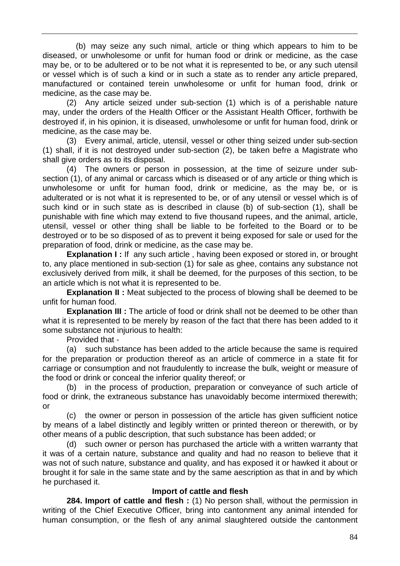(b) may seize any such nimal, article or thing which appears to him to be diseased, or unwholesome or unfit for human food or drink or medicine, as the case may be, or to be adultered or to be not what it is represented to be, or any such utensil or vessel which is of such a kind or in such a state as to render any article prepared, manufactured or contained terein unwholesome or unfit for human food, drink or medicine, as the case may be.

(2) Any article seized under sub-section (1) which is of a perishable nature may, under the orders of the Health Officer or the Assistant Health Officer, forthwith be destroyed if, in his opinion, it is diseased, unwholesome or unfit for human food, drink or medicine, as the case may be.

(3) Every animal, article, utensil, vessel or other thing seized under sub-section (1) shall, if it is not destroyed under sub-section (2), be taken befre a Magistrate who shall give orders as to its disposal.

(4) The owners or person in possession, at the time of seizure under subsection (1), of any animal or carcass which is diseased or of any article or thing which is unwholesome or unfit for human food, drink or medicine, as the may be, or is adulterated or is not what it is represented to be, or of any utensil or vessel which is of such kind or in such state as is described in clause (b) of sub-section (1), shall be punishable with fine which may extend to five thousand rupees, and the animal, article, utensil, vessel or other thing shall be liable to be forfeited to the Board or to be destroyed or to be so disposed of as to prevent it being exposed for sale or used for the preparation of food, drink or medicine, as the case may be.

**Explanation I** : If any such article, having been exposed or stored in, or brought to, any place mentioned in sub-section (1) for sale as ghee, contains any substance not exclusively derived from milk, it shall be deemed, for the purposes of this section, to be an article which is not what it is represented to be.

**Explanation II :** Meat subjected to the process of blowing shall be deemed to be unfit for human food.

**Explanation III** : The article of food or drink shall not be deemed to be other than what it is represented to be merely by reason of the fact that there has been added to it some substance not injurious to health:

Provided that -

(a) such substance has been added to the article because the same is required for the preparation or production thereof as an article of commerce in a state fit for carriage or consumption and not fraudulently to increase the bulk, weight or measure of the food or drink or conceal the inferior quality thereof; or

(b) in the process of production, preparation or conveyance of such article of food or drink, the extraneous substance has unavoidably become intermixed therewith; or

(c) the owner or person in possession of the article has given sufficient notice by means of a label distinctly and legibly written or printed thereon or therewith, or by other means of a public description, that such substance has been added; or

(d) such owner or person has purchased the article with a written warranty that it was of a certain nature, substance and quality and had no reason to believe that it was not of such nature, substance and quality, and has exposed it or hawked it about or brought it for sale in the same state and by the same aescription as that in and by which he purchased it.

### **Import of cattle and flesh**

**284. Import of cattle and flesh :** (1) No person shall, without the permission in writing of the Chief Executive Officer, bring into cantonment any animal intended for human consumption, or the flesh of any animal slaughtered outside the cantonment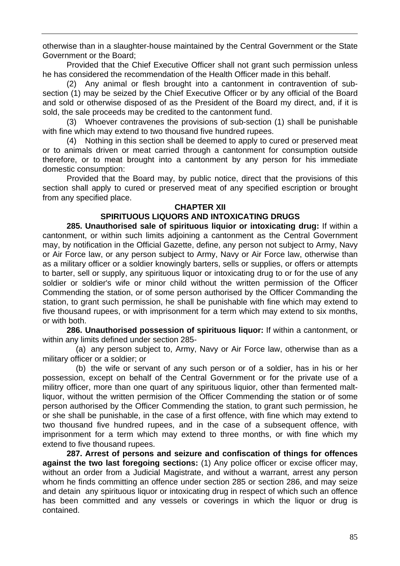otherwise than in a slaughter-house maintained by the Central Government or the State Government or the Board;

Provided that the Chief Executive Officer shall not grant such permission unless he has considered the recommendation of the Health Officer made in this behalf.

(2) Any animal or flesh brought into a cantonment in contravention of subsection (1) may be seized by the Chief Executive Officer or by any official of the Board and sold or otherwise disposed of as the President of the Board my direct, and, if it is sold, the sale proceeds may be credited to the cantonment fund.

(3) Whoever contravenes the provisions of sub-section (1) shall be punishable with fine which may extend to two thousand five hundred rupees.

(4) Nothing in this section shall be deemed to apply to cured or preserved meat or to animals driven or meat carried through a cantonment for consumption outside therefore, or to meat brought into a cantonment by any person for his immediate domestic consumption:

Provided that the Board may, by public notice, direct that the provisions of this section shall apply to cured or preserved meat of any specified escription or brought from any specified place.

### **CHAPTER XII**

## **SPIRITUOUS LIQUORS AND INTOXICATING DRUGS**

**285. Unauthorised sale of spirituous liquior or intoxicating drug:** If within a cantonment, or within such limits adjoining a cantonment as the Central Government may, by notification in the Official Gazette, define, any person not subject to Army, Navy or Air Force law, or any person subject to Army, Navy or Air Force law, otherwise than as a military officer or a soldier knowingly barters, sells or supplies, or offers or attempts to barter, sell or supply, any spirituous liquor or intoxicating drug to or for the use of any soldier or soldier's wife or minor child without the written permission of the Officer Commending the station, or of some person authorised by the Officer Commanding the station, to grant such permission, he shall be punishable with fine which may extend to five thousand rupees, or with imprisonment for a term which may extend to six months, or with both.

**286. Unauthorised possession of spirituous liquor:** If within a cantonment, or within any limits defined under section 285-

(a) any person subject to, Army, Navy or Air Force law, otherwise than as a military officer or a soldier; or

(b) the wife or servant of any such person or of a soldier, has in his or her possession, except on behalf of the Central Government or for the private use of a militry officer, more than one quart of any spirituous liquior, other than fermented maltliquor, without the written permision of the Officer Commending the station or of some person authorised by the Officer Commending the station, to grant such permission, he or she shall be punishable, in the case of a first offence, with fine which may extend to two thousand five hundred rupees, and in the case of a subsequent offence, with imprisonment for a term which may extend to three months, or with fine which my extend to five thousand rupees.

**287. Arrest of persons and seizure and confiscation of things for offences against the two last foregoing sections:** (1) Any police officer or excise officer may, without an order from a Judicial Magistrate, and without a warrant, arrest any person whom he finds committing an offence under section 285 or section 286, and may seize and detain any spirituous liquor or intoxicating drug in respect of which such an offence has been committed and any vessels or coverings in which the liquor or drug is contained.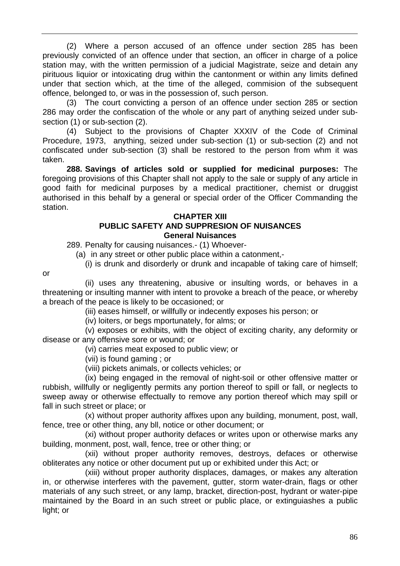(2) Where a person accused of an offence under section 285 has been previously convicted of an offence under that section, an officer in charge of a police station may, with the written permission of a judicial Magistrate, seize and detain any pirituous liquior or intoxicating drug within the cantonment or within any limits defined under that section which, at the time of the alleged, commision of the subsequent offence, belonged to, or was in the possession of, such person.

(3) The court convicting a person of an offence under section 285 or section 286 may order the confiscation of the whole or any part of anything seized under subsection (1) or sub-section (2).

(4) Subject to the provisions of Chapter XXXIV of the Code of Criminal Procedure, 1973, anything, seized under sub-section (1) or sub-section (2) and not confiscated under sub-section (3) shall be restored to the person from whm it was taken.

**288. Savings of articles sold or supplied for medicinal purposes:** The foregoing provisions of this Chapter shall not apply to the sale or supply of any article in good faith for medicinal purposes by a medical practitioner, chemist or druggist authorised in this behalf by a general or special order of the Officer Commanding the station.

### **CHAPTER XIII**

## **PUBLIC SAFETY AND SUPPRESION OF NUISANCES General Nuisances**

289. Penalty for causing nuisances.- (1) Whoever-

(a) in any street or other public place within a catonment,-

(i) is drunk and disorderly or drunk and incapable of taking care of himself;

or

(ii) uses any threatening, abusive or insulting words, or behaves in a threatening or insulting manner with intent to provoke a breach of the peace, or whereby a breach of the peace is likely to be occasioned; or

(iii) eases himself, or willfully or indecently exposes his person; or

(iv) loiters, or begs mportunately, for alms; or

(v) exposes or exhibits, with the object of exciting charity, any deformity or disease or any offensive sore or wound; or

(vi) carries meat exposed to public view; or

(vii) is found gaming ; or

(viii) pickets animals, or collects vehicles; or

(ix) being engaged in the removal of night-soil or other offensive matter or rubbish, willfully or negligently permits any portion thereof to spill or fall, or neglects to sweep away or otherwise effectually to remove any portion thereof which may spill or fall in such street or place; or

(x) without proper authority affixes upon any building, monument, post, wall, fence, tree or other thing, any bll, notice or other document; or

 (xi) without proper authority defaces or writes upon or otherwise marks any building, monment, post, wall, fence, tree or other thing; or

(xii) without proper authority removes, destroys, defaces or otherwise obliterates any notice or other document put up or exhibited under this Act; or

 (xiii) without proper authority displaces, damages, or makes any alteration in, or otherwise interferes with the pavement, gutter, storm water-drain, flags or other materials of any such street, or any lamp, bracket, direction-post, hydrant or water-pipe maintained by the Board in an such street or public place, or extinguiashes a public light; or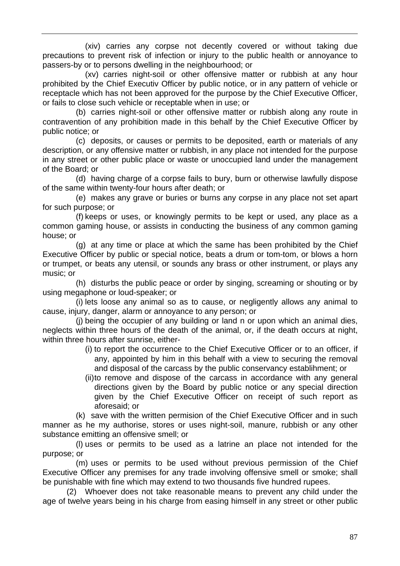(xiv) carries any corpse not decently covered or without taking due precautions to prevent risk of infection or injury to the public health or annoyance to passers-by or to persons dwelling in the neighbourhood; or

(xv) carries night-soil or other offensive matter or rubbish at any hour prohibited by the Chief Executiv Officer by public notice, or in any pattern of vehicle or receptacle which has not been approved for the purpose by the Chief Executive Officer, or fails to close such vehicle or receptable when in use; or

(b) carries night-soil or other offensive matter or rubbish along any route in contravention of any prohibition made in this behalf by the Chief Executive Officer by public notice; or

(c) deposits, or causes or permits to be deposited, earth or materials of any description, or any offensive matter or rubbish, in any place not intended for the purpose in any street or other public place or waste or unoccupied land under the management of the Board; or

(d) having charge of a corpse fails to bury, burn or otherwise lawfully dispose of the same within twenty-four hours after death; or

(e) makes any grave or buries or burns any corpse in any place not set apart for such purpose; or

(f) keeps or uses, or knowingly permits to be kept or used, any place as a common gaming house, or assists in conducting the business of any common gaming house; or

(g) at any time or place at which the same has been prohibited by the Chief Executive Officer by public or special notice, beats a drum or tom-tom, or blows a horn or trumpet, or beats any utensil, or sounds any brass or other instrument, or plays any music; or

(h) disturbs the public peace or order by singing, screaming or shouting or by using megaphone or loud-speaker; or

(i) lets loose any animal so as to cause, or negligently allows any animal to cause, injury, danger, alarm or annoyance to any person; or

(j) being the occupier of any building or land n or upon which an animal dies, neglects within three hours of the death of the animal, or, if the death occurs at night, within three hours after sunrise, either-

(i) to report the occurrence to the Chief Executive Officer or to an officer, if any, appointed by him in this behalf with a view to securing the removal and disposal of the carcass by the public conservancy establihment; or

(ii) to remove and dispose of the carcass in accordance with any general directions given by the Board by public notice or any special direction given by the Chief Executive Officer on receipt of such report as aforesaid; or

(k) save with the written permision of the Chief Executive Officer and in such manner as he my authorise, stores or uses night-soil, manure, rubbish or any other substance emitting an offensive smell; or

(l) uses or permits to be used as a latrine an place not intended for the purpose; or

(m) uses or permits to be used without previous permission of the Chief Executive Officer any premises for any trade involving offensive smell or smoke; shall be punishable with fine which may extend to two thousands five hundred rupees.

(2) Whoever does not take reasonable means to prevent any child under the age of twelve years being in his charge from easing himself in any street or other public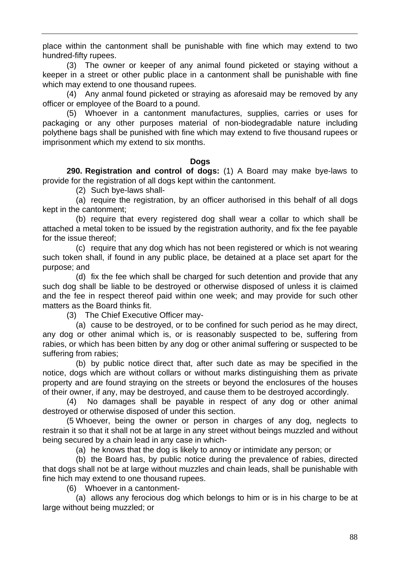place within the cantonment shall be punishable with fine which may extend to two hundred-fifty rupees.

(3) The owner or keeper of any animal found picketed or staying without a keeper in a street or other public place in a cantonment shall be punishable with fine which may extend to one thousand rupees.

(4) Any anmal found picketed or straying as aforesaid may be removed by any officer or employee of the Board to a pound.

(5) Whoever in a cantonment manufactures, supplies, carries or uses for packaging or any other purposes material of non-biodegradable nature including polythene bags shall be punished with fine which may extend to five thousand rupees or imprisonment which my extend to six months.

#### **Dogs**

**290. Registration and control of dogs:** (1) A Board may make bye-laws to provide for the registration of all dogs kept within the cantonment.

(2) Such bye-laws shall-

(a) require the registration, by an officer authorised in this behalf of all dogs kept in the cantonment;

(b) require that every registered dog shall wear a collar to which shall be attached a metal token to be issued by the registration authority, and fix the fee payable for the issue thereof;

(c) require that any dog which has not been registered or which is not wearing such token shall, if found in any public place, be detained at a place set apart for the purpose; and

(d) fix the fee which shall be charged for such detention and provide that any such dog shall be liable to be destroyed or otherwise disposed of unless it is claimed and the fee in respect thereof paid within one week; and may provide for such other matters as the Board thinks fit.

(3) The Chief Executive Officer may-

(a) cause to be destroyed, or to be confined for such period as he may direct, any dog or other animal which is, or is reasonably suspected to be, suffering from rabies, or which has been bitten by any dog or other animal suffering or suspected to be suffering from rabies;

(b) by public notice direct that, after such date as may be specified in the notice, dogs which are without collars or without marks distinguishing them as private property and are found straying on the streets or beyond the enclosures of the houses of their owner, if any, may be destroyed, and cause them to be destroyed accordingly.

(4) No damages shall be payable in respect of any dog or other animal destroyed or otherwise disposed of under this section.

(5 Whoever, being the owner or person in charges of any dog, neglects to restrain it so that it shall not be at large in any street without beings muzzled and without being secured by a chain lead in any case in which-

(a) he knows that the dog is likely to annoy or intimidate any person; or

(b) the Board has, by public notice during the prevalence of rabies, directed that dogs shall not be at large without muzzles and chain leads, shall be punishable with fine hich may extend to one thousand rupees.

(6) Whoever in a cantonment-

(a) allows any ferocious dog which belongs to him or is in his charge to be at large without being muzzled; or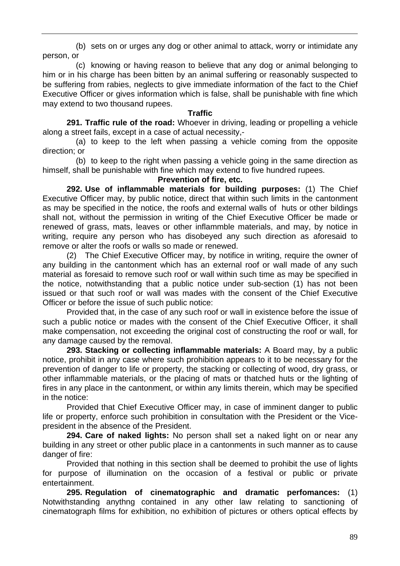(b) sets on or urges any dog or other animal to attack, worry or intimidate any person, or

(c) knowing or having reason to believe that any dog or animal belonging to him or in his charge has been bitten by an animal suffering or reasonably suspected to be suffering from rabies, neglects to give immediate information of the fact to the Chief Executive Officer or gives information which is false, shall be punishable with fine which may extend to two thousand rupees.

### **Traffic**

**291. Traffic rule of the road:** Whoever in driving, leading or propelling a vehicle along a street fails, except in a case of actual necessity,-

(a) to keep to the left when passing a vehicle coming from the opposite direction; or

(b) to keep to the right when passing a vehicle going in the same direction as himself, shall be punishable with fine which may extend to five hundred rupees.

## **Prevention of fire, etc.**

**292. Use of inflammable materials for building purposes:** (1) The Chief Executive Officer may, by public notice, direct that within such limits in the cantonment as may be specified in the notice, the roofs and external walls of huts or other bildings shall not, without the permission in writing of the Chief Executive Officer be made or renewed of grass, mats, leaves or other inflammble materials, and may, by notice in writing, require any person who has disobeyed any such direction as aforesaid to remove or alter the roofs or walls so made or renewed.

(2) The Chief Executive Officer may, by notifice in writing, require the owner of any building in the cantonment which has an external roof or wall made of any such material as foresaid to remove such roof or wall within such time as may be specified in the notice, notwithstanding that a public notice under sub-section (1) has not been issued or that such roof or wall was mades with the consent of the Chief Executive Officer or before the issue of such public notice:

Provided that, in the case of any such roof or wall in existence before the issue of such a public notice or mades with the consent of the Chief Executive Officer, it shall make compensation, not exceeding the original cost of constructing the roof or wall, for any damage caused by the removal.

**293. Stacking or collecting inflammable materials:** A Board may, by a public notice, prohibit in any case where such prohibition appears to it to be necessary for the prevention of danger to life or property, the stacking or collecting of wood, dry grass, or other inflammable materials, or the placing of mats or thatched huts or the lighting of fires in any place in the cantonment, or within any limits therein, which may be specified in the notice:

Provided that Chief Executive Officer may, in case of imminent danger to public life or property, enforce such prohibition in consultation with the President or the Vicepresident in the absence of the President.

**294. Care of naked lights:** No person shall set a naked light on or near any building in any street or other public place in a cantonments in such manner as to cause danger of fire:

Provided that nothing in this section shall be deemed to prohibit the use of lights for purpose of illumination on the occasion of a festival or public or private entertainment.

**295. Regulation of cinematographic and dramatic perfomances:** (1) Notwithstanding anythng contained in any other law relating to sanctioning of cinematograph films for exhibition, no exhibition of pictures or others optical effects by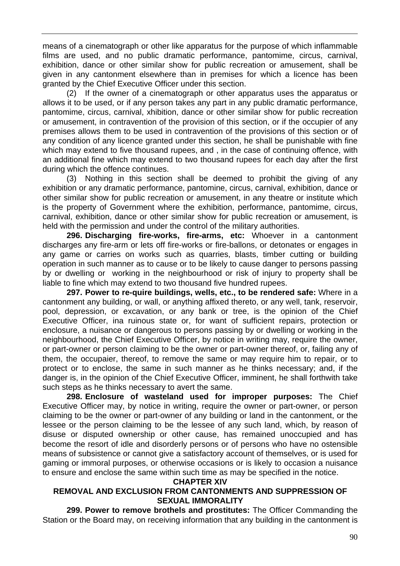means of a cinematograph or other like apparatus for the purpose of which inflammable films are used, and no public dramatic performance, pantomime, circus, carnival, exhibition, dance or other similar show for public recreation or amusement, shall be given in any cantonment elsewhere than in premises for which a licence has been granted by the Chief Executive Officer under this section.

(2) If the owner of a cinematograph or other apparatus uses the apparatus or allows it to be used, or if any person takes any part in any public dramatic performance, pantomime, circus, carnival, xhibition, dance or other similar show for public recreation or amusement, in contravention of the provision of this section, or if the occupier of any premises allows them to be used in contravention of the provisions of this section or of any condition of any licence granted under this section, he shall be punishable with fine which may extend to five thousand rupees, and , in the case of continuing offence, with an additional fine which may extend to two thousand rupees for each day after the first during which the offence continues.

(3) Nothing in this section shall be deemed to prohibit the giving of any exhibition or any dramatic performance, pantomine, circus, carnival, exhibition, dance or other similar show for public recreation or amusement, in any theatre or institute which is the property of Government where the exhibition, performance, pantomime, circus, carnival, exhibition, dance or other similar show for public recreation or amusement, is held with the permission and under the control of the military authorities.

**296. Discharging fire-works, fire-arms, etc:** Whoever in a cantonment discharges any fire-arm or lets off fire-works or fire-ballons, or detonates or engages in any game or carries on works such as quarries, blasts, timber cutting or building operation in such manner as to cause or to be likely to cause danger to persons passing by or dwelling or working in the neighbourhood or risk of injury to property shall be liable to fine which may extend to two thousand five hundred rupees.

**297. Power to re-quire buildings, wells, etc., to be rendered safe:** Where in a cantonment any building, or wall, or anything affixed thereto, or any well, tank, reservoir, pool, depression, or excavation, or any bank or tree, is the opinion of the Chief Executive Officer, ina ruinous state or, for want of sufficient repairs, protection or enclosure, a nuisance or dangerous to persons passing by or dwelling or working in the neighbourhood, the Chief Executive Officer, by notice in writing may, require the owner, or part-owner or person claiming to be the owner or part-owner thereof, or, failing any of them, the occupaier, thereof, to remove the same or may require him to repair, or to protect or to enclose, the same in such manner as he thinks necessary; and, if the danger is, in the opinion of the Chief Executive Officer, imminent, he shall forthwith take such steps as he thinks necessary to avert the same.

**298. Enclosure of wasteland used for improper purposes:** The Chief Executive Officer may, by notice in writing, require the owner or part-owner, or person claiming to be the owner or part-owner of any building or land in the cantonment, or the lessee or the person claiming to be the lessee of any such land, which, by reason of disuse or disputed ownership or other cause, has remained unoccupied and has become the resort of idle and disorderly persons or of persons who have no ostensible means of subsistence or cannot give a satisfactory account of themselves, or is used for gaming or immoral purposes, or otherwise occasions or is likely to occasion a nuisance to ensure and enclose the same within such time as may be specified in the notice.

#### **CHAPTER XIV**

#### **REMOVAL AND EXCLUSION FROM CANTONMENTS AND SUPPRESSION OF SEXUAL IMMORALITY**

**299. Power to remove brothels and prostitutes:** The Officer Commanding the Station or the Board may, on receiving information that any building in the cantonment is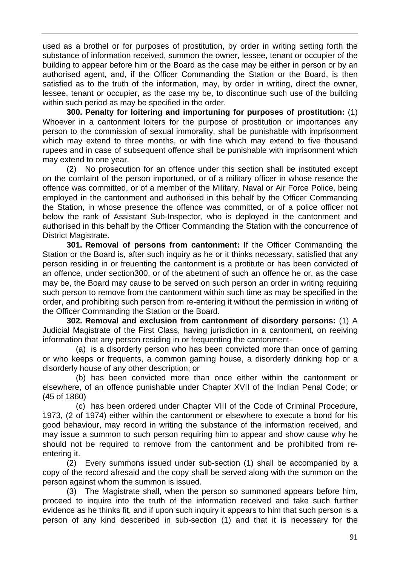used as a brothel or for purposes of prostitution, by order in writing setting forth the substance of information received, summon the owner, lessee, tenant or occupier of the building to appear before him or the Board as the case may be either in person or by an authorised agent, and, if the Officer Commanding the Station or the Board, is then satisfied as to the truth of the information, may, by order in writing, direct the owner, lessee, tenant or occupier, as the case my be, to discontinue such use of the building within such period as may be specified in the order.

**300. Penalty for loitering and importuning for purposes of prostitution:** (1) Whoever in a cantonment loiters for the purpose of prostitution or importances any person to the commission of sexual immorality, shall be punishable with imprisonment which may extend to three months, or with fine which may extend to five thousand rupees and in case of subsequent offence shall be punishable with imprisonment which may extend to one year.

(2) No prosecution for an offence under this section shall be instituted except on the comlaint of the person importuned, or of a military officer in whose resence the offence was committed, or of a member of the Military, Naval or Air Force Police, being employed in the cantonment and authorised in this behalf by the Officer Commanding the Station, in whose presence the offence was committed, or of a police officer not below the rank of Assistant Sub-Inspector, who is deployed in the cantonment and authorised in this behalf by the Officer Commanding the Station with the concurrence of District Magistrate.

**301. Removal of persons from cantonment:** If the Officer Commanding the Station or the Board is, after such inquiry as he or it thinks necessary, satisfied that any person residing in or freuenting the cantonment is a protitute or has been convicted of an offence, under section300, or of the abetment of such an offence he or, as the case may be, the Board may cause to be served on such person an order in writing requiring such person to remove from the cantonment within such time as may be specified in the order, and prohibiting such person from re-entering it without the permission in writing of the Officer Commanding the Station or the Board.

**302. Removal and exclusion from cantonment of disordery persons:** (1) A Judicial Magistrate of the First Class, having jurisdiction in a cantonment, on reeiving information that any person residing in or frequenting the cantonment-

(a) is a disorderly person who has been convicted more than once of gaming or who keeps or frequents, a common gaming house, a disorderly drinking hop or a disorderly house of any other description; or

(b) has been convicted more than once either within the cantonment or elsewhere, of an offence punishable under Chapter XVII of the Indian Penal Code; or (45 of 1860)

(c) has been ordered under Chapter VIII of the Code of Criminal Procedure, 1973, (2 of 1974) either within the cantonment or elsewhere to execute a bond for his good behaviour, may record in writing the substance of the information received, and may issue a summon to such person requiring him to appear and show cause why he should not be required to remove from the cantonment and be prohibited from reentering it.

(2) Every summons issued under sub-section (1) shall be accompanied by a copy of the record afresaid and the copy shall be served along with the summon on the person against whom the summon is issued.

(3) The Magistrate shall, when the person so summoned appears before him, proceed to inquire into the truth of the information received and take such further evidence as he thinks fit, and if upon such inquiry it appears to him that such person is a person of any kind desceribed in sub-section (1) and that it is necessary for the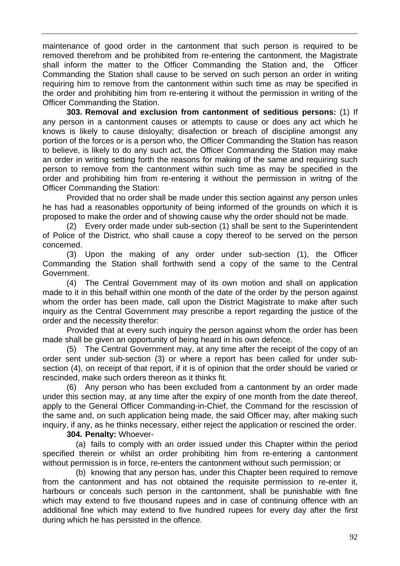maintenance of good order in the cantonment that such person is required to be removed therefrom and be prohibited from re-entering the cantonment, the Magistrate shall inform the matter to the Officer Commanding the Station and, the Officer Commanding the Station shall cause to be served on such person an order in writing requiring him to remove from the cantonment within such time as may be specified in the order and prohibiting him from re-entering it without the permission in writing of the Officer Commanding the Station.

**303. Removal and exclusion from cantonment of seditious persons:** (1) If any person in a cantonment causes or attempts to cause or does any act which he knows is likely to cause disloyalty; disafection or breach of discipline amongst any portion of the forces or is a person who, the Officer Commanding the Station has reason to believe, is likely to do any such act, the Officer Commanding the Station may make an order in writing setting forth the reasons for making of the same and requiring such person to remove from the cantonment within such time as may be specified in the order and prohibiting him from re-entering it without the permission in writng of the Officer Commanding the Station:

Provided that no order shall be made under this section against any person unles he has had a reasonables opportunity of being informed of the grounds on which it is proposed to make the order and of showing cause why the order should not be made.

(2) Every order made under sub-section (1) shall be sent to the Superintendent of Police of the District, who shall cause a copy thereof to be served on the person concerned.

(3) Upon the making of any order under sub-section (1), the Officer Commanding the Station shall forthwith send a copy of the same to the Central Government.

(4) The Central Government may of its own motion and shall on application made to it in this behalf within one month of the date of the order by the person against whom the order has been made, call upon the District Magistrate to make after such inquiry as the Central Government may prescribe a report regarding the justice of the order and the necessity therefor:

Provided that at every such inquiry the person against whom the order has been made shall be given an opportunity of being heard in his own defence.

(5) The Central Government may, at any time after the receipt of the copy of an order sent under sub-section (3) or where a report has been called for under subsection (4), on receipt of that report, if it is of opinion that the order should be varied or rescinded, make such orders thereon as it thinks fit.

(6) Any person who has been excluded from a cantonment by an order made under this section may, at any time after the expiry of one month from the date thereof, apply to the General Officer Commanding-in-Chief, the Command for the rescission of the same and, on such application being made, the said Officer may, after making such inquiry, if any, as he thinks necessary, either reject the application or rescined the order.

**304. Penalty:** Whoever-

(a) fails to comply with an order issued under this Chapter within the period specified therein or whilst an order prohibiting him from re-entering a cantonment without permission is in force, re-enters the cantonment without such permission; or

(b) knowing that any person has, under this Chapter been required to remove from the cantonment and has not obtained the requisite permission to re-enter it, harbours or conceals such person in the cantonment, shall be punishable with fine which may extend to five thousand rupees and in case of continuing offence with an additional fine which may extend to five hundred rupees for every day after the first during which he has persisted in the offence.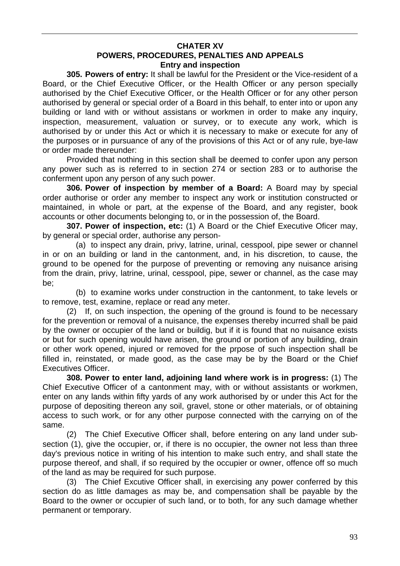### **CHATER XV POWERS, PROCEDURES, PENALTIES AND APPEALS Entry and inspection**

**305. Powers of entry:** It shall be lawful for the President or the Vice-resident of a Board, or the Chief Executive Officer, or the Health Officer or any person specially authorised by the Chief Executive Officer, or the Health Officer or for any other person authorised by general or special order of a Board in this behalf, to enter into or upon any building or land with or without assistans or workmen in order to make any inquiry, inspection, measurement, valuation or survey, or to execute any work, which is authorised by or under this Act or which it is necessary to make or execute for any of the purposes or in pursuance of any of the provisions of this Act or of any rule, bye-law or order made thereunder:

Provided that nothing in this section shall be deemed to confer upon any person any power such as is referred to in section 274 or section 283 or to authorise the conferment upon any person of any such power.

**306. Power of inspection by member of a Board:** A Board may by special order authorise or order any member to inspect any work or institution constructed or maintained, in whole or part, at the expense of the Board, and any register, book accounts or other documents belonging to, or in the possession of, the Board.

**307. Power of inspection, etc:** (1) A Board or the Chief Executive Oficer may, by general or special order, authorise any person-

(a) to inspect any drain, privy, latrine, urinal, cesspool, pipe sewer or channel in or on an building or land in the cantonment, and, in his discretion, to cause, the ground to be opened for the purpose of preventing or removing any nuisance arising from the drain, privy, latrine, urinal, cesspool, pipe, sewer or channel, as the case may be:

(b) to examine works under construction in the cantonment, to take levels or to remove, test, examine, replace or read any meter.

(2) If, on such inspection, the opening of the ground is found to be necessary for the prevention or removal of a nuisance, the expenses thereby incurred shall be paid by the owner or occupier of the land or buildig, but if it is found that no nuisance exists or but for such opening would have arisen, the ground or portion of any building, drain or other work opened, injured or removed for the prpose of such inspection shall be filled in, reinstated, or made good, as the case may be by the Board or the Chief Executives Officer.

**308. Power to enter land, adjoining land where work is in progress:** (1) The Chief Executive Officer of a cantonment may, with or without assistants or workmen, enter on any lands within fifty yards of any work authorised by or under this Act for the purpose of depositing thereon any soil, gravel, stone or other materials, or of obtaining access to such work, or for any other purpose connected with the carrying on of the same.

(2) The Chief Executive Officer shall, before entering on any land under subsection (1), give the occupier, or, if there is no occupier, the owner not less than three day's previous notice in writing of his intention to make such entry, and shall state the purpose thereof, and shall, if so required by the occupier or owner, offence off so much of the land as may be required for such purpose.

(3) The Chief Excutive Officer shall, in exercising any power conferred by this section do as little damages as may be, and compensation shall be payable by the Board to the owner or occupier of such land, or to both, for any such damage whether permanent or temporary.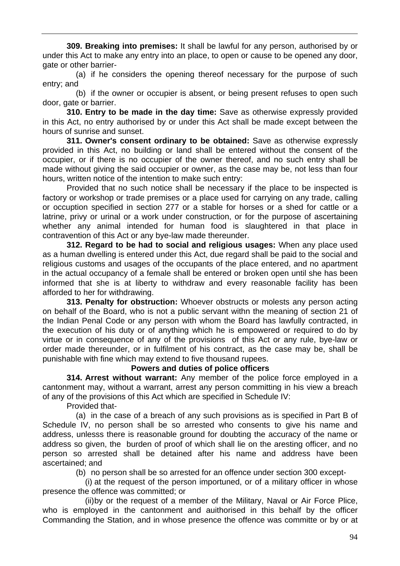**309. Breaking into premises:** It shall be lawful for any person, authorised by or under this Act to make any entry into an place, to open or cause to be opened any door, gate or other barrier-

(a) if he considers the opening thereof necessary for the purpose of such entry; and

(b) if the owner or occupier is absent, or being present refuses to open such door, gate or barrier.

**310. Entry to be made in the day time:** Save as otherwise expressly provided in this Act, no entry authorised by or under this Act shall be made except between the hours of sunrise and sunset.

**311. Owner's consent ordinary to be obtained:** Save as otherwise expressly provided in this Act, no building or land shall be entered without the consent of the occupier, or if there is no occupier of the owner thereof, and no such entry shall be made without giving the said occupier or owner, as the case may be, not less than four hours, written notice of the intention to make such entry:

Provided that no such notice shall be necessary if the place to be inspected is factory or workshop or trade premises or a place used for carrying on any trade, calling or occuption specified in section 277 or a stable for horses or a shed for cattle or a latrine, privy or urinal or a work under construction, or for the purpose of ascertaining whether any animal intended for human food is slaughtered in that place in contravention of this Act or any bye-law made thereunder.

**312. Regard to be had to social and religious usages:** When any place used as a human dwelling is entered under this Act, due regard shall be paid to the social and religious customs and usages of the occupants of the place entered, and no apartment in the actual occupancy of a female shall be entered or broken open until she has been informed that she is at liberty to withdraw and every reasonable facility has been afforded to her for withdrawing.

**313. Penalty for obstruction:** Whoever obstructs or molests any person acting on behalf of the Board, who is not a public servant withn the meaning of section 21 of the Indian Penal Code or any person with whom the Board has lawfully contracted, in the execution of his duty or of anything which he is empowered or required to do by virtue or in consequence of any of the provisions of this Act or any rule, bye-law or order made thereunder, or in fulfilment of his contract, as the case may be, shall be punishable with fine which may extend to five thousand rupees.

### **Powers and duties of police officers**

**314. Arrest without warrant:** Any member of the police force employed in a cantonment may, without a warrant, arrest any person committing in his view a breach of any of the provisions of this Act which are specified in Schedule IV:

Provided that-

(a) in the case of a breach of any such provisions as is specified in Part B of Schedule IV, no person shall be so arrested who consents to give his name and address, unlesss there is reasonable ground for doubting the accuracy of the name or address so given, the burden of proof of which shall lie on the aresting officer, and no person so arrested shall be detained after his name and address have been ascertained; and

(b) no person shall be so arrested for an offence under section 300 except-

(i) at the request of the person importuned, or of a military officer in whose presence the offence was committed; or

(ii) by or the request of a member of the Military, Naval or Air Force Plice, who is employed in the cantonment and auithorised in this behalf by the officer Commanding the Station, and in whose presence the offence was committe or by or at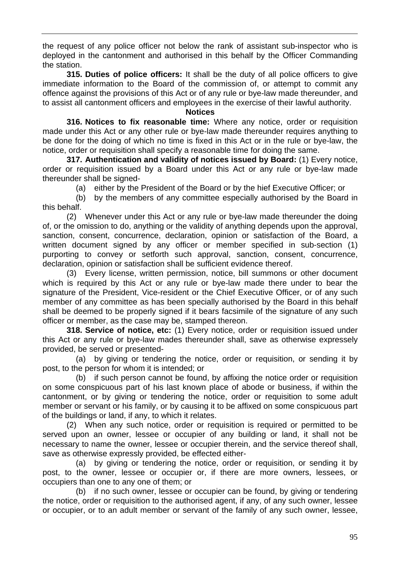the request of any police officer not below the rank of assistant sub-inspector who is deployed in the cantonment and authorised in this behalf by the Officer Commanding the station.

**315. Duties of police officers:** It shall be the duty of all police officers to give immediate information to the Board of the commission of, or attempt to commit any offence against the provisions of this Act or of any rule or bye-law made thereunder, and to assist all cantonment officers and employees in the exercise of their lawful authority.

#### **Notices**

**316. Notices to fix reasonable time:** Where any notice, order or requisition made under this Act or any other rule or bye-law made thereunder requires anything to be done for the doing of which no time is fixed in this Act or in the rule or bye-law, the notice, order or requisition shall specify a reasonable time for doing the same.

**317. Authentication and validity of notices issued by Board:** (1) Every notice, order or requisition issued by a Board under this Act or any rule or bye-law made thereunder shall be signed-

(a) either by the President of the Board or by the hief Executive Officer; or

(b) by the members of any committee especially authorised by the Board in this behalf.

(2) Whenever under this Act or any rule or bye-law made thereunder the doing of, or the omission to do, anything or the validity of anything depends upon the approval, sanction, consent, concurrence, declaration, opinion or satisfaction of the Board, a written document signed by any officer or member specified in sub-section (1) purporting to convey or setforth such approval, sanction, consent, concurrence, declaration, opinion or satisfaction shall be sufficient evidence thereof.

(3) Every license, written permission, notice, bill summons or other document which is required by this Act or any rule or bye-law made there under to bear the signature of the President, Vice-resident or the Chief Executive Officer, or of any such member of any committee as has been specially authorised by the Board in this behalf shall be deemed to be properly signed if it bears facsimile of the signature of any such officer or member, as the case may be, stamped thereon.

**318. Service of notice, etc:** (1) Every notice, order or requisition issued under this Act or any rule or bye-law mades thereunder shall, save as otherwise expressely provided, be served or presented-

(a) by giving or tendering the notice, order or requisition, or sending it by post, to the person for whom it is intended; or

(b) if such person cannot be found, by affixing the notice order or requisition on some conspicuous part of his last known place of abode or business, if within the cantonment, or by giving or tendering the notice, order or requisition to some adult member or servant or his family, or by causing it to be affixed on some conspicuous part of the buildings or land, if any, to which it relates.

(2) When any such notice, order or requisition is required or permitted to be served upon an owner, lessee or occupier of any building or land, it shall not be necessary to name the owner, lessee or occupier therein, and the service thereof shall, save as otherwise expressly provided, be effected either-

(a) by giving or tendering the notice, order or requisition, or sending it by post, to the owner, lessee or occupier or, if there are more owners, lessees, or occupiers than one to any one of them; or

(b) if no such owner, lessee or occupier can be found, by giving or tendering the notice, order or requisition to the authorised agent, if any, of any such owner, lessee or occupier, or to an adult member or servant of the family of any such owner, lessee,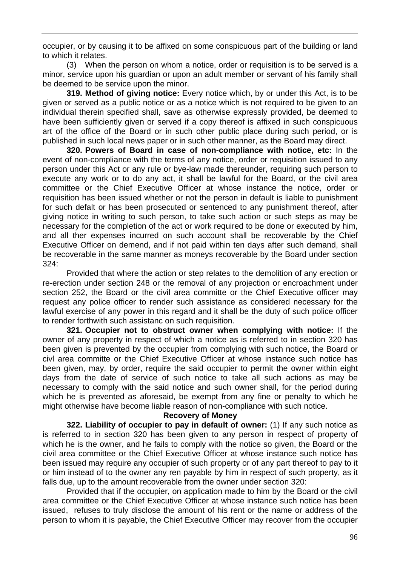occupier, or by causing it to be affixed on some conspicuous part of the building or land to which it relates.

(3) When the person on whom a notice, order or requisition is to be served is a minor, service upon his guardian or upon an adult member or servant of his family shall be deemed to be service upon the minor.

**319. Method of giving notice:** Every notice which, by or under this Act, is to be given or served as a public notice or as a notice which is not required to be given to an individual therein specified shall, save as otherwise expressly provided, be deemed to have been sufficiently given or served if a copy thereof is affixed in such conspicuous art of the office of the Board or in such other public place during such period, or is published in such local news paper or in such other manner, as the Board may direct.

**320. Powers of Board in case of non-compliance with notice, etc:** In the event of non-compliance with the terms of any notice, order or requisition issued to any person under this Act or any rule or bye-law made thereunder, requiring such person to execute any work or to do any act, it shall be lawful for the Board, or the civil area committee or the Chief Executive Officer at whose instance the notice, order or requisition has been issued whether or not the person in default is liable to punishment for such defalt or has been prosecuted or sentenced to any punishment thereof, after giving notice in writing to such person, to take such action or such steps as may be necessary for the completion of the act or work required to be done or executed by him, and all ther expenses incurred on such account shall be recoverable by the Chief Executive Officer on demend, and if not paid within ten days after such demand, shall be recoverable in the same manner as moneys recoverable by the Board under section 324:

Provided that where the action or step relates to the demolition of any erection or re-erection under section 248 or the removal of any projection or encroachment under section 252, the Board or the civil area committe or the Chief Executive officer may request any police officer to render such assistance as considered necessary for the lawful exercise of any power in this regard and it shall be the duty of such police officer to render forthwith such assistanc on such requisition.

**321. Occupier not to obstruct owner when complying with notice:** If the owner of any property in respect of which a notice as is referred to in section 320 has been given is prevented by the occupier from complying with such notice, the Board or civl area committe or the Chief Executive Officer at whose instance such notice has been given, may, by order, require the said occupier to permit the owner within eight days from the date of service of such notice to take all such actions as may be necessary to comply with the said notice and such owner shall, for the period during which he is prevented as aforesaid, be exempt from any fine or penalty to which he might otherwise have become liable reason of non-compliance with such notice.

#### **Recovery of Money**

**322. Liability of occupier to pay in default of owner:** (1) If any such notice as is referred to in section 320 has been given to any person in respect of property of which he is the owner, and he fails to comply with the notice so given, the Board or the civil area committee or the Chief Executive Officer at whose instance such notice has been issued may require any occupier of such property or of any part thereof to pay to it or him instead of to the owner any ren payable by him in respect of such property, as it falls due, up to the amount recoverable from the owner under section 320:

Provided that if the occupier, on application made to him by the Board or the civil area committee or the Chief Executive Officer at whose instance such notice has been issued, refuses to truly disclose the amount of his rent or the name or address of the person to whom it is payable, the Chief Executive Officer may recover from the occupier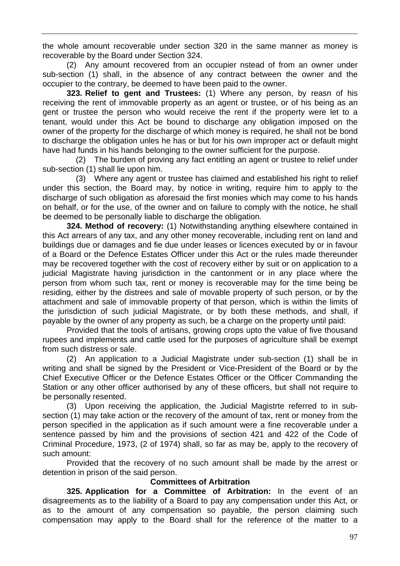the whole amount recoverable under section 320 in the same manner as money is recoverable by the Board under Section 324.

(2) Any amount recovered from an occupier nstead of from an owner under sub-section (1) shall, in the absence of any contract between the owner and the occupier to the contrary, be deemed to have been paid to the owner.

**323. Relief to gent and Trustees:** (1) Where any person, by reasn of his receiving the rent of immovable property as an agent or trustee, or of his being as an gent or trustee the person who would receive the rent if the property were let to a tenant, would under this Act be bound to discharge any obligation imposed on the owner of the property for the discharge of which money is required, he shall not be bond to discharge the obligation unles he has or but for his own improper act or default might have had funds in his hands belonging to the owner sufficient for the purpose.

(2) The burden of proving any fact entitling an agent or trustee to relief under sub-section (1) shall lie upon him.

(3) Where any agent or trustee has claimed and established his right to relief under this section, the Board may, by notice in writing, require him to apply to the discharge of such obligation as aforesaid the first monies which may come to his hands on behalf, or for the use, of the owner and on failure to comply with the notice, he shall be deemed to be personally liable to discharge the obligation.

**324. Method of recovery:** (1) Notwithstanding anything elsewhere contained in this Act arrears of any tax, and any other money recoverable, including rent on land and buildings due or damages and fie due under leases or licences executed by or in favour of a Board or the Defence Estates Officer under this Act or the rules made thereunder may be recovered together with the cost of recovery either by suit or on application to a judicial Magistrate having jurisdiction in the cantonment or in any place where the person from whom such tax, rent or money is recoverable may for the time being be residing, either by the distrees and sale of movable property of such person, or by the attachment and sale of immovable property of that person, which is within the limits of the jurisdiction of such judicial Magistrate, or by both these methods, and shall, if payable by the owner of any property as such, be a charge on the property until paid:

Provided that the tools of artisans, growing crops upto the value of five thousand rupees and implements and cattle used for the purposes of agriculture shall be exempt from such distress or sale.

(2) An application to a Judicial Magistrate under sub-section (1) shall be in writing and shall be signed by the President or Vice-President of the Board or by the Chief Executive Officer or the Defence Estates Officer or the Officer Commanding the Station or any other officer authorised by any of these officers, but shall not require to be personally resented.

(3) Upon receiving the application, the Judicial Magistrte referred to in subsection (1) may take action or the recovery of the amount of tax, rent or money from the person specified in the application as if such amount were a fine recoverable under a sentence passed by him and the provisions of section 421 and 422 of the Code of Criminal Procedure, 1973, (2 of 1974) shall, so far as may be, apply to the recovery of such amount:

Provided that the recovery of no such amount shall be made by the arrest or detention in prison of the said person.

## **Committees of Arbitration**

**325. Application for a Committee of Arbitration:** In the event of an disagreements as to the liability of a Board to pay any compensation under this Act, or as to the amount of any compensation so payable, the person claiming such compensation may apply to the Board shall for the reference of the matter to a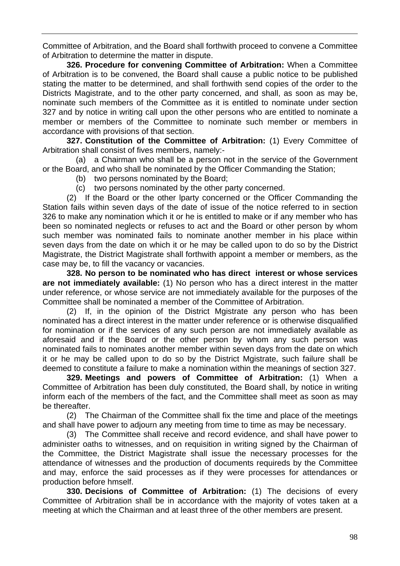Committee of Arbitration, and the Board shall forthwith proceed to convene a Committee of Arbitration to determine the matter in dispute.

**326. Procedure for convening Committee of Arbitration:** When a Committee of Arbitration is to be convened, the Board shall cause a public notice to be published stating the matter to be determined, and shall forthwith send copies of the order to the Districts Magistrate, and to the other party concerned, and shall, as soon as may be, nominate such members of the Committee as it is entitled to nominate under section 327 and by notice in writing call upon the other persons who are entitled to nominate a member or members of the Committee to nominate such member or members in accordance with provisions of that section.

**327. Constitution of the Committee of Arbitration:** (1) Every Committee of Arbitration shall consist of fives members, namely:-

(a) a Chairman who shall be a person not in the service of the Government or the Board, and who shall be nominated by the Officer Commanding the Station;

- (b) two persons nominated by the Board;
- (c) two persons nominated by the other party concerned.

(2) If the Board or the other lparty concerned or the Officer Commanding the Station fails within seven days of the date of issue of the notice referred to in section 326 to make any nomination which it or he is entitled to make or if any member who has been so nominated neglects or refuses to act and the Board or other person by whom such member was nominated fails to nominate another member in his place within seven days from the date on which it or he may be called upon to do so by the District Magistrate, the District Magistrate shall forthwith appoint a member or members, as the case may be, to fill the vacancy or vacancies.

**328. No person to be nominated who has direct interest or whose services are not immediately available:** (1) No person who has a direct interest in the matter under reference, or whose service are not immediately available for the purposes of the Committee shall be nominated a member of the Committee of Arbitration.

(2) If, in the opinion of the District Mgistrate any person who has been nominated has a direct interest in the matter under reference or is otherwise disqualified for nomination or if the services of any such person are not immediately available as aforesaid and if the Board or the other person by whom any such person was nominated fails to nominates another member within seven days from the date on which it or he may be called upon to do so by the District Mgistrate, such failure shall be deemed to constitute a failure to make a nomination within the meanings of section 327.

**329. Meetings and powers of Committee of Arbitration:** (1) When a Committee of Arbitration has been duly constituted, the Board shall, by notice in writing inform each of the members of the fact, and the Committee shall meet as soon as may be thereafter.

(2) The Chairman of the Committee shall fix the time and place of the meetings and shall have power to adjourn any meeting from time to time as may be necessary.

(3) The Committee shall receive and record evidence, and shall have power to administer oaths to witnesses, and on requisition in writing signed by the Chairman of the Committee, the District Magistrate shall issue the necessary processes for the attendance of witnesses and the production of documents requireds by the Committee and may, enforce the said processes as if they were processes for attendances or production before hmself.

**330. Decisions of Committee of Arbitration:** (1) The decisions of every Committee of Arbitration shall be in accordance with the majority of votes taken at a meeting at which the Chairman and at least three of the other members are present.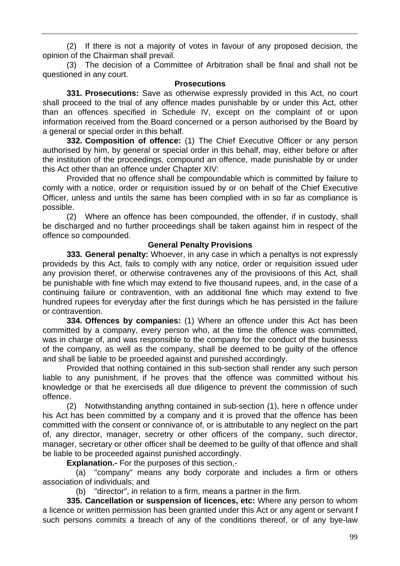(2) If there is not a majority of votes in favour of any proposed decision, the opinion of the Chairman shall prevail.

(3) The decision of a Committee of Arbitration shall be final and shall not be questioned in any court.

#### **Prosecutions**

**331. Prosecutions:** Save as otherwise expressly provided in this Act, no court shall proceed to the trial of any offence mades punishable by or under this Act, other than an offences specified in Schedule IV, except on the complaint of or upon information received from the Board concerned or a person authorised by the Board by a general or special order in this behalf.

**332. Composition of offence:** (1) The Chief Executive Officer or any person authorised by him, by general or special order in this behalf, may, either before or after the institution of the proceedings, compound an offence, made punishable by or under this Act other than an offence under Chapter XIV:

Provided that no offence shall be compoundable which is committed by failure to comly with a notice, order or requisition issued by or on behalf of the Chief Executive Officer, unless and untils the same has been complied with in so far as compliance is possible.

(2) Where an offence has been compounded, the offender, if in custody, shall be discharged and no further proceedings shall be taken against him in respect of the offence so compounded.

### **General Penalty Provisions**

**333. General penalty:** Whoever, in any case in which a penaltys is not expressly provideds by this Act, fails to comply with any notice, order or requisition issued uder any provision theref, or otherwise contravenes any of the provisioons of this Act, shall be punishable with fine which may extend to five thousand rupees, and, in the case of a continuing failure or contravention, with an additional fine which may extend to five hundred rupees for everyday after the first durings which he has persisted in the failure or contravention.

**334. Offences by companies:** (1) Where an offence under this Act has been committed by a company, every person who, at the time the offence was committed, was in charge of, and was responsible to the company for the conduct of the businesss of the company, as well as the company, shall be deemed to be guilty of the offence and shall be liable to be proeeded against and punished accordingly.

Provided that nothing contained in this sub-section shall render any such person liable to any punishment, if he proves that the offence was committed without his knowledge or that he exerciseds all due diligence to prevent the commission of such offence.

(2) Notwithstanding anythng contained in sub-section (1), here n offence under his Act has been committed by a company and it is proved that the offence has been committed with the consent or connivance of, or is attributable to any neglect on the part of, any director, manager, secretry or other officers of the company, such director, manager, secretary or other officer shall be deemed to be guilty of that offence and shall be liable to be proceeded against punished accordingly.

**Explanation.-** For the purposes of this section,-

(a) "company" means any body corporate and includes a firm or others association of individuals; and

(b) "director", in relation to a firm, means a partner in the firm.

**335. Cancellation or suspension of licences, etc:** Where any person to whom a licence or written permission has been granted under this Act or any agent or servant f such persons commits a breach of any of the conditions thereof, or of any bye-law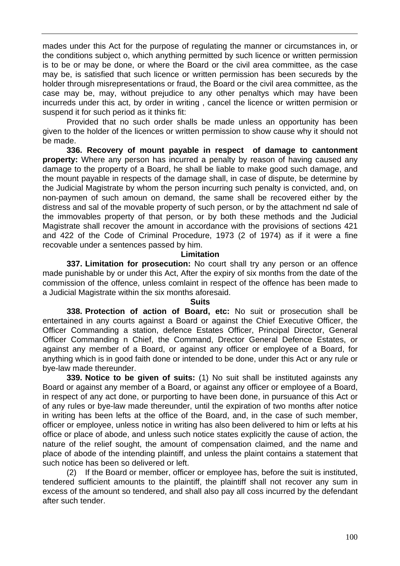mades under this Act for the purpose of regulating the manner or circumstances in, or the conditions subject o, which anything permitted by such licence or written permission is to be or may be done, or where the Board or the civil area committee, as the case may be, is satisfied that such licence or written permission has been secureds by the holder through misrepresentations or fraud, the Board or the civil area committee, as the case may be, may, without prejudice to any other penaltys which may have been incurreds under this act, by order in writing , cancel the licence or written permision or suspend it for such period as it thinks fit:

Provided that no such order shalls be made unless an opportunity has been given to the holder of the licences or written permission to show cause why it should not be made.

**336. Recovery of mount payable in respect of damage to cantonment property:** Where any person has incurred a penalty by reason of having caused any damage to the property of a Board, he shall be liable to make good such damage, and the mount payable in respects of the damage shall, in case of dispute, be determine by the Judicial Magistrate by whom the person incurring such penalty is convicted, and, on non-paymen of such amoun on demand, the same shall be recovered either by the distress and sal of the movable property of such person, or by the attachment nd sale of the immovables property of that person, or by both these methods and the Judicial Magistrate shall recover the amount in accordance with the provisions of sections 421 and 422 of the Code of Criminal Procedure, 1973 (2 of 1974) as if it were a fine recovable under a sentences passed by him.

#### **Limitation**

**337. Limitation for prosecution:** No court shall try any person or an offence made punishable by or under this Act, After the expiry of six months from the date of the commission of the offence, unless comlaint in respect of the offence has been made to a Judicial Magistrate within the six months aforesaid.

#### **Suits**

**338. Protection of action of Board, etc:** No suit or prosecution shall be entertained in any courts against a Board or against the Chief Executive Officer, the Officer Commanding a station, defence Estates Officer, Principal Director, General Officer Commanding n Chief, the Command, Drector General Defence Estates, or against any member of a Board, or against any officer or employee of a Board, for anything which is in good faith done or intended to be done, under this Act or any rule or bye-law made thereunder.

**339. Notice to be given of suits:** (1) No suit shall be instituted againsts any Board or against any member of a Board, or against any officer or employee of a Board, in respect of any act done, or purporting to have been done, in pursuance of this Act or of any rules or bye-law made thereunder, until the expiration of two months after notice in writing has been lefts at the office of the Board, and, in the case of such member, officer or employee, unless notice in writing has also been delivered to him or lefts at his office or place of abode, and unless such notice states explicitly the cause of action, the nature of the relief sought, the amount of compensation claimed, and the name and place of abode of the intending plaintiff, and unless the plaint contains a statement that such notice has been so delivered or left.

(2) If the Board or member, officer or employee has, before the suit is instituted, tendered sufficient amounts to the plaintiff, the plaintiff shall not recover any sum in excess of the amount so tendered, and shall also pay all coss incurred by the defendant after such tender.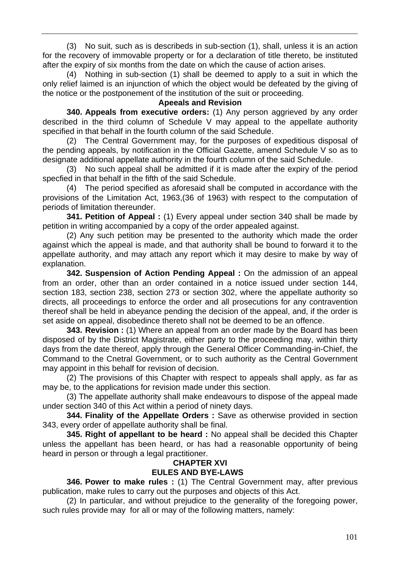(3) No suit, such as is describeds in sub-section (1), shall, unless it is an action for the recovery of immovable property or for a declaration of title thereto, be instituted after the expiry of six months from the date on which the cause of action arises.

(4) Nothing in sub-section (1) shall be deemed to apply to a suit in which the only relief laimed is an injunction of which the object would be defeated by the giving of the notice or the postponement of the institution of the suit or proceeding.

## **Apeeals and Revision**

**340. Appeals from executive orders:** (1) Any person aggrieved by any order described in the third column of Schedule V may appeal to the appellate authority specified in that behalf in the fourth column of the said Schedule.

(2) The Central Government may, for the purposes of expeditious disposal of the pending appeals, by notification in the Official Gazette, amend Schedule V so as to designate additional appellate authority in the fourth column of the said Schedule.

(3) No such appeal shall be admitted if it is made after the expiry of the period specfied in that behalf in the fifth of the said Schedule.

(4) The period specified as aforesaid shall be computed in accordance with the provisions of the Limitation Act, 1963,(36 of 1963) with respect to the computation of periods of limitation thereunder.

**341. Petition of Appeal :** (1) Every appeal under section 340 shall be made by petition in writing accompanied by a copy of the order appealed against.

(2) Any such petition may be presented to the authority which made the order against which the appeal is made, and that authority shall be bound to forward it to the appellate authority, and may attach any report which it may desire to make by way of explanation.

**342. Suspension of Action Pending Appeal :** On the admission of an appeal from an order, other than an order contained in a notice issued under section 144, section 183, section 238, section 273 or section 302, where the appellate authority so directs, all proceedings to enforce the order and all prosecutions for any contravention thereof shall be held in abeyance pending the decision of the appeal, and, if the order is set aside on appeal, disobedince thereto shall not be deemed to be an offence.

**343. Revision :** (1) Where an appeal from an order made by the Board has been disposed of by the District Magistrate, either party to the proceeding may, within thirty days from the date thereof, apply through the General Officer Commanding-in-Chief, the Command to the Cnetral Government, or to such authority as the Central Government may appoint in this behalf for revision of decision.

(2) The provisions of this Chapter with respect to appeals shall apply, as far as may be, to the applications for revision made under this section.

(3) The appellate authority shall make endeavours to dispose of the appeal made under section 340 of this Act within a period of ninety days.

**344. Finality of the Appellate Orders :** Save as otherwise provided in section 343, every order of appellate authority shall be final.

**345. Right of appellant to be heard :** No appeal shall be decided this Chapter unless the appellant has been heard, or has had a reasonable opportunity of being heard in person or through a legal practitioner.

## **CHAPTER XVI EULES AND BYE-LAWS**

**346. Power to make rules :** (1) The Central Government may, after previous publication, make rules to carry out the purposes and objects of this Act.

(2) In particular, and without prejudice to the generality of the foregoing power, such rules provide may for all or may of the following matters, namely: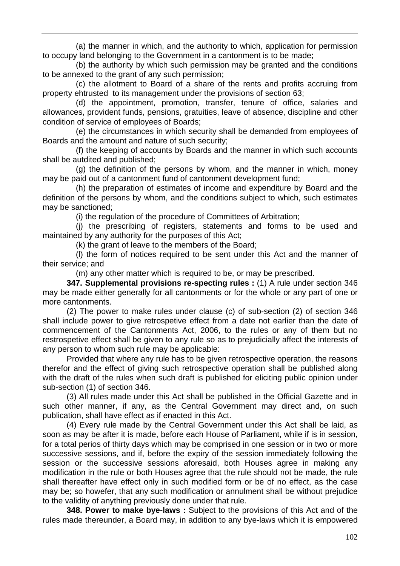(a) the manner in which, and the authority to which, application for permission to occupy land belonging to the Government in a cantonment is to be made;

(b) the authority by which such permission may be granted and the conditions to be annexed to the grant of any such permission;

(c) the allotment to Board of a share of the rents and profits accruing from property ehtrusted to its management under the provisions of section 63;

(d) the appointment, promotion, transfer, tenure of office, salaries and allowances, provident funds, pensions, gratuities, leave of absence, discipline and other condition of service of employees of Boards;

(e) the circumstances in which security shall be demanded from employees of Boards and the amount and nature of such security;

(f) the keeping of accounts by Boards and the manner in which such accounts shall be autdited and published;

(g) the definition of the persons by whom, and the manner in which, money may be paid out of a cantonment fund of cantonment development fund;

(h) the preparation of estimates of income and expenditure by Board and the definition of the persons by whom, and the conditions subject to which, such estimates may be sanctioned;

(i) the regulation of the procedure of Committees of Arbitration;

(j) the prescribing of registers, statements and forms to be used and maintained by any authority for the purposes of this Act;

(k) the grant of leave to the members of the Board;

(l) the form of notices required to be sent under this Act and the manner of their service; and

(m) any other matter which is required to be, or may be prescribed.

**347. Supplemental provisions re-specting rules :** (1) A rule under section 346 may be made either generally for all cantonments or for the whole or any part of one or more cantonments.

(2) The power to make rules under clause (c) of sub-section (2) of section 346 shall include power to give retrospetive effect from a date not earlier than the date of commencement of the Cantonments Act, 2006, to the rules or any of them but no restrospetive effect shall be given to any rule so as to prejudicially affect the interests of any person to whom such rule may be applicable:

Provided that where any rule has to be given retrospective operation, the reasons therefor and the effect of giving such retrospective operation shall be published along with the draft of the rules when such draft is published for eliciting public opinion under sub-section (1) of section 346.

(3) All rules made under this Act shall be published in the Official Gazette and in such other manner, if any, as the Central Government may direct and, on such publication, shall have effect as if enacted in this Act.

(4) Every rule made by the Central Government under this Act shall be laid, as soon as may be after it is made, before each House of Parliament, while if is in session, for a total perios of thirty days which may be comprised in one session or in two or more successive sessions, and if, before the expiry of the session immediately following the session or the successive sessions aforesaid, both Houses agree in making any modification in the rule or both Houses agree that the rule should not be made, the rule shall thereafter have effect only in such modified form or be of no effect, as the case may be; so howefer, that any such modification or annulment shall be without prejudice to the validity of anything previously done under that rule.

**348. Power to make bye-laws :** Subject to the provisions of this Act and of the rules made thereunder, a Board may, in addition to any bye-laws which it is empowered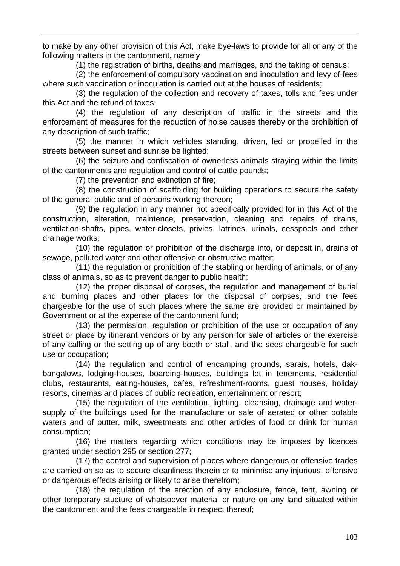to make by any other provision of this Act, make bye-laws to provide for all or any of the following matters in the cantonment, namely

(1) the registration of births, deaths and marriages, and the taking of census;

(2) the enforcement of compulsory vaccination and inoculation and levy of fees where such vaccination or inoculation is carried out at the houses of residents;

(3) the regulation of the collection and recovery of taxes, tolls and fees under this Act and the refund of taxes;

(4) the regulation of any description of traffic in the streets and the enforcement of measures for the reduction of noise causes thereby or the prohibition of any description of such traffic;

(5) the manner in which vehicles standing, driven, led or propelled in the streets between sunset and sunrise be lighted;

(6) the seizure and confiscation of ownerless animals straying within the limits of the cantonments and regulation and control of cattle pounds;

(7) the prevention and extinction of fire;

(8) the construction of scaffolding for building operations to secure the safety of the general public and of persons working thereon;

(9) the regulation in any manner not specifically provided for in this Act of the construction, alteration, maintence, preservation, cleaning and repairs of drains, ventilation-shafts, pipes, water-closets, privies, latrines, urinals, cesspools and other drainage works;

(10) the regulation or prohibition of the discharge into, or deposit in, drains of sewage, polluted water and other offensive or obstructive matter;

(11) the regulation or prohibition of the stabling or herding of animals, or of any class of animals, so as to prevent danger to public health;

(12) the proper disposal of corpses, the regulation and management of burial and burning places and other places for the disposal of corpses, and the fees chargeable for the use of such places where the same are provided or maintained by Government or at the expense of the cantonment fund;

(13) the permission, regulation or prohibition of the use or occupation of any street or place by itinerant vendors or by any person for sale of articles or the exercise of any calling or the setting up of any booth or stall, and the sees chargeable for such use or occupation;

(14) the regulation and control of encamping grounds, sarais, hotels, dakbangalows, lodging-houses, boarding-houses, buildings let in tenements, residential clubs, restaurants, eating-houses, cafes, refreshment-rooms, guest houses, holiday resorts, cinemas and places of public recreation, entertainment or resort;

(15) the regulation of the ventilation, lighting, cleansing, drainage and watersupply of the buildings used for the manufacture or sale of aerated or other potable waters and of butter, milk, sweetmeats and other articles of food or drink for human consumption;

(16) the matters regarding which conditions may be imposes by licences granted under section 295 or section 277;

(17) the control and supervision of places where dangerous or offensive trades are carried on so as to secure cleanliness therein or to minimise any injurious, offensive or dangerous effects arising or likely to arise therefrom;

(18) the regulation of the erection of any enclosure, fence, tent, awning or other temporary stucture of whatsoever material or nature on any land situated within the cantonment and the fees chargeable in respect thereof;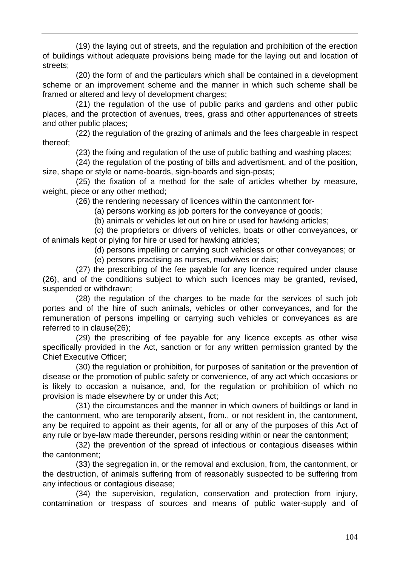(19) the laying out of streets, and the regulation and prohibition of the erection of buildings without adequate provisions being made for the laying out and location of streets;

(20) the form of and the particulars which shall be contained in a development scheme or an improvement scheme and the manner in which such scheme shall be framed or altered and levy of development charges;

(21) the regulation of the use of public parks and gardens and other public places, and the protection of avenues, trees, grass and other appurtenances of streets and other public places;

(22) the regulation of the grazing of animals and the fees chargeable in respect thereof;

(23) the fixing and regulation of the use of public bathing and washing places;

(24) the regulation of the posting of bills and advertisment, and of the position, size, shape or style or name-boards, sign-boards and sign-posts;

(25) the fixation of a method for the sale of articles whether by measure, weight, piece or any other method;

(26) the rendering necessary of licences within the cantonment for-

(a) persons working as job porters for the conveyance of goods;

(b) animals or vehicles let out on hire or used for hawking articles;

 (c) the proprietors or drivers of vehicles, boats or other conveyances, or of animals kept or plying for hire or used for hawking atricles;

(d) persons impelling or carrying such vehicless or other conveyances; or

(e) persons practising as nurses, mudwives or dais;

(27) the prescribing of the fee payable for any licence required under clause (26), and of the conditions subject to which such licences may be granted, revised, suspended or withdrawn;

(28) the regulation of the charges to be made for the services of such job portes and of the hire of such animals, vehicles or other conveyances, and for the remuneration of persons impelling or carrying such vehicles or conveyances as are referred to in clause(26);

(29) the prescribing of fee payable for any licence excepts as other wise specifically provided in the Act, sanction or for any written permission granted by the Chief Executive Officer;

(30) the regulation or prohibition, for purposes of sanitation or the prevention of disease or the promotion of public safety or convenience, of any act which occasions or is likely to occasion a nuisance, and, for the regulation or prohibition of which no provision is made elsewhere by or under this Act;

(31) the circumstances and the manner in which owners of buildings or land in the cantonment, who are temporarily absent, from., or not resident in, the cantonment, any be required to appoint as their agents, for all or any of the purposes of this Act of any rule or bye-law made thereunder, persons residing within or near the cantonment;

(32) the prevention of the spread of infectious or contagious diseases within the cantonment;

(33) the segregation in, or the removal and exclusion, from, the cantonment, or the destruction, of animals suffering from of reasonably suspected to be suffering from any infectious or contagious disease;

(34) the supervision, regulation, conservation and protection from injury, contamination or trespass of sources and means of public water-supply and of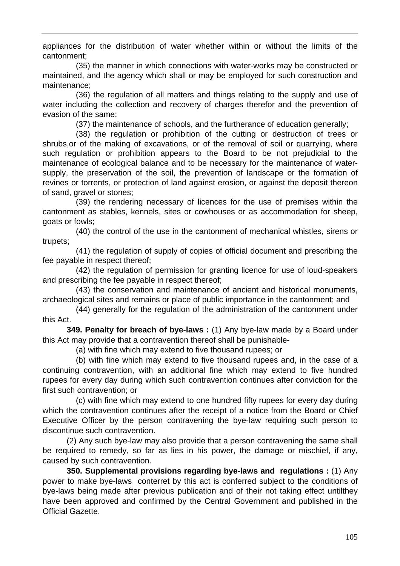appliances for the distribution of water whether within or without the limits of the cantonment;

(35) the manner in which connections with water-works may be constructed or maintained, and the agency which shall or may be employed for such construction and maintenance;

(36) the regulation of all matters and things relating to the supply and use of water including the collection and recovery of charges therefor and the prevention of evasion of the same;

(37) the maintenance of schools, and the furtherance of education generally;

(38) the regulation or prohibition of the cutting or destruction of trees or shrubs,or of the making of excavations, or of the removal of soil or quarrying, where such regulation or prohibition appears to the Board to be not prejudicial to the maintenance of ecological balance and to be necessary for the maintenance of watersupply, the preservation of the soil, the prevention of landscape or the formation of revines or torrents, or protection of land against erosion, or against the deposit thereon of sand, gravel or stones;

(39) the rendering necessary of licences for the use of premises within the cantonment as stables, kennels, sites or cowhouses or as accommodation for sheep, goats or fowls;

(40) the control of the use in the cantonment of mechanical whistles, sirens or trupets;

(41) the regulation of supply of copies of official document and prescribing the fee payable in respect thereof;

(42) the regulation of permission for granting licence for use of loud-speakers and prescribing the fee payable in respect thereof;

(43) the conservation and maintenance of ancient and historical monuments, archaeological sites and remains or place of public importance in the cantonment; and

(44) generally for the regulation of the administration of the cantonment under this Act.

**349. Penalty for breach of bye-laws :** (1) Any bye-law made by a Board under this Act may provide that a contravention thereof shall be punishable-

(a) with fine which may extend to five thousand rupees; or

(b) with fine which may extend to five thousand rupees and, in the case of a continuing contravention, with an additional fine which may extend to five hundred rupees for every day during which such contravention continues after conviction for the first such contravention; or

(c) with fine which may extend to one hundred fifty rupees for every day during which the contravention continues after the receipt of a notice from the Board or Chief Executive Officer by the person contravening the bye-law requiring such person to discontinue such contravention.

(2) Any such bye-law may also provide that a person contravening the same shall be required to remedy, so far as lies in his power, the damage or mischief, if any, caused by such contravention.

**350. Supplemental provisions regarding bye-laws and regulations :** (1) Any power to make bye-laws conterret by this act is conferred subject to the conditions of bye-laws being made after previous publication and of their not taking effect untilthey have been approved and confirmed by the Central Government and published in the Official Gazette.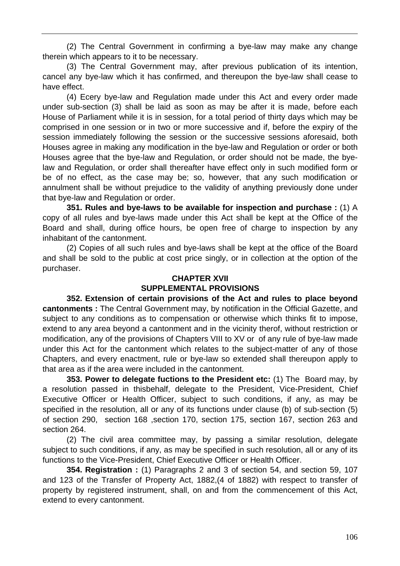(2) The Central Government in confirming a bye-law may make any change therein which appears to it to be necessary.

(3) The Central Government may, after previous publication of its intention, cancel any bye-law which it has confirmed, and thereupon the bye-law shall cease to have effect.

(4) Ecery bye-law and Regulation made under this Act and every order made under sub-section (3) shall be laid as soon as may be after it is made, before each House of Parliament while it is in session, for a total period of thirty days which may be comprised in one session or in two or more successive and if, before the expiry of the session immediately following the session or the successive sessions aforesaid, both Houses agree in making any modification in the bye-law and Regulation or order or both Houses agree that the bye-law and Regulation, or order should not be made, the byelaw and Regulation, or order shall thereafter have effect only in such modified form or be of no effect, as the case may be; so, however, that any such modification or annulment shall be without prejudice to the validity of anything previously done under that bye-law and Regulation or order.

**351. Rules and bye-laws to be available for inspection and purchase :** (1) A copy of all rules and bye-laws made under this Act shall be kept at the Office of the Board and shall, during office hours, be open free of charge to inspection by any inhabitant of the cantonment.

(2) Copies of all such rules and bye-laws shall be kept at the office of the Board and shall be sold to the public at cost price singly, or in collection at the option of the purchaser.

## **CHAPTER XVII SUPPLEMENTAL PROVISIONS**

**352. Extension of certain provisions of the Act and rules to place beyond cantonments :** The Central Government may, by notification in the Official Gazette, and subject to any conditions as to compensation or otherwise which thinks fit to impose, extend to any area beyond a cantonment and in the vicinity therof, without restriction or modification, any of the provisions of Chapters VIII to XV or of any rule of bye-law made under this Act for the cantonment which relates to the subject-matter of any of those Chapters, and every enactment, rule or bye-law so extended shall thereupon apply to that area as if the area were included in the cantonment.

**353. Power to delegate fuctions to the President etc:** (1) The Board may, by a resolution passed in thisbehalf, delegate to the President, Vice-President, Chief Executive Officer or Health Officer, subject to such conditions, if any, as may be specified in the resolution, all or any of its functions under clause (b) of sub-section (5) of section 290, section 168 ,section 170, section 175, section 167, section 263 and section 264.

(2) The civil area committee may, by passing a similar resolution, delegate subject to such conditions, if any, as may be specified in such resolution, all or any of its functions to the Vice-President, Chief Executive Officer or Health Officer.

**354. Registration :** (1) Paragraphs 2 and 3 of section 54, and section 59, 107 and 123 of the Transfer of Property Act, 1882,(4 of 1882) with respect to transfer of property by registered instrument, shall, on and from the commencement of this Act, extend to every cantonment.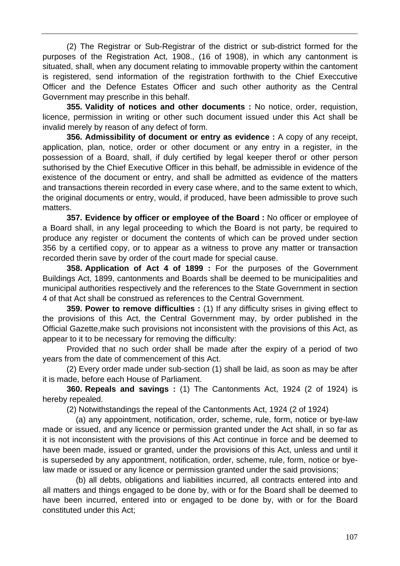(2) The Registrar or Sub-Registrar of the district or sub-district formed for the purposes of the Registration Act, 1908., (16 of 1908), in which any cantonment is situated, shall, when any document relating to immovable property within the cantoment is registered, send information of the registration forthwith to the Chief Execcutive Officer and the Defence Estates Officer and such other authority as the Central Government may prescribe in this behalf.

**355. Validity of notices and other documents :** No notice, order, requistion, licence, permission in writing or other such document issued under this Act shall be invalid merely by reason of any defect of form.

**356. Admissibility of document or entry as evidence :** A copy of any receipt, application, plan, notice, order or other document or any entry in a register, in the possession of a Board, shall, if duly certified by legal keeper therof or other person suthorised by the Chief Executive Officer in this behalf, be admissible in evidence of the existence of the document or entry, and shall be admitted as evidence of the matters and transactions therein recorded in every case where, and to the same extent to which, the original documents or entry, would, if produced, have been admissible to prove such matters.

**357. Evidence by officer or employee of the Board :** No officer or employee of a Board shall, in any legal proceeding to which the Board is not party, be required to produce any register or document the contents of which can be proved under section 356 by a certified copy, or to appear as a witness to prove any matter or transaction recorded therin save by order of the court made for special cause.

**358. Application of Act 4 of 1899 :** For the purposes of the Government Buildings Act, 1899, cantonments and Boards shall be deemed to be municipalities and municipal authorities respectively and the references to the State Government in section 4 of that Act shall be construed as references to the Central Government.

**359. Power to remove difficulties :** (1) If any difficulty srises in giving effect to the provisions of this Act, the Central Government may, by order published in the Official Gazette,make such provisions not inconsistent with the provisions of this Act, as appear to it to be necessary for removing the difficulty:

Provided that no such order shall be made after the expiry of a period of two years from the date of commencement of this Act.

(2) Every order made under sub-section (1) shall be laid, as soon as may be after it is made, before each House of Parliament.

**360. Repeals and savings :** (1) The Cantonments Act, 1924 (2 of 1924) is hereby repealed.

(2) Notwithstandings the repeal of the Cantonments Act, 1924 (2 of 1924)

(a) any appointment, notification, order, scheme, rule, form, notice or bye-law made or issued, and any licence or permission granted under the Act shall, in so far as it is not inconsistent with the provisions of this Act continue in force and be deemed to have been made, issued or granted, under the provisions of this Act, unless and until it is superseded by any appontment, notification, order, scheme, rule, form, notice or byelaw made or issued or any licence or permission granted under the said provisions;

(b) all debts, obligations and liabilities incurred, all contracts entered into and all matters and things engaged to be done by, with or for the Board shall be deemed to have been incurred, entered into or engaged to be done by, with or for the Board constituted under this Act;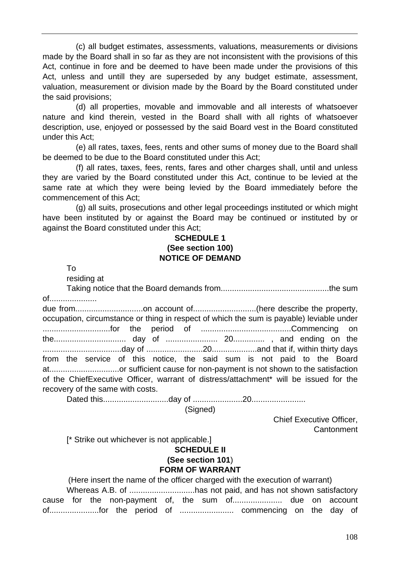(c) all budget estimates, assessments, valuations, measurements or divisions made by the Board shall in so far as they are not inconsistent with the provisions of this Act, continue in fore and be deemed to have been made under the provisions of this Act, unless and untill they are superseded by any budget estimate, assessment, valuation, measurement or division made by the Board by the Board constituted under the said provisions;

(d) all properties, movable and immovable and all interests of whatsoever nature and kind therein, vested in the Board shall with all rights of whatsoever description, use, enjoyed or possessed by the said Board vest in the Board constituted under this Act;

(e) all rates, taxes, fees, rents and other sums of money due to the Board shall be deemed to be due to the Board constituted under this Act;

(f) all rates, taxes, fees, rents, fares and other charges shall, until and unless they are varied by the Board constituted under this Act, continue to be levied at the same rate at which they were being levied by the Board immediately before the commencement of this Act;

(g) all suits, prosecutions and other legal proceedings instituted or which might have been instituted by or against the Board may be continued or instituted by or against the Board constituted under this Act;

## **SCHEDULE 1 (See section 100) NOTICE OF DEMAND**

To

residing at

Taking notice that the Board demands from................................................the sum of.....................

due from..............................on account of............................(here describe the property, occupation, circumstance or thing in respect of which the sum is payable) leviable under ..............................for the period of ........................................Commencing on the................................ day of ....................... 20.............. , and ending on the ...................................day of .........................20....................and that if, within thirty days from the service of this notice, the said sum is not paid to the Board at...............................or sufficient cause for non-payment is not shown to the satisfaction of the ChiefExecutive Officer, warrant of distress/attachment\* will be issued for the recovery of the same with costs.

Dated this.............................day of ......................20........................

(Signed)

Chief Executive Officer, **Cantonment** 

[\* Strike out whichever is not applicable.]

# **SCHEDULE II**

#### **(See section 101**) **FORM OF WARRANT**

(Here insert the name of the officer charged with the execution of warrant) Whereas A.B. of ..............................has not paid, and has not shown satisfactory cause for the non-payment of, the sum of...................... due on account of......................for the period of ........................ commencing on the day of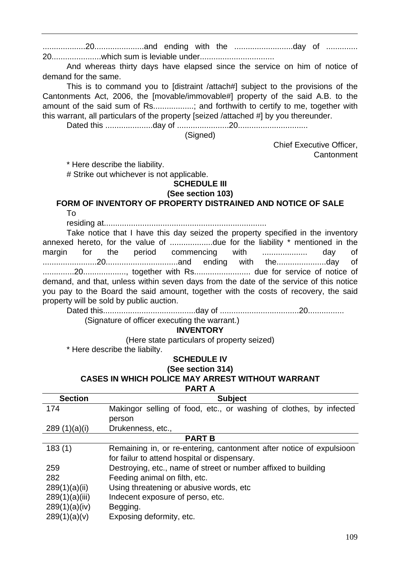...................20......................and ending with the ..........................day of .............. 20.........................which sum is leviable under................................. And whereas thirty days have elapsed since the service on him of notice of demand for the same. This is to command you to [distraint /attach#] subject to the provisions of the Cantonments Act, 2006, the [movable/immovable#] property of the said A.B. to the amount of the said sum of Rs..................; and forthwith to certify to me, together with this warrant, all particulars of the property [seized /attached #] by you thereunder. Dated this .....................day of .......................20............................... (Signed) Chief Executive Officer, **Cantonment** \* Here describe the liability. # Strike out whichever is not applicable. **SCHEDULE III (See section 103) FORM OF INVENTORY OF PROPERTY DISTRAINED AND NOTICE OF SALE**  To residing at........................................................................ Take notice that I have this day seized the property specified in the inventory annexed hereto, for the value of ........................due for the liability \* mentioned in the margin for the period commencing with .................... day of ........................20................................and ending with the......................day of ..............20..................., together with Rs......................... due for service of notice of demand, and that, unless within seven days from the date of the service of this notice you pay to the Board the said amount, together with the costs of recovery, the said property will be sold by public auction. Dated this.........................................day of ...................................20................ (Signature of officer executing the warrant.) **INVENTORY**  (Here state particulars of property seized) \* Here describe the liabilty. **SCHEDULE IV (See section 314) CASES IN WHICH POLICE MAY ARREST WITHOUT WARRANT PART A Section Subject** 174 Makingor selling of food, etc., or washing of clothes, by infected person 289 (1)(a)(i) Drukenness, etc., **PART B**  183 (1) Remaining in, or re-entering, cantonment after notice of expulsioon for failur to attend hospital or dispensary. 259 Destroying, etc., name of street or number affixed to building 282 Feeding animal on filth, etc. 289(1)(a)(ii) Using threatening or abusive words, etc

- 289(1)(a)(iii) Indecent exposure of perso, etc.
- $289(1)(a)(iv)$  Begging.
- 289(1)(a)(v) Exposing deformity, etc.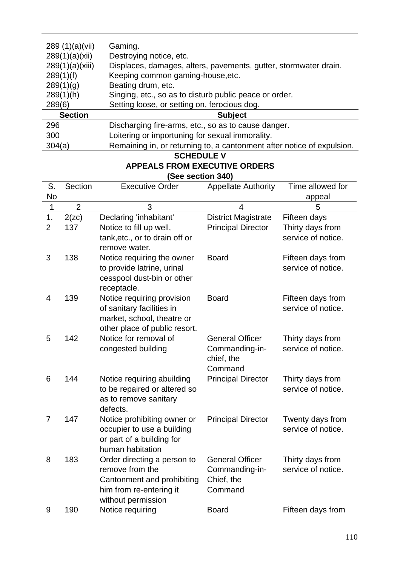| 289(1)(a)(vii)  | Gaming.                                                                |
|-----------------|------------------------------------------------------------------------|
| 289(1)(a)(xii)  | Destroying notice, etc.                                                |
| 289(1)(a)(xiii) | Displaces, damages, alters, pavements, gutter, stormwater drain.       |
| 289(1)(f)       | Keeping common gaming-house, etc.                                      |
| 289(1)(q)       | Beating drum, etc.                                                     |
| 289(1)(h)       | Singing, etc., so as to disturb public peace or order.                 |
| 289(6)          | Setting loose, or setting on, ferocious dog.                           |
| <b>Section</b>  | <b>Subject</b>                                                         |
| 296             | Discharging fire-arms, etc., so as to cause danger.                    |
| 300             | Loitering or importuning for sexual immorality.                        |
| 304(a)          | Remaining in, or returning to, a cantonment after notice of expulsion. |

## **SCHEDULE V**

## **APPEALS FROM EXECUTIVE ORDERS**

## **(See section 340)**

| S.             | Section        | <b>Executive Order</b>                                  | <b>Appellate Authority</b> | Time allowed for                        |
|----------------|----------------|---------------------------------------------------------|----------------------------|-----------------------------------------|
| <b>No</b>      |                |                                                         |                            | appeal                                  |
| $\mathbf 1$    | $\overline{2}$ | 3                                                       | $\overline{4}$             | 5                                       |
| 1.             | 2(zc)          | Declaring 'inhabitant'                                  | <b>District Magistrate</b> | Fifteen days                            |
| $\overline{2}$ | 137            | Notice to fill up well,                                 | <b>Principal Director</b>  | Thirty days from                        |
|                |                | tank, etc., or to drain off or                          |                            | service of notice.                      |
|                |                | remove water.                                           |                            |                                         |
| 3              | 138            | Notice requiring the owner                              | <b>Board</b>               | Fifteen days from                       |
|                |                | to provide latrine, urinal                              |                            | service of notice.                      |
|                |                | cesspool dust-bin or other                              |                            |                                         |
|                |                | receptacle.                                             |                            |                                         |
| 4              | 139            | Notice requiring provision<br>of sanitary facilities in | <b>Board</b>               | Fifteen days from<br>service of notice. |
|                |                | market, school, theatre or                              |                            |                                         |
|                |                | other place of public resort.                           |                            |                                         |
| 5              | 142            | Notice for removal of                                   | <b>General Officer</b>     | Thirty days from                        |
|                |                | congested building                                      | Commanding-in-             | service of notice.                      |
|                |                |                                                         | chief, the                 |                                         |
|                |                |                                                         | Command                    |                                         |
| 6              | 144            | Notice requiring abuilding                              | <b>Principal Director</b>  | Thirty days from                        |
|                |                | to be repaired or altered so                            |                            | service of notice.                      |
|                |                | as to remove sanitary                                   |                            |                                         |
|                |                | defects.                                                |                            |                                         |
| 7              | 147            | Notice prohibiting owner or                             | <b>Principal Director</b>  | Twenty days from                        |
|                |                | occupier to use a building                              |                            | service of notice.                      |
|                |                | or part of a building for                               |                            |                                         |
|                | 183            | human habitation                                        | <b>General Officer</b>     |                                         |
| 8              |                | Order directing a person to<br>remove from the          | Commanding-in-             | Thirty days from<br>service of notice.  |
|                |                | Cantonment and prohibiting                              | Chief, the                 |                                         |
|                |                | him from re-entering it                                 | Command                    |                                         |
|                |                | without permission                                      |                            |                                         |
| 9              | 190            | Notice requiring                                        | <b>Board</b>               | Fifteen days from                       |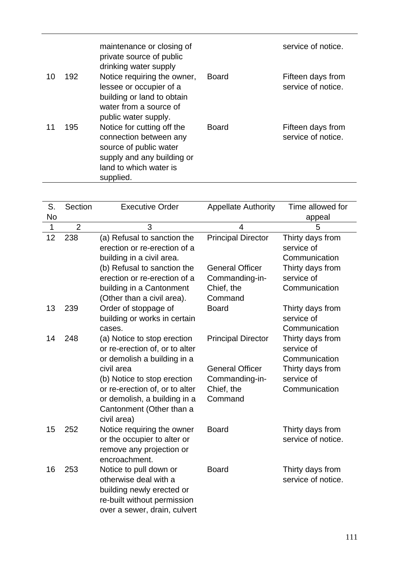|    |     | maintenance or closing of<br>private source of public<br>drinking water supply                                                                      |              | service of notice.                      |
|----|-----|-----------------------------------------------------------------------------------------------------------------------------------------------------|--------------|-----------------------------------------|
| 10 | 192 | Notice requiring the owner,<br>lessee or occupier of a<br>building or land to obtain<br>water from a source of<br>public water supply.              | <b>Board</b> | Fifteen days from<br>service of notice. |
| 11 | 195 | Notice for cutting off the<br>connection between any<br>source of public water<br>supply and any building or<br>land to which water is<br>supplied. | <b>Board</b> | Fifteen days from<br>service of notice. |

| S.        | Section        | <b>Executive Order</b>                  | <b>Appellate Authority</b> | Time allowed for   |
|-----------|----------------|-----------------------------------------|----------------------------|--------------------|
| <b>No</b> |                |                                         |                            | appeal             |
| 1         | $\overline{2}$ | 3                                       | $\overline{4}$             | 5                  |
| 12        | 238            | (a) Refusal to sanction the             | <b>Principal Director</b>  | Thirty days from   |
|           |                | erection or re-erection of a            |                            | service of         |
|           |                | building in a civil area.               |                            | Communication      |
|           |                | (b) Refusal to sanction the             | <b>General Officer</b>     | Thirty days from   |
|           |                | erection or re-erection of a            | Commanding-in-             | service of         |
|           |                | building in a Cantonment                | Chief, the                 | Communication      |
|           |                | (Other than a civil area).              | Command                    |                    |
| 13        | 239            | Order of stoppage of                    | <b>Board</b>               | Thirty days from   |
|           |                | building or works in certain            |                            | service of         |
|           |                | cases.                                  |                            | Communication      |
| 14        | 248            | (a) Notice to stop erection             | <b>Principal Director</b>  | Thirty days from   |
|           |                | or re-erection of, or to alter          |                            | service of         |
|           |                | or demolish a building in a             |                            | Communication      |
|           |                | civil area                              | <b>General Officer</b>     | Thirty days from   |
|           |                | (b) Notice to stop erection             | Commanding-in-             | service of         |
|           |                | or re-erection of, or to alter          | Chief, the                 | Communication      |
|           |                | or demolish, a building in a            | Command                    |                    |
|           |                | Cantonment (Other than a<br>civil area) |                            |                    |
| 15        | 252            | Notice requiring the owner              | <b>Board</b>               | Thirty days from   |
|           |                | or the occupier to alter or             |                            | service of notice. |
|           |                | remove any projection or                |                            |                    |
|           |                | encroachment.                           |                            |                    |
| 16        | 253            | Notice to pull down or                  | <b>Board</b>               | Thirty days from   |
|           |                | otherwise deal with a                   |                            | service of notice. |
|           |                | building newly erected or               |                            |                    |
|           |                | re-built without permission             |                            |                    |
|           |                | over a sewer, drain, culvert            |                            |                    |